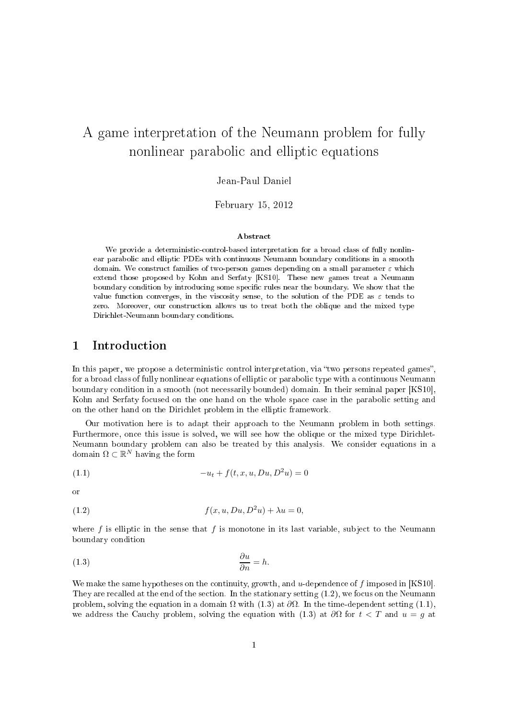# A game interpretation of the Neumann problem for fully nonlinear parabolic and elliptic equations

# Jean-Paul Daniel

February 15, <sup>2012</sup>

#### Abstra
t

We provide <sup>a</sup> deterministi
ontrol-based interpretation for <sup>a</sup> broad lass of fully nonlinear paraboli and ellipti PDEs with ontinuous Neumann boundary onditions in <sup>a</sup> smooth domain. We construct families of two-person games depending on a small parameter  $\varepsilon$  which extend those proposed by Kohn and Serfaty [KS10℄. These new games treat <sup>a</sup> Neumann boundary ondition by introdu
ing some spe
i rules near the boundary. We show that the value function converges, in the viscosity sense, to the solution of the PDE as  $\varepsilon$  tends to zero. Moreover, our onstru
tion allows us to treat both the oblique and the mixed type Diri
hlet-Neumann boundary onditions.

#### **Introduction**  $\mathbf{1}$

In this paper, we propose a deterministic control interpretation, via "two persons repeated games", for a broad class of fully nonlinear equations of elliptic or parabolic type with a continuous Neumann boundary condition in a smooth (not necessarily bounded) domain. In their seminal paper [KS10], Kohn and Serfaty focused on the one hand on the whole space case in the parabolic setting and on the other hand on the Dirichlet problem in the elliptic framework.

Our motivation here is to adapt their approa
h to the Neumann problem in both settings. Furthermore, once this issue is solved, we will see how the oblique or the mixed type Dirichlet-Neumann boundary problem an also be treated by this analysis. We onsider equations in a domain  $\Omega \subset \mathbb{R}^N$  having the form

(1.1) 
$$
-u_t + f(t, x, u, Du, D^2u) = 0
$$

or

(1.2) 
$$
f(x, u, Du, D^2u) + \lambda u = 0,
$$

where f is elliptic in the sense that f is monotone in its last variable, subject to the Neumann boundary ondition

$$
\frac{\partial u}{\partial n} = h.
$$

We make the same hypotheses on the continuity, growth, and u-dependence of f imposed in  $[KS10]$ . They are recalled at the end of the section. In the stationary setting  $(1.2)$ , we focus on the Neumann problem, solving the equation in a domain  $\Omega$  with (1.3) at  $\partial\Omega$ . In the time-dependent setting (1.1), we address the Cauchy problem, solving the equation with (1.3) at  $\partial\Omega$  for  $t < T$  and  $u = g$  at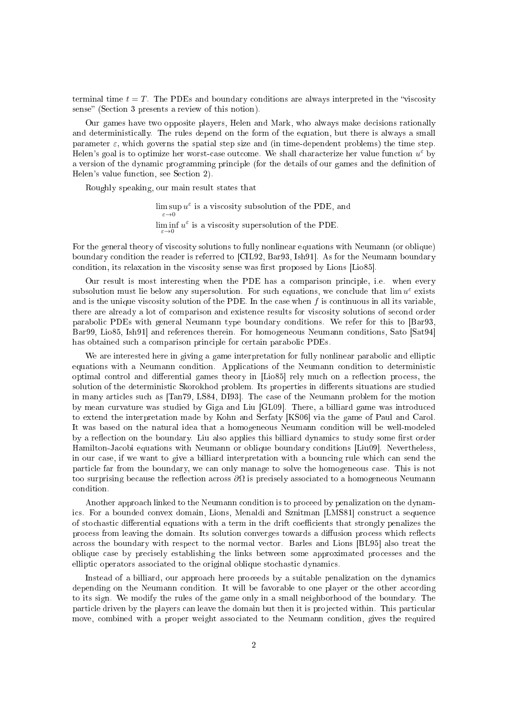terminal time  $t = T$ . The PDEs and boundary conditions are always interpreted in the "viscosity" sense" (Section 3 presents a review of this notion).

Our games have two opposite players, Helen and Mark, who always make decisions rationally and deterministi
ally. The rules depend on the form of the equation, but there is always a small parameter  $\varepsilon$ , which governs the spatial step size and (in time-dependent problems) the time step. Helen's goal is to optimize her worst-case outcome. We shall characterize her value function  $u^{\varepsilon}$  by a version of the dynamic programming principle (for the details of our games and the definition of Helen's value fun
tion, see Se
tion 2).

Roughly speaking, our main result states that

 $\limsup u^{\varepsilon}$  is a viscosity subsolution of the PDE, and  $\varepsilon \rightarrow 0$  $\liminf_{\varepsilon \to 0} u^{\varepsilon}$  is a viscosity supersolution of the PDE.

For the general theory of viscosity solutions to fully nonlinear equations with Neumann (or oblique) boundary condition the reader is referred to [CIL92, Bar93, Ish91]. As for the Neumann boundary condition, its relaxation in the viscosity sense was first proposed by Lions [Lio85].

Our result is most interesting when the PDE has a omparison prin
iple, i.e. when every subsolution must lie below any supersolution. For such equations, we conclude that  $\lim u^{\varepsilon}$  exists and is the unique viscosity solution of the PDE. In the case when  $f$  is continuous in all its variable, there are already a lot of comparison and existence results for viscosity solutions of second order parabolic PDEs with general Neumann type boundary conditions. We refer for this to [Bar93, Bar99, Lio85, Ish91 and references therein. For homogeneous Neumann conditions, Sato [Sat94] has obtained such a comparison principle for certain parabolic PDEs.

We are interested here in giving a game interpretation for fully nonlinear parabolic and elliptic equations with a Neumann condition. Applications of the Neumann condition to deterministic optimal control and differential games theory in [Lio85] rely much on a reflection process, the solution of the deterministic Skorokhod problem. Its properties in differents situations are studied in many articles such as [Tan79, LS84, DI93]. The case of the Neumann problem for the motion by mean curvature was studied by Giga and Liu [GL09]. There, a billiard game was introduced to extend the interpretation made by Kohn and Serfaty [KS06] via the game of Paul and Carol. It was based on the natural idea that a homogeneous Neumann ondition will be well-modeled by a reflection on the boundary. Liu also applies this billiard dynamics to study some first order Hamilton-Jacobi equations with Neumann or oblique boundary conditions [Liu09]. Nevertheless, in our case, if we want to give a billiard interpretation with a bouncing rule which can send the parti
le far from the boundary, we an only manage to solve the homogeneous ase. This is not too surprising because the reflection across  $\partial\Omega$  is precisely associated to a homogeneous Neumann ondition.

Another approach linked to the Neumann condition is to proceed by penalization on the dynamics. For a bounded convex domain, Lions, Menaldi and Sznitman [LMS81] construct a sequence of stochastic differential equations with a term in the drift coefficients that strongly penalizes the process from leaving the domain. Its solution converges towards a diffusion process which reflects across the boundary with respect to the normal vector. Barles and Lions [BL95] also treat the oblique ase by pre
isely establishing the links between some approximated pro
esses and the elliptic operators associated to the original oblique stochastic dynamics.

Instead of a billiard, our approach here proceeds by a suitable penalization on the dynamics depending on the Neumann condition. It will be favorable to one player or the other according to its sign. We modify the rules of the game only in a small neighborhood of the boundary. The particle driven by the players can leave the domain but then it is projected within. This particular move, combined with a proper weight associated to the Neumann condition, gives the required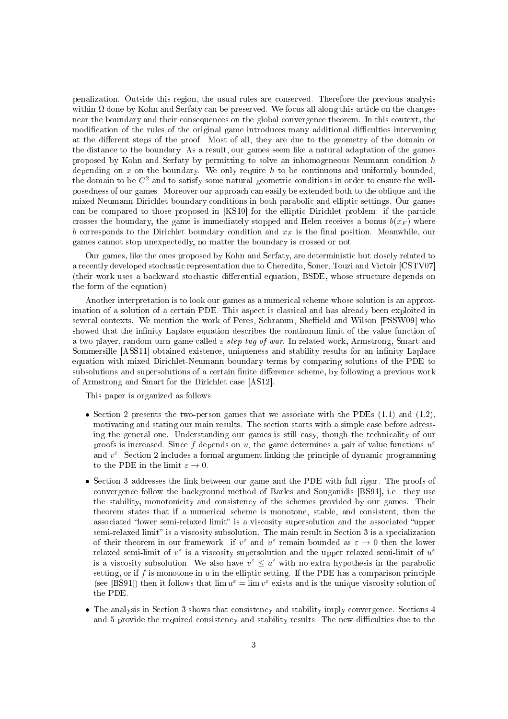penalization. Outside this region, the usual rules are onserved. Therefore the previous analysis within  $\Omega$  done by Kohn and Serfaty can be preserved. We focus all along this article on the changes near the boundary and their consequences on the global convergence theorem. In this context, the modification of the rules of the original game introduces many additional difficulties intervening at the different steps of the proof. Most of all, they are due to the geometry of the domain or the distan
e to the boundary. As a result, our games seem like a natural adaptation of the games proposed by Kohn and Serfaty by permitting to solve an inhomogeneous Neumann condition  $h$ depending on  $x$  on the boundary. We only require  $h$  to be continuous and uniformly bounded, the domain to be  $C^2$  and to satisfy some natural geometric conditions in order to ensure the wellposedness of our games. Moreover our approach can easily be extended both to the oblique and the mixed Neumann-Dirichlet boundary conditions in both parabolic and elliptic settings. Our games can be compared to those proposed in [KS10] for the elliptic Dirichlet problem: if the particle crosses the boundary, the game is immediately stopped and Helen receives a bonus  $b(x_F)$  where b corresponds to the Dirichlet boundary condition and  $x_F$  is the final position. Meanwhile, our games annot stop unexpe
tedly, no matter the boundary is rossed or not.

Our games, like the ones proposed by Kohn and Serfaty, are deterministic but closely related to a recently developed stochastic representation due to Cheredito, Soner, Touzi and Victoir [CSTV07] (their work uses a backward stochastic differential equation, BSDE, whose structure depends on the form of the equation).

Another interpretation is to look our games as a numeri
al s
heme whose solution is an approximation of a solution of a certain PDE. This aspect is classical and has already been exploited in several contexts. We mention the work of Peres, Schramm, Sheffield and Wilson [PSSW09] who showed that the infinity Laplace equation describes the continuum limit of the value function of a two-player, random-turn game called  $\varepsilon$ -step tug-of-war. In related work, Armstrong, Smart and Sommersille [ASS11] obtained existence, uniqueness and stability results for an infinity Laplace equation with mixed Dirichlet-Neumann boundary terms by comparing solutions of the PDE to subsolutions and supersolutions of a certain finite difference scheme, by following a previous work of Armstrong and Smart for the Dirichlet case [AS12].

This paper is organized as follows:

- Section 2 presents the two-person games that we associate with the PDEs  $(1.1)$  and  $(1.2)$ , motivating and stating our main results. The section starts with a simple case before adressing the general one. Understanding our games is still easy, though the technicality of our proofs is increased. Since  $f$  depends on  $u$ , the game determines a pair of value functions  $u^{\varepsilon}$ and  $v^{\varepsilon}$ . Section 2 includes a formal argument linking the principle of dynamic programming to the PDE in the limit  $\varepsilon \to 0$ .
- Section 3 addresses the link between our game and the PDE with full rigor. The proofs of convergence follow the background method of Barles and Souganidis [BS91], i.e. they use the stability, monotonicity and consistency of the schemes provided by our games. Their theorem states that if a numerical scheme is monotone, stable, and consistent, then the associated "lower semi-relaxed limit" is a viscosity supersolution and the associated "upper semi-relaxed limit" is a viscosity subsolution. The main result in Section 3 is a specialization of their theorem in our framework: if  $v^{\varepsilon}$  and  $u^{\varepsilon}$  remain bounded as  $\varepsilon \to 0$  then the lower relaxed semi-limit of  $v^{\varepsilon}$  is a viscosity supersolution and the upper relaxed semi-limit of  $u^{\varepsilon}$ is a viscosity subsolution. We also have  $v^{\varepsilon} \leq u^{\varepsilon}$  with no extra hypothesis in the parabolic setting, or if  $f$  is monotone in  $u$  in the elliptic setting. If the PDE has a comparison principle (see [BS91]) then it follows that  $\lim u^{\varepsilon} = \lim v^{\varepsilon}$  exists and is the unique viscosity solution of the PDE.
- The analysis in Section 3 shows that consistency and stability imply convergence. Sections 4 and 5 provide the required consistency and stability results. The new difficulties due to the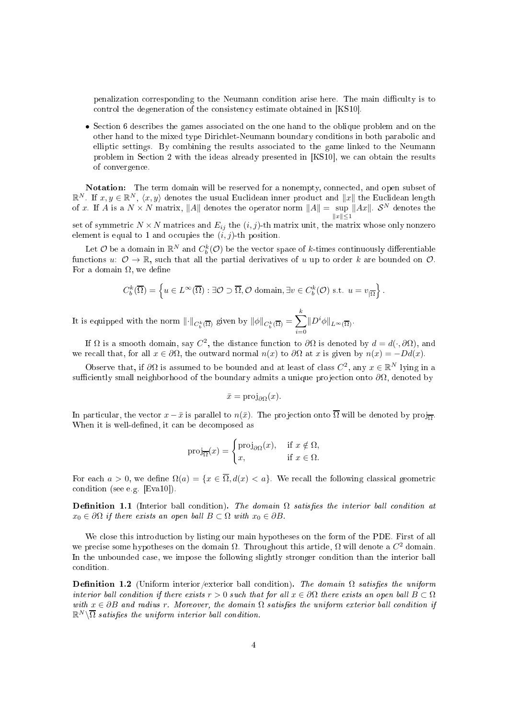penalization corresponding to the Neumann condition arise here. The main difficulty is to control the degeneration of the consistency estimate obtained in [KS10].

• Section 6 describes the games associated on the one hand to the oblique problem and on the other hand to the mixed type Dirichlet-Neumann boundary conditions in both parabolic and elliptic settings. By combining the results associated to the game linked to the Neumann problem in Section 2 with the ideas already presented in [KS10], we can obtain the results of onvergen
e.

Notation: The term domain will be reserved for a nonempty, connected, and open subset of  $\mathbb{R}^N$ . If  $x, y \in \mathbb{R}^N$ ,  $\langle x, y \rangle$  denotes the usual Euclidean inner product and  $||x||$  the Euclidean length of x. If A is a  $N \times N$  matrix, ||A|| denotes the operator norm  $||A|| = \sup_{||...|| \le 1} ||Ax||$ .  $S^N$  denotes the  $||x|| \leq 1$ 

set of symmetric  $N \times N$  matrices and  $E_{ij}$  the  $(i, j)$ -th matrix unit, the matrix whose only nonzero element is equal to 1 and occupies the  $(i, j)$ -th position.

Let O be a domain in  $\mathbb{R}^N$  and  $C_b^k(\mathcal{O})$  be the vector space of k-times continuously differentiable functions  $u: \mathcal{O} \to \mathbb{R}$ , such that all the partial derivatives of  $u$  up to order  $k$  are bounded on  $\mathcal{O}$ . For a domain  $\Omega$ , we define

$$
C_b^k(\overline{\Omega}) = \left\{ u \in L^\infty(\overline{\Omega}) : \exists \mathcal{O} \supset \overline{\Omega}, \mathcal{O} \text{ domain}, \exists v \in C_b^k(\mathcal{O}) \text{ s.t. } u = v_{|\overline{\Omega}} \right\}.
$$

It is equipped with the norm  $\lVert \cdot \rVert_{C_b^k(\overline{\Omega})}$  given by  $\lVert \phi \rVert_{C_b^k(\overline{\Omega})} = \sum^k$  $\sum_{i=0} \|D^i\phi\|_{L^\infty(\overline{\Omega})}.$ 

If Ω is a smooth domain, say  $C^2$ , the distance function to  $\partial\Omega$  is denoted by  $d = d(\cdot, \partial\Omega)$ , and we recall that, for all  $x \in \partial \Omega$ , the outward normal  $n(x)$  to  $\partial \Omega$  at x is given by  $n(x) = -Dd(x)$ .

Observe that, if  $\partial\Omega$  is assumed to be bounded and at least of class  $C^2$ , any  $x \in \mathbb{R}^N$  lying in a sufficiently small neighborhood of the boundary admits a unique projection onto  $\partial\Omega$ , denoted by

$$
\bar{x} = \text{proj}_{\partial\Omega}(x).
$$

In particular, the vector  $x - \bar{x}$  is parallel to  $n(\bar{x})$ . The projection onto  $\Omega$  will be denoted by  $\text{proj}_{\overline{\Omega}}$ . When it is well-defined, it can be decomposed as

$$
\text{proj}_{\overline{\Omega}}(x) = \begin{cases} \text{proj}_{\partial\Omega}(x), & \text{if } x \notin \Omega, \\ x, & \text{if } x \in \Omega. \end{cases}
$$

For each  $a > 0$ , we define  $\Omega(a) = \{x \in \overline{\Omega}, d(x) < a\}$ . We recall the following classical geometric condition (see e.g.  $[Eval0]$ ).

**Definition 1.1** (Interior ball condition). The domain  $\Omega$  satisfies the interior ball condition at  $x_0 \in \partial \Omega$  if there exists an open ball  $B \subset \Omega$  with  $x_0 \in \partial B$ .

We close this introduction by listing our main hypotheses on the form of the PDE. First of all we precise some hypotheses on the domain  $\Omega$ . Throughout this article,  $\Omega$  will denote a  $C^2$  domain. In the unbounded case, we impose the following slightly stronger condition than the interior ball condition

**Definition 1.2** (Uniform interior/exterior ball condition). The domain  $\Omega$  satisfies the uniform interior ball condition if there exists  $r > 0$  such that for all  $x \in \partial\Omega$  there exists an open ball  $B \subset \Omega$ with  $x \in \partial B$  and radius r. Moreover, the domain  $\Omega$  satisfies the uniform exterior ball condition if  $\mathbb{R}^N\backslash\overline{\Omega}$  satisfies the uniform interior ball condition.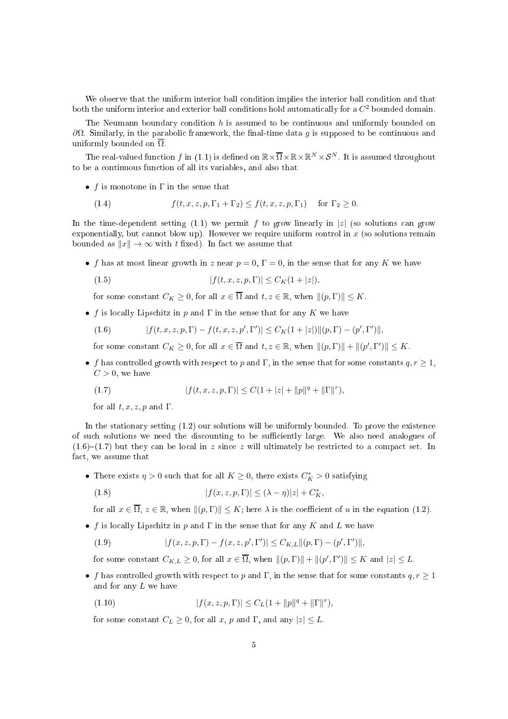We observe that the uniform interior ball ondition implies the interior ball ondition and that both the uniform interior and exterior ball conditions hold automatically for a  $C^2$  bounded domain.

The Neumann boundary condition  $h$  is assumed to be continuous and uniformly bounded on  $\partial\Omega$ . Similarly, in the parabolic framework, the final-time data g is supposed to be continuous and uniformly bounded on  $\overline{\Omega}$ .

The real-valued function  $f$  in (1.1) is defined on  $\mathbb{R}\times\overline{\Omega}\times\mathbb{R}\times\mathbb{R}^N\times\mathcal{S}^N$ . It is assumed throughout to be a continuous function of all its variables, and also that

• f is monotone in  $\Gamma$  in the sense that

(1.4) 
$$
f(t, x, z, p, \Gamma_1 + \Gamma_2) \le f(t, x, z, p, \Gamma_1)
$$
 for  $\Gamma_2 \ge 0$ .

In the time-dependent setting (1.1) we permit f to grow linearly in |z| (so solutions can grow exponentially, but cannot blow up). However we require uniform control in  $x$  (so solutions remain bounded as  $||x|| \to \infty$  with t fixed). In fact we assume that

• f has at most linear growth in z near  $p = 0$ ,  $\Gamma = 0$ , in the sense that for any K we have

(1.5) 
$$
|f(t, x, z, p, \Gamma)| \le C_K(1 + |z|),
$$

for some constant  $C_K \geq 0$ , for all  $x \in \overline{\Omega}$  and  $t, z \in \mathbb{R}$ , when  $\|(p, \Gamma)\| \leq K$ .

• f is locally Lipschitz in p and  $\Gamma$  in the sense that for any K we have

(1.6) 
$$
|f(t, x, z, p, \Gamma) - f(t, x, z, p', \Gamma')| \leq C_K (1 + |z|) ||(p, \Gamma) - (p', \Gamma')||,
$$

for some constant  $C_K \ge 0$ , for all  $x \in \overline{\Omega}$  and  $t, z \in \mathbb{R}$ , when  $||(p, \Gamma)|| + ||(p', \Gamma')|| \le K$ .

• f has controlled growth with respect to p and Γ, in the sense that for some constants  $q, r \geq 1$ ,  $C > 0$ , we have

(1.7) 
$$
|f(t, x, z, p, \Gamma)| \leq C(1 + |z| + ||p||^{q} + ||\Gamma||^{r}),
$$

for all  $t, x, z, p$  and  $\Gamma$ .

In the stationary setting  $(1.2)$  our solutions will be uniformly bounded. To prove the existence of such solutions we need the discounting to be sufficiently large. We also need analogues of  $(1.6)$ – $(1.7)$  but they can be local in z since z will ultimately be restricted to a compact set. In fa
t, we assume that

• There exists  $\eta > 0$  such that for all  $K \geq 0$ , there exists  $C_K^* > 0$  satisfying

(1.8) 
$$
|f(x, z, p, \Gamma)| \le (\lambda - \eta)|z| + C_K^*,
$$

for all  $x \in \overline{\Omega}$ ,  $z \in \mathbb{R}$ , when  $\|(p, \Gamma)\| \leq K$ ; here  $\lambda$  is the coefficient of u in the equation (1.2).

• f is locally Lipschitz in p and  $\Gamma$  in the sense that for any K and L we have

(1.9) 
$$
|f(x, z, p, \Gamma) - f(x, z, p', \Gamma')| \leq C_{K, L} ||(p, \Gamma) - (p', \Gamma')||,
$$

for some constant  $C_{K,L} \ge 0$ , for all  $x \in \overline{\Omega}$ , when  $||(p, \Gamma)|| + ||(p', \Gamma')|| \le K$  and  $|z| \le L$ .

- f has controlled growth with respect to p and Γ, in the sense that for some constants  $q, r \geq 1$ and for any L we have
	- (1.10)  $|f(x, z, p, \Gamma)| \le C_L(1 + ||p||^q + ||\Gamma||^r),$

for some constant  $C_L \geq 0$ , for all x, p and Γ, and any  $|z| \leq L$ .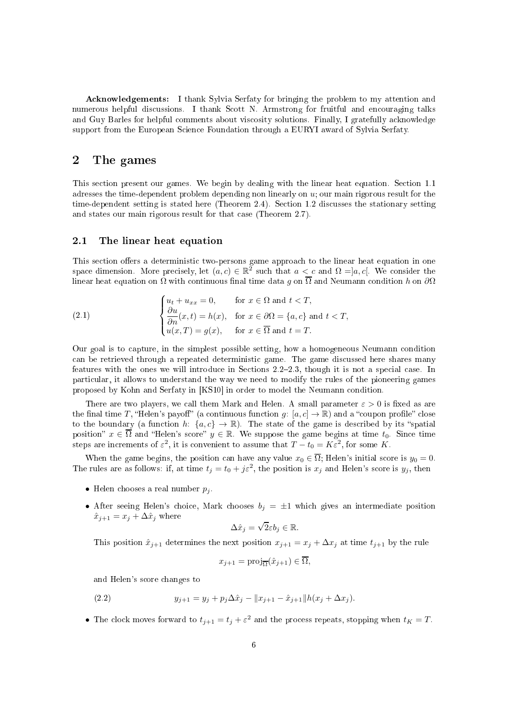A
knowledgements: I thank Sylvia Serfaty for bringing the problem to my attention and numerous helpful discussions. I thank Scott N. Armstrong for fruitful and encouraging talks and Guy Barles for helpful comments about viscosity solutions. Finally, I gratefully acknowledge support from the European Science Foundation through a EURYI award of Sylvia Serfaty.

#### 2The games

This section present our games. We begin by dealing with the linear heat equation. Section 1.1 adresses the time-dependent problem depending non linearly on  $u_i$ ; our main rigorous result for the time-dependent setting is stated here (Theorem 2.4). Section 1.2 discusses the stationary setting and states our main rigorous result for that ase (Theorem 2.7).

### 2.1 The linear heat equation

This section offers a deterministic two-persons game approach to the linear heat equation in one space dimension. More precisely, let  $(a, c) \in \mathbb{R}^2$  such that  $a \leq c$  and  $\Omega = ]a, c[$ . We consider the linear heat equation on  $\Omega$  with continuous final time data g on  $\overline{\Omega}$  and Neumann condition h on  $\partial\Omega$ 

(2.1) 
$$
\begin{cases} u_t + u_{xx} = 0, & \text{for } x \in \Omega \text{ and } t < T, \\ \frac{\partial u}{\partial n}(x, t) = h(x), & \text{for } x \in \partial\Omega = \{a, c\} \text{ and } t < T, \\ u(x, T) = g(x), & \text{for } x \in \overline{\Omega} \text{ and } t = T. \end{cases}
$$

Our goal is to apture, in the simplest possible setting, how a homogeneous Neumann ondition an be retrieved through a repeated deterministi game. The game dis
ussed here shares many features with the ones we will introduce in Sections 2.2–2.3, though it is not a special case. In parti
ular, it allows to understand the way we need to modify the rules of the pioneering games proposed by Kohn and Serfaty in [KS10] in order to model the Neumann condition.

There are two players, we call them Mark and Helen. A small parameter  $\varepsilon > 0$  is fixed as are the final time T, "Helen's payoff" (a continuous function g: [a, c]  $\rightarrow \mathbb{R}$ ) and a "coupon profile" close to the boundary (a function h:  $\{a, c\} \to \mathbb{R}$ ). The state of the game is described by its "spatial position"  $x \in \overline{\Omega}$  and "Helen's score"  $y \in \mathbb{R}$ . We suppose the game begins at time  $t_0$ . Since time steps are increments of  $\varepsilon^2$ , it is convenient to assume that  $T - t_0 = K\varepsilon^2$ , for some K.

When the game begins, the position can have any value  $x_0 \in \overline{\Omega}$ ; Helen's initial score is  $y_0 = 0$ . The rules are as follows: if, at time  $t_j = t_0 + j\varepsilon^2$ , the position is  $x_j$  and Helen's score is  $y_j$ , then

- Helen chooses a real number  $p_i$ .
- After seeing Helen's choice, Mark chooses  $b_j = \pm 1$  which gives an intermediate position  $\hat{x}_{j+1} = x_j + \Delta \hat{x}_j$  where

$$
\Delta \hat{x}_j = \sqrt{2\varepsilon} b_j \in \mathbb{R}.
$$

This position  $\hat{x}_{j+1}$  determines the next position  $x_{j+1} = x_j + \Delta x_j$  at time  $t_{j+1}$  by the rule

$$
x_{j+1} = \text{proj}_{\overline{\Omega}}(\hat{x}_{j+1}) \in \overline{\Omega},
$$

and Helen's s
ore hanges to

(2.2) 
$$
y_{j+1} = y_j + p_j \Delta \hat{x}_j - ||x_{j+1} - \hat{x}_{j+1}||h(x_j + \Delta x_j).
$$

• The clock moves forward to  $t_{j+1} = t_j + \varepsilon^2$  and the process repeats, stopping when  $t_K = T$ .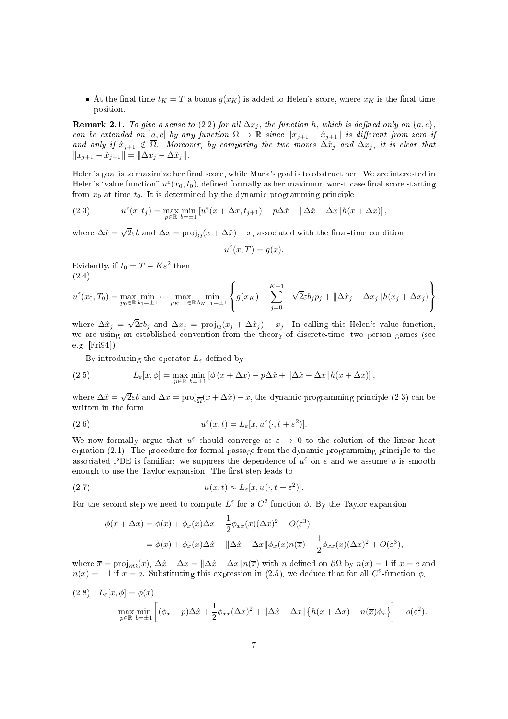• At the final time  $t_K = T$  a bonus  $g(x_K)$  is added to Helen's score, where  $x_K$  is the final-time position.

**Remark 2.1.** To give a sense to (2.2) for all  $\Delta x_j$ , the function h, which is defined only on  $\{a, c\}$ , can be extended on  $[a, c]$  by any function  $\Omega \to \mathbb{R}$  since  $||x_{j+1} - \hat{x}_{j+1}||$  is different from zero if and only if  $\hat{x}_{j+1} \notin \Omega$ . Moreover, by comparing the two moves  $\Delta \hat{x}_j$  and  $\Delta x_j$ , it is clear that  $||x_{i+1} - \hat{x}_{i+1}|| = ||\Delta x_i - \Delta \hat{x}_i||.$ 

Helen's goal is to maximize her final score, while Mark's goal is to obstruct her. We are interested in Helen's "value function"  $u^{\varepsilon}(x_0,t_0)$ , defined formally as her maximum worst-case final score starting from  $x_0$  at time  $t_0$ . It is determined by the dynamic programming principle

(2.3) 
$$
u^{\varepsilon}(x,t_j) = \max_{p \in \mathbb{R}} \min_{b=\pm 1} \left[ u^{\varepsilon}(x + \Delta x, t_{j+1}) - p\Delta \hat{x} + ||\Delta \hat{x} - \Delta x||h(x + \Delta x) \right],
$$

where  $\Delta \hat{x} = \sqrt{2\varepsilon}b$  and  $\Delta x = \text{proj}_{\overline{\Omega}}(x + \Delta \hat{x}) - x$ , associated with the final-time condition

$$
u^{\varepsilon}(x,T) = g(x).
$$

Evidently, if  $t_0 = T - K\varepsilon^2$  then (2.4)

$$
u^{\varepsilon}(x_0,T_0) = \max_{p_0 \in \mathbb{R}} \min_{b_0 = \pm 1} \cdots \max_{p_{K-1} \in \mathbb{R}} \min_{b_{K-1} = \pm 1} \left\{ g(x_K) + \sum_{j=0}^{K-1} -\sqrt{2\varepsilon} b_j p_j + ||\Delta \hat{x}_j - \Delta x_j|| h(x_j + \Delta x_j) \right\},\,
$$

where  $\Delta \hat{x}_j = \sqrt{2\varepsilon} b_j$  and  $\Delta x_j = \text{proj}_{\overline{\Omega}}(x_j + \Delta \hat{x}_j) - x_j$ . In calling this Helen's value function, we are using an established onvention from the theory of dis
rete-time, two person games (see e.g.  $[Fig 4]$ .

By introducing the operator  $L_{\varepsilon}$  defined by

(2.5) 
$$
L_{\varepsilon}[x,\phi] = \max_{p\in\mathbb{R}} \min_{b=\pm 1} \left[ \phi\left(x + \Delta x\right) - p\Delta \hat{x} + \|\Delta \hat{x} - \Delta x\| h(x + \Delta x) \right],
$$

where  $\Delta \hat{x} = \sqrt{2\varepsilon}b$  and  $\Delta x = \text{proj}_{\overline{\Omega}}(x + \Delta \hat{x}) - x$ , the dynamic programming principle (2.3) can be

(2.6) 
$$
u^{\varepsilon}(x,t) = L_{\varepsilon}[x, u^{\varepsilon}(\cdot, t + \varepsilon^{2})].
$$

We now formally argue that  $u^{\varepsilon}$  should converge as  $\varepsilon \to 0$  to the solution of the linear heat equation (2.1). The procedure for formal passage from the dynamic programming principle to the associated PDE is familiar: we suppress the dependence of  $u^{\varepsilon}$  on  $\varepsilon$  and we assume u is smooth enough to use the Taylor expansion. The first step leads to

(2.7) 
$$
u(x,t) \approx L_{\varepsilon}[x, u(\cdot, t + \varepsilon^{2})].
$$

For the second step we need to compute  $L^{\varepsilon}$  for a  $C^2$ -function  $\phi$ . By the Taylor expansion

$$
\phi(x + \Delta x) = \phi(x) + \phi_x(x)\Delta x + \frac{1}{2}\phi_{xx}(x)(\Delta x)^2 + O(\varepsilon^3)
$$
  
= 
$$
\phi(x) + \phi_x(x)\Delta \hat{x} + ||\Delta \hat{x} - \Delta x||\phi_x(x)n(\overline{x}) + \frac{1}{2}\phi_{xx}(x)(\Delta x)^2 + O(\varepsilon^3),
$$

where  $\overline{x} = \text{proj}_{\partial\Omega}(x)$ ,  $\Delta \hat{x} - \Delta x = ||\Delta \hat{x} - \Delta x||n(\overline{x})$  with n defined on  $\partial\Omega$  by  $n(x) = 1$  if  $x = c$  and  $n(x) = -1$  if  $x = a$ . Substituting this expression in (2.5), we deduce that for all  $C^2$ -function  $\phi$ ,

(2.8) 
$$
L_{\varepsilon}[x,\phi] = \phi(x) + \max_{p \in \mathbb{R}} \min_{b=\pm 1} \left[ (\phi_x - p)\Delta \hat{x} + \frac{1}{2} \phi_{xx} (\Delta x)^2 + ||\Delta \hat{x} - \Delta x|| \{ h(x + \Delta x) - n(\overline{x}) \phi_x \} \right] + o(\varepsilon^2).
$$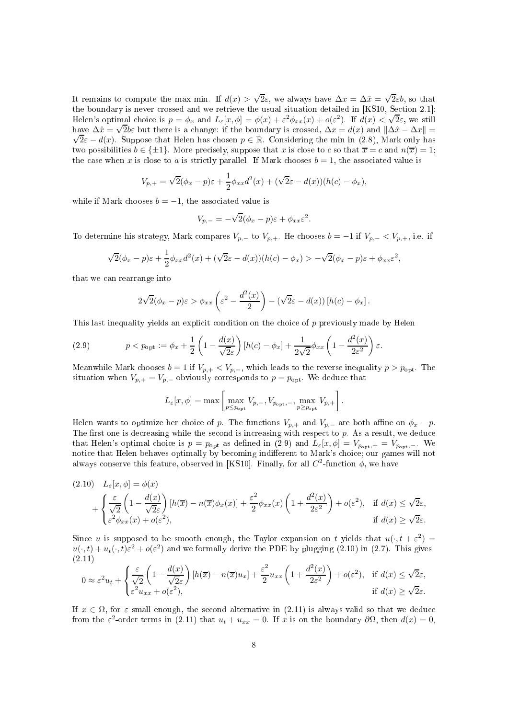It remains to compute the max min. If  $d(x) > \sqrt{2\varepsilon}$ , we always have  $\Delta x = \Delta \hat{x} = \sqrt{2\varepsilon}b$ , so that the boundary is never crossed and we retrieve the usual situation detailed in [KS10, Section 2.1]: Helen's optimal choice is  $p = \phi_x$  and  $L_{\varepsilon}[x, \phi] = \phi(x) + \varepsilon^2 \phi_{xx}(x) + o(\varepsilon^2)$ . If  $d(x) < \sqrt{2\varepsilon}$ , we still have  $\Delta\hat{x} = \sqrt{2b\varepsilon}$  but there is a change: if the boundary is crossed,  $\Delta x = d(x)$  and  $\|\Delta\hat{x} - \Delta x\|$  $\sqrt{2\varepsilon} - d(x)$ . Suppose that Helen has chosen  $p \in \mathbb{R}$ . Considering the min in (2.8), Mark only has two possibilities  $b \in \{\pm 1\}$ . More precisely, suppose that x is close to c so that  $\overline{x} = c$  and  $n(\overline{x}) = 1$ ; the case when x is close to a is strictly parallel. If Mark chooses  $b = 1$ , the associated value is

$$
V_{p,+} = \sqrt{2}(\phi_x - p)\varepsilon + \frac{1}{2}\phi_{xx}d^2(x) + (\sqrt{2}\varepsilon - d(x))(h(c) - \phi_x),
$$

while if Mark chooses  $b = -1$ , the associated value is

$$
V_{p,-} = -\sqrt{2}(\phi_x - p)\varepsilon + \phi_{xx}\varepsilon^2.
$$

To determine his strategy, Mark compares  $V_{p,-}$  to  $V_{p,+}$ . He chooses  $b = -1$  if  $V_{p,-} < V_{p,+}$ , i.e. if

$$
\sqrt{2}(\phi_x - p)\varepsilon + \frac{1}{2}\phi_{xx}d^2(x) + (\sqrt{2}\varepsilon - d(x))(h(c) - \phi_x) > -\sqrt{2}(\phi_x - p)\varepsilon + \phi_{xx}\varepsilon^2,
$$

that we an rearrange into

$$
2\sqrt{2}(\phi_x - p)\varepsilon > \phi_{xx}\left(\varepsilon^2 - \frac{d^2(x)}{2}\right) - \left(\sqrt{2}\varepsilon - d(x)\right)[h(c) - \phi_x].
$$

This last inequality yields an explicit condition on the choice of p previously made by Helen

(2.9) 
$$
p < p_{\text{opt}} := \phi_x + \frac{1}{2} \left( 1 - \frac{d(x)}{\sqrt{2\varepsilon}} \right) [h(c) - \phi_x] + \frac{1}{2\sqrt{2}} \phi_{xx} \left( 1 - \frac{d^2(x)}{2\varepsilon^2} \right) \varepsilon.
$$

Meanwhile Mark chooses  $b = 1$  if  $V_{p,+} < V_{p,-}$ , which leads to the reverse inequality  $p > p_{\text{opt}}$ . The situation when  $V_{p,+} = V_{p,-}$  obviously corresponds to  $p = p_{\text{opt}}$ . We deduce that

$$
L_{\varepsilon}[x,\phi] = \max\left[\max_{p\leq p_{\text{opt}}} V_{p,-}, V_{p_{\text{opt}},-}, \max_{p\geq p_{\text{opt}}} V_{p,+}\right].
$$

Helen wants to optimize her choice of p. The functions  $V_{p,+}$  and  $V_{p,-}$  are both affine on  $\phi_x - p$ . The first one is decreasing while the second is increasing with respect to  $p$ . As a result, we deduce that Helen's optimal choice is  $p = p_{\text{opt}}$  as defined in (2.9) and  $L_{\varepsilon}[x,\phi] = V_{p_{\text{opt}},+} = V_{p_{\text{opt}},-}$ . We notice that Helen behaves optimally by becoming indifferent to Mark's choice; our games will not always conserve this feature, observed in [KS10]. Finally, for all  $C^2$ -function  $\phi$ , we have

$$
(2.10) \quad L_{\varepsilon}[x,\phi] = \phi(x)
$$
  
+  $\left\{ \frac{\varepsilon}{\sqrt{2}} \left( 1 - \frac{d(x)}{\sqrt{2\varepsilon}} \right) [h(\overline{x}) - n(\overline{x})\phi_x(x)] + \frac{\varepsilon^2}{2} \phi_{xx}(x) \left( 1 + \frac{d^2(x)}{2\varepsilon^2} \right) + o(\varepsilon^2), \text{ if } d(x) \le \sqrt{2\varepsilon},$   
+  $\left\{ \frac{\varepsilon}{\varepsilon^2} \phi_{xx}(x) + o(\varepsilon^2), \text{ if } d(x) \ge \sqrt{2\varepsilon} \right\}.$ 

Since u is supposed to be smooth enough, the Taylor expansion on t yields that  $u(\cdot, t + \varepsilon^2) =$  $u(\cdot, t) + u_t(\cdot, t)\varepsilon^2 + o(\varepsilon^2)$  and we formally derive the PDE by plugging (2.10) in (2.7). This gives (2.11)

$$
0 \approx \varepsilon^2 u_t + \begin{cases} \frac{\varepsilon}{\sqrt{2}} \left( 1 - \frac{d(x)}{\sqrt{2}\varepsilon} \right) \left[ h(\overline{x}) - n(\overline{x})u_x \right] + \frac{\varepsilon^2}{2} u_{xx} \left( 1 + \frac{d^2(x)}{2\varepsilon^2} \right) + o(\varepsilon^2), & \text{if } d(x) \le \sqrt{2}\varepsilon, \\ \varepsilon^2 u_{xx} + o(\varepsilon^2), & \text{if } d(x) \ge \sqrt{2}\varepsilon. \end{cases}
$$

If  $x \in \Omega$ , for  $\varepsilon$  small enough, the second alternative in (2.11) is always valid so that we deduce from the  $\varepsilon^2$ -order terms in (2.11) that  $u_t + u_{xx} = 0$ . If x is on the boundary  $\partial\Omega$ , then  $d(x) = 0$ ,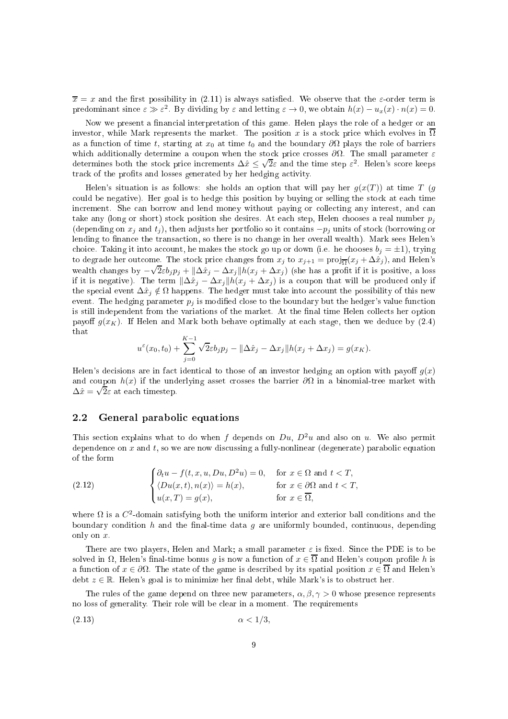$\overline{x} = x$  and the first possibility in (2.11) is always satisfied. We observe that the  $\varepsilon$ -order term is predominant since  $\varepsilon \gg \varepsilon^2$ . By dividing by  $\varepsilon$  and letting  $\varepsilon \to 0$ , we obtain  $h(x) - u_x(x) \cdot n(x) = 0$ .

Now we present a financial interpretation of this game. Helen plays the role of a hedger or an investor, while Mark represents the market. The position x is a stock price which evolves in  $\overline{\Omega}$ as a function of time t, starting at  $x_0$  at time  $t_0$  and the boundary  $\partial\Omega$  plays the role of barriers which additionally determine a coupon when the stock price crosses  $\partial\Omega$ . The small parameter  $\varepsilon$ determines both the stock price increments  $\Delta \hat{x} \leq \sqrt{2}\varepsilon$  and the time step  $\varepsilon^2$ . Helen's score keeps track of the profits and losses generated by her hedging activity.

Helen's situation is as follows: she holds an option that will pay her  $g(x(T))$  at time T (g could be negative). Her goal is to hedge this position by buying or selling the stock at each time increment. She can borrow and lend money without paying or collecting any interest, and can take any (long or short) stock position she desires. At each step, Helen chooses a real number  $p_j$ (depending on  $x_i$  and  $t_i$ ), then adjusts her portfolio so it contains  $-p_i$  units of stock (borrowing or lending to finance the transaction, so there is no change in her overall wealth). Mark sees Helen's choice. Taking it into account, he makes the stock go up or down (i.e. he chooses  $b_j = \pm 1$ ), trying to degrade her outcome. The stock price changes from  $x_j$  to  $x_{j+1} = \text{proj}_{\overline{\Omega}}(x_j + \Delta \hat{x}_j)$ , and Helen's wealth changes by −  $\sqrt{2\varepsilon}b_j p_j + ||\Delta\hat{x}_j - \Delta x_j||h(x_j + \Delta x_j)$  (she has a profit if it is positive, a loss if it is negative). The term  $\|\Delta \hat{x}_j - \Delta x_j\| h(x_j + \Delta x_j)$  is a coupon that will be produced only if the special event  $\Delta \hat{x}_j \notin \Omega$  happens. The hedger must take into account the possibility of this new event. The hedging parameter  $p_j$  is modified close to the boundary but the hedger's value function is still independent from the variations of the market. At the final time Helen collects her option payoff  $g(x_K)$ . If Helen and Mark both behave optimally at each stage, then we deduce by (2.4) that

$$
u^{\varepsilon}(x_0, t_0) + \sum_{j=0}^{K-1} \sqrt{2\varepsilon} b_j p_j - ||\Delta \hat{x}_j - \Delta x_j|| h(x_j + \Delta x_j) = g(x_K).
$$

Helen's decisions are in fact identical to those of an investor hedging an option with payoff  $q(x)$ and coupon  $h(x)$  if the underlying asset crosses the barrier  $\partial\Omega$  in a binomial-tree market with  $\Delta \hat{x} = \sqrt{2\varepsilon}$  at each timestep.

# 2.2 General parabolic equations

This section explains what to do when f depends on  $Du, D^2u$  and also on u. We also permit dependence on x and t, so we are now discussing a fully-nonlinear (degenerate) parabolic equation of the form

(2.12) 
$$
\begin{cases} \partial_t u - f(t, x, u, Du, D^2 u) = 0, & \text{for } x \in \Omega \text{ and } t < T, \\ \langle Du(x, t), n(x) \rangle = h(x), & \text{for } x \in \partial \Omega \text{ and } t < T, \\ u(x, T) = g(x), & \text{for } x \in \overline{\Omega}, \end{cases}
$$

where  $\Omega$  is a  $C^2$ -domain satisfying both the uniform interior and exterior ball conditions and the boundary condition h and the final-time data  $g$  are uniformly bounded, continuous, depending only on x.

There are two players, Helen and Mark; a small parameter  $\varepsilon$  is fixed. Since the PDE is to be solved in  $\Omega$ , Helen's final-time bonus g is now a function of  $x \in \overline{\Omega}$  and Helen's coupon profile h is a function of  $x \in \partial\Omega$ . The state of the game is described by its spatial position  $x \in \overline{\Omega}$  and Helen's debt  $z \in \mathbb{R}$ . Helen's goal is to minimize her final debt, while Mark's is to obstruct her.

The rules of the game depend on three new parameters,  $\alpha, \beta, \gamma > 0$  whose presence represents no loss of generality. Their role will be lear in a moment. The requirements

$$
\alpha < 1/3,
$$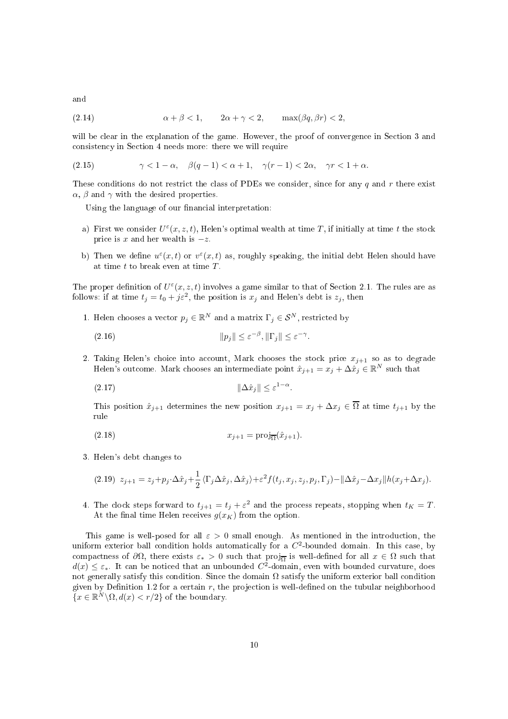and

$$
(2.14) \qquad \alpha + \beta < 1, \qquad 2\alpha + \gamma < 2, \qquad \max(\beta q, \beta r) < 2,
$$

will be clear in the explanation of the game. However, the proof of convergence in Section 3 and consistency in Section 4 needs more: there we will require

$$
(2.15) \qquad \qquad \gamma < 1 - \alpha, \quad \beta(q - 1) < \alpha + 1, \quad \gamma(r - 1) < 2\alpha, \quad \gamma r < 1 + \alpha.
$$

These conditions do not restrict the class of PDEs we consider, since for any q and r there exist  $\alpha$ ,  $\beta$  and  $\gamma$  with the desired properties.

Using the language of our financial interpretation:

- a) First we consider  $U^{\varepsilon}(x, z, t)$ , Helen's optimal wealth at time T, if initially at time t the stock price is x and her wealth is  $-z$ .
- b) Then we define  $u^{\varepsilon}(x,t)$  or  $v^{\varepsilon}(x,t)$  as, roughly speaking, the initial debt Helen should have at time  $t$  to break even at time  $T$ .

The proper definition of  $U^{\varepsilon}(x, z, t)$  involves a game similar to that of Section 2.1. The rules are as follows: if at time  $t_j = t_0 + j\varepsilon^2$ , the position is  $x_j$  and Helen's debt is  $z_j$ , then

1. Helen chooses a vector  $p_j \in \mathbb{R}^N$  and a matrix  $\Gamma_j \in \mathcal{S}^N$ , restricted by

(2.16) 
$$
||p_j|| \leq \varepsilon^{-\beta}, ||\Gamma_j|| \leq \varepsilon^{-\gamma}.
$$

2. Taking Helen's choice into account, Mark chooses the stock price  $x_{i+1}$  so as to degrade Helen's outcome. Mark chooses an intermediate point  $\hat{x}_{j+1} = x_j + \Delta \hat{x}_j \in \mathbb{R}^N$  such that

$$
||\Delta \hat{x}_j|| \le \varepsilon^{1-\alpha}
$$

This position  $\hat{x}_{j+1}$  determines the new position  $x_{j+1} = x_j + \Delta x_j \in \overline{\Omega}$  at time  $t_{j+1}$  by the rule

.

$$
(2.18) \t\t x_{j+1} = \text{proj}_{\overline{\Omega}}(\hat{x}_{j+1}).
$$

3. Helen's debt hanges to

$$
(2.19) \ z_{j+1} = z_j + p_j \cdot \Delta \hat{x}_j + \frac{1}{2} \langle \Gamma_j \Delta \hat{x}_j, \Delta \hat{x}_j \rangle + \varepsilon^2 f(t_j, x_j, z_j, p_j, \Gamma_j) - ||\Delta \hat{x}_j - \Delta x_j|| h(x_j + \Delta x_j).
$$

4. The clock steps forward to  $t_{j+1} = t_j + \varepsilon^2$  and the process repeats, stopping when  $t_K = T$ . At the final time Helen receives  $g(x_K)$  from the option.

This game is well-posed for all  $\varepsilon > 0$  small enough. As mentioned in the introduction, the uniform exterior ball condition holds automatically for a  $C<sup>2</sup>$ -bounded domain. In this case, by compactness of  $\partial\Omega$ , there exists  $\varepsilon_* > 0$  such that  $proj_{\overline{\Omega}}$  is well-defined for all  $x \in \Omega$  such that  $d(x) \leq \varepsilon_*$ . It can be noticed that an unbounded  $C^2$ -domain, even with bounded curvature, does not generally satisfy this condition. Since the domain  $\Omega$  satisfy the uniform exterior ball condition given by Definition 1.2 for a certain  $r$ , the projection is well-defined on the tubular neighborhood  ${x \in \mathbb{R}^N \backslash \Omega, d(x) < r/2}$  of the boundary.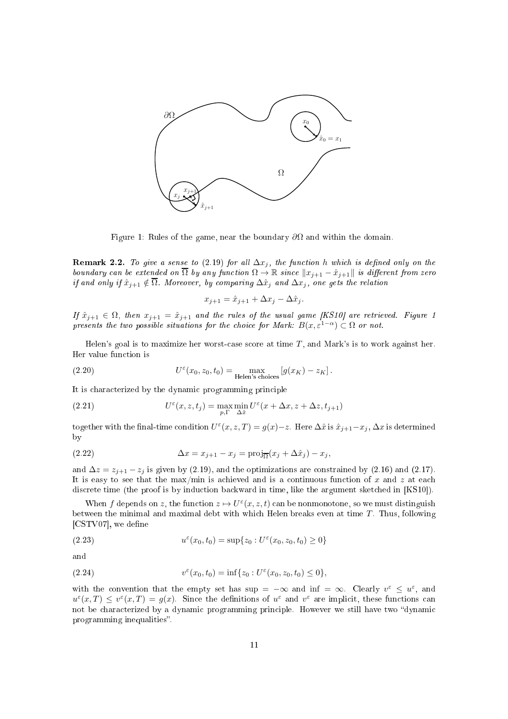

Figure 1: Rules of the game, near the boundary  $\partial\Omega$  and within the domain.

**Remark 2.2.** To give a sense to (2.19) for all  $\Delta x_i$ , the function h which is defined only on the boundary can be extended on  $\Omega$  by any function  $\Omega \to \mathbb{R}$  since  $||x_{j+1} - \hat{x}_{j+1}||$  is different from zero if and only if  $\hat{x}_{j+1} \notin \Omega$ . Moreover, by comparing  $\Delta \hat{x}_j$  and  $\Delta x_j$ , one gets the relation

$$
x_{j+1} = \hat{x}_{j+1} + \Delta x_j - \Delta \hat{x}_j.
$$

If  $\hat{x}_{j+1} \in \Omega$ , then  $x_{j+1} = \hat{x}_{j+1}$  and the rules of the usual game [KS10] are retrieved. Figure 1 presents the two possible situations for the choice for Mark:  $B(x, \varepsilon^{1-\alpha}) \subset \Omega$  or not.

Helen's goal is to maximize her worst-case score at time  $T$ , and Mark's is to work against her. Her value fun
tion is

(2.20) 
$$
U^{\varepsilon}(x_0, z_0, t_0) = \max_{\text{Helen's choices}} [g(x_K) - z_K].
$$

It is characterized by the dynamic programming principle

(2.21) 
$$
U^{\varepsilon}(x, z, t_j) = \max_{p, \Gamma} \min_{\Delta \hat{x}} U^{\varepsilon}(x + \Delta x, z + \Delta z, t_{j+1})
$$

together with the final-time condition  $U^{\varepsilon}(x, z, T) = g(x)-z$ . Here  $\Delta \hat{x}$  is  $\hat{x}_{j+1}-x_j$ ,  $\Delta x$  is determined by

(2.22) 
$$
\Delta x = x_{j+1} - x_j = \text{proj}_{\overline{\Omega}}(x_j + \Delta \hat{x}_j) - x_j,
$$

and  $\Delta z = z_{j+1} - z_j$  is given by (2.19), and the optimizations are constrained by (2.16) and (2.17). It is easy to see that the max/min is achieved and is a continuous function of x and z at each discrete time (the proof is by induction backward in time, like the argument sketched in [KS10]).

When f depends on z, the function  $z \mapsto U^{\varepsilon}(x, z, t)$  can be nonmonotone, so we must distinguish between the minimal and maximal debt with which Helen breaks even at time  $T$ . Thus, following  $[CSTV07]$ , we define

(2.23) 
$$
u^{\varepsilon}(x_0, t_0) = \sup\{z_0 : U^{\varepsilon}(x_0, z_0, t_0) \ge 0\}
$$

and

(2.24) 
$$
v^{\varepsilon}(x_0, t_0) = \inf\{z_0 : U^{\varepsilon}(x_0, z_0, t_0) \leq 0\},
$$

with the convention that the empty set has sup =  $-\infty$  and inf =  $\infty$ . Clearly  $v^{\varepsilon} \leq u^{\varepsilon}$ , and  $u^{\varepsilon}(x,T) \leq v^{\varepsilon}(x,T) = g(x)$ . Since the definitions of  $u^{\varepsilon}$  and  $v^{\varepsilon}$  are implicit, these functions can not be characterized by a dynamic programming principle. However we still have two "dynamic programming inequalities".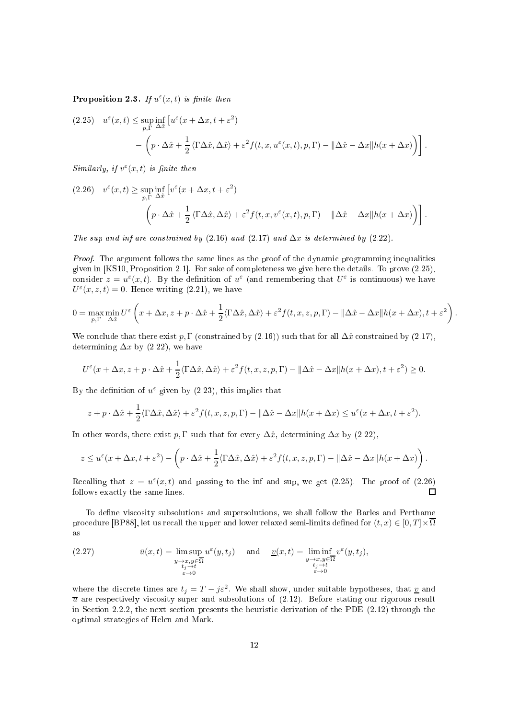**Proposition 2.3.** If  $u^{\varepsilon}(x,t)$  is finite then

(2.25) 
$$
u^{\varepsilon}(x,t) \leq \sup_{p,\Gamma} \inf_{\Delta \hat{x}} \left[ u^{\varepsilon}(x + \Delta x, t + \varepsilon^{2}) - \left( p \cdot \Delta \hat{x} + \frac{1}{2} \langle \Gamma \Delta \hat{x}, \Delta \hat{x} \rangle + \varepsilon^{2} f(t, x, u^{\varepsilon}(x, t), p, \Gamma) - ||\Delta \hat{x} - \Delta x|| h(x + \Delta x) \right) \right].
$$

Similarly, if  $v^{\varepsilon}(x,t)$  is finite then

$$
(2.26) \quad v^{\varepsilon}(x,t) \ge \sup_{p,\Gamma} \inf_{\Delta \hat{x}} \left[ v^{\varepsilon}(x + \Delta x, t + \varepsilon^2) \right] - \left( p \cdot \Delta \hat{x} + \frac{1}{2} \langle \Gamma \Delta \hat{x}, \Delta \hat{x} \rangle + \varepsilon^2 f(t, x, v^{\varepsilon}(x, t), p, \Gamma) - ||\Delta \hat{x} - \Delta x|| h(x + \Delta x) \right) \right].
$$

The sup and inf are constrained by  $(2.16)$  and  $(2.17)$  and  $\Delta x$  is determined by  $(2.22)$ .

Proof. The argument follows the same lines as the proof of the dynamic programming inequalities given in [KS10, Proposition 2.1]. For sake of completeness we give here the details. To prove  $(2.25)$ , consider  $z = u^{\varepsilon}(x, t)$ . By the definition of  $u^{\varepsilon}$  (and remembering that  $U^{\varepsilon}$  is continuous) we have  $U^{\varepsilon}(x, z, t) = 0$ . Hence writing (2.21), we have

$$
0 = \max_{p,\Gamma} \min_{\Delta \hat{x}} U^{\varepsilon} \left( x + \Delta x, z + p \cdot \Delta \hat{x} + \frac{1}{2} \langle \Gamma \Delta \hat{x}, \Delta \hat{x} \rangle + \varepsilon^{2} f(t, x, z, p, \Gamma) - ||\Delta \hat{x} - \Delta x|| h(x + \Delta x), t + \varepsilon^{2} \right).
$$

We conclude that there exist p,  $\Gamma$  (constrained by (2.16)) such that for all  $\Delta \hat{x}$  constrained by (2.17), determining  $\Delta x$  by (2.22), we have

$$
U^{\varepsilon}(x+\Delta x,z+p\cdot\Delta\hat{x}+\frac{1}{2}\langle\Gamma\Delta\hat{x},\Delta\hat{x}\rangle+\varepsilon^{2}f(t,x,z,p,\Gamma)-\|\Delta\hat{x}-\Delta x\|h(x+\Delta x),t+\varepsilon^{2})\geq 0.
$$

By the definition of  $u^{\varepsilon}$  given by (2.23), this implies that

$$
z + p \cdot \Delta \hat{x} + \frac{1}{2} \langle \Gamma \Delta \hat{x}, \Delta \hat{x} \rangle + \varepsilon^2 f(t, x, z, p, \Gamma) - ||\Delta \hat{x} - \Delta x|| h(x + \Delta x) \le u^{\varepsilon} (x + \Delta x, t + \varepsilon^2).
$$

In other words, there exist  $p, \Gamma$  such that for every  $\Delta \hat{x}$ , determining  $\Delta x$  by (2.22),

$$
z \leq u^{\varepsilon}(x + \Delta x, t + \varepsilon^{2}) - \left( p \cdot \Delta \hat{x} + \frac{1}{2} \langle \Gamma \Delta \hat{x}, \Delta \hat{x} \rangle + \varepsilon^{2} f(t, x, z, p, \Gamma) - ||\Delta \hat{x} - \Delta x||h(x + \Delta x) \right).
$$

Recalling that  $z = u^{\varepsilon}(x,t)$  and passing to the inf and sup, we get (2.25). The proof of (2.26) follows exactly the same lines.  $\Box$ 

To define viscosity subsolutions and supersolutions, we shall follow the Barles and Perthame procedure [BP88], let us recall the upper and lower relaxed semi-limits defined for  $(t, x) \in [0, T] \times \overline{\Omega}$ as

(2.27) 
$$
\bar{u}(x,t) = \limsup_{\substack{y \to x, y \in \overline{\Omega} \\ t_j \to t \\ \varepsilon \to 0}} u^{\varepsilon}(y,t_j) \quad \text{and} \quad \underline{v}(x,t) = \liminf_{\substack{y \to x, y \in \overline{\Omega} \\ t_j \to t \\ \varepsilon \to 0}} v^{\varepsilon}(y,t_j),
$$

where the discrete times are  $t_j = T - j\varepsilon^2$ . We shall show, under suitable hypotheses, that <u>v</u> and  $\overline{u}$  are respectively viscosity super and subsolutions of (2.12). Before stating our rigorous result in Se
tion 2.2.2, the next se
tion presents the heuristi derivation of the PDE (2.12) through the optimal strategies of Helen and Mark.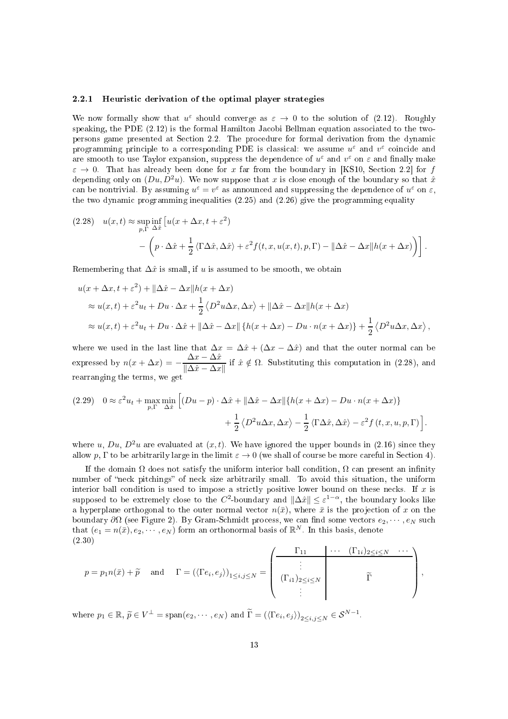### 2.2.1 Heuristi derivation of the optimal player strategies

We now formally show that  $u^{\varepsilon}$  should converge as  $\varepsilon \to 0$  to the solution of (2.12). Roughly speaking, the PDE (2.12) is the formal Hamilton Jacobi Bellman equation associated to the twopersons game presented at Se
tion 2.2. The pro
edure for formal derivation from the dynami programming principle to a corresponding PDE is classical: we assume  $u^{\varepsilon}$  and  $v^{\varepsilon}$  coincide and are smooth to use Taylor expansion, suppress the dependence of  $u^{\varepsilon}$  and  $v^{\varepsilon}$  on  $\varepsilon$  and finally make  $\varepsilon \to 0$ . That has already been done for x far from the boundary in [KS10, Section 2.2] for f depending only on  $(Du, D<sup>2</sup>u)$ . We now suppose that x is close enough of the boundary so that  $\hat{x}$ can be nontrivial. By assuming  $u^{\varepsilon} = v^{\varepsilon}$  as announced and suppressing the dependence of  $u^{\varepsilon}$  on  $\varepsilon$ , the two dynamic programming inequalities  $(2.25)$  and  $(2.26)$  give the programming equality

$$
(2.28) \quad u(x,t) \approx \sup_{p,\Gamma} \inf_{\Delta \hat{x}} \left[ u(x + \Delta x, t + \varepsilon^2) \right] - \left( p \cdot \Delta \hat{x} + \frac{1}{2} \langle \Gamma \Delta \hat{x}, \Delta \hat{x} \rangle + \varepsilon^2 f(t, x, u(x, t), p, \Gamma) - ||\Delta \hat{x} - \Delta x||h(x + \Delta x) \right) \right].
$$

Remembering that  $\Delta \hat{x}$  is small, if u is assumed to be smooth, we obtain

$$
u(x + \Delta x, t + \varepsilon^2) + ||\Delta \hat{x} - \Delta x||h(x + \Delta x)
$$
  
\n
$$
\approx u(x, t) + \varepsilon^2 u_t + Du \cdot \Delta x + \frac{1}{2} \langle D^2 u \Delta x, \Delta x \rangle + ||\Delta \hat{x} - \Delta x||h(x + \Delta x)
$$
  
\n
$$
\approx u(x, t) + \varepsilon^2 u_t + Du \cdot \Delta \hat{x} + ||\Delta \hat{x} - \Delta x|| \{h(x + \Delta x) - Du \cdot n(x + \Delta x)\} + \frac{1}{2} \langle D^2 u \Delta x, \Delta x \rangle,
$$

where we used in the last line that  $\Delta x = \Delta \hat{x} + (\Delta x - \Delta \hat{x})$  and that the outer normal can be expressed by  $n(x + \Delta x) = -\frac{\Delta x - \Delta \hat{x}}{\Delta \hat{x} - \Delta x}$  $\frac{d\mathbf{x}}{\|\Delta \hat{x} - \Delta x\|}$  if  $\hat{x} \notin \Omega$ . Substituting this computation in (2.28), and rearranging the terms, we get

(2.29) 
$$
0 \approx \varepsilon^2 u_t + \max_{p, \Gamma} \min_{\Delta \hat{x}} \left[ (Du - p) \cdot \Delta \hat{x} + ||\Delta \hat{x} - \Delta x|| \{ h(x + \Delta x) - Du \cdot n(x + \Delta x) \} + \frac{1}{2} \langle D^2 u \Delta x, \Delta x \rangle - \frac{1}{2} \langle \Gamma \Delta \hat{x}, \Delta \hat{x} \rangle - \varepsilon^2 f(t, x, u, p, \Gamma) \right].
$$

where u, Du,  $D^2u$  are evaluated at  $(x, t)$ . We have ignored the upper bounds in (2.16) since they allow p,  $\Gamma$  to be arbitrarily large in the limit  $\varepsilon \to 0$  (we shall of course be more careful in Section 4).

If the domain  $\Omega$  does not satisfy the uniform interior ball condition,  $\Omega$  can present an infinity number of "neck pitchings" of neck size arbitrarily small. To avoid this situation, the uniform interior ball condition is used to impose a strictly positive lower bound on these necks. If  $x$  is supposed to be extremely close to the  $C^2$ -boundary and  $\|\Delta \hat{x}\| \leq \varepsilon^{1-\alpha}$ , the boundary looks like a hyperplane orthogonal to the outer normal vector  $n(\bar{x})$ , where  $\bar{x}$  is the projection of x on the boundary  $\partial\Omega$  (see Figure 2). By Gram-Schmidt process, we can find some vectors  $e_2, \dots, e_N$  such that  $(e_1 = n(\bar{x}), e_2, \dots, e_N)$  form an orthonormal basis of  $\mathbb{R}^N$ . In this basis, denote (2.30)

$$
p = p_1 n(\bar{x}) + \tilde{p} \text{ and } \Gamma = (\langle \Gamma e_i, e_j \rangle)_{1 \leq i,j \leq N} = \left( \begin{array}{ccc} \Gamma_{11} & \cdots & (\Gamma_{1i})_{2 \leq i \leq N} & \cdots \\ \vdots & & & \Gamma \\ (\Gamma_{i1})_{2 \leq i \leq N} & & & \Gamma \end{array} \right),
$$

where  $p_1 \in \mathbb{R}, \tilde{p} \in V^{\perp} = \text{span}(e_2, \dots, e_N)$  and  $\overline{\Gamma} = (\langle \Gamma e_i, e_j \rangle)_{2 \le i, j \le N} \in \mathcal{S}^{N-1}$ .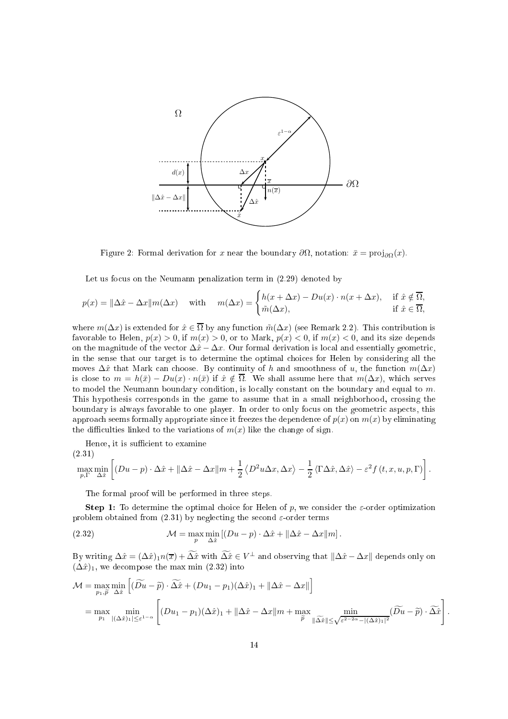

Figure 2: Formal derivation for x near the boundary  $\partial\Omega$ , notation:  $\bar{x} = \text{proj}_{\partial\Omega}(x)$ .

Let us focus on the Neumann penalization term in  $(2.29)$  denoted by

$$
p(x) = \|\Delta \hat{x} - \Delta x\| \mathbf{m}(\Delta x) \quad \text{with} \quad \mathbf{m}(\Delta x) = \begin{cases} h(x + \Delta x) - Du(x) \cdot \mathbf{n}(x + \Delta x), & \text{if } \hat{x} \notin \overline{\Omega}, \\ \tilde{m}(\Delta x), & \text{if } \hat{x} \in \overline{\Omega}, \end{cases}
$$

where  $m(\Delta x)$  is extended for  $\hat{x} \in \overline{\Omega}$  by any function  $\tilde{m}(\Delta x)$  (see Remark 2.2). This contribution is favorable to Helen,  $p(x) > 0$ , if  $m(x) > 0$ , or to Mark,  $p(x) < 0$ , if  $m(x) < 0$ , and its size depends on the magnitude of the vector  $\Delta \hat{x} - \Delta x$ . Our formal derivation is local and essentially geometric, in the sense that our target is to determine the optimal choices for Helen by considering all the moves  $\Delta x$  that Mark can choose. By continuity of h and smoothness of u, the function  $m(\Delta x)$ is close to  $m = h(\bar{x}) - Du(x) \cdot n(\bar{x})$  if  $\hat{x} \notin \overline{\Omega}$ . We shall assume here that  $m(\Delta x)$ , which serves to model the Neumann boundary condition, is locally constant on the boundary and equal to  $m$ . This hypothesis corresponds in the game to assume that in a small neighborhood, crossing the boundary is always favorable to one player. In order to only focus on the geometric aspects, this approach seems formally appropriate since it freezes the dependence of  $p(x)$  on  $m(x)$  by eliminating the difficulties linked to the variations of  $m(x)$  like the change of sign.

Hence, it is sufficient to examine

(2.31)  
\n
$$
\max_{p,\Gamma} \min_{\Delta \hat{x}} \left[ (Du - p) \cdot \Delta \hat{x} + ||\Delta \hat{x} - \Delta x||m + \frac{1}{2} \langle D^2 u \Delta x, \Delta x \rangle - \frac{1}{2} \langle \Gamma \Delta \hat{x}, \Delta \hat{x} \rangle - \varepsilon^2 f(t, x, u, p, \Gamma) \right].
$$

The formal proof will be performed in three steps.

**Step 1:** To determine the optimal choice for Helen of p, we consider the  $\varepsilon$ -order optimization problem obtained from (2.31) by neglecting the second  $\varepsilon$ -order terms

(2.32) 
$$
\mathcal{M} = \max_{p} \min_{\Delta \hat{x}} [(Du - p) \cdot \Delta \hat{x} + ||\Delta \hat{x} - \Delta x||m].
$$

By writing  $\Delta \hat{x} = (\Delta \hat{x})_1 n(\overline{x}) + \Delta \hat{x}$  with  $\Delta \hat{x} \in V^{\perp}$  and observing that  $\|\Delta \hat{x} - \Delta x\|$  depends only on  $(\Delta \hat{x})_1$ , we decompose the max min (2.32) into

$$
\mathcal{M} = \max_{p_1, \tilde{p}} \min_{\Delta \hat{x}} \left[ (\widetilde{Du} - \tilde{p}) \cdot \widetilde{\Delta x} + (Du_1 - p_1)(\Delta \hat{x})_1 + ||\Delta \hat{x} - \Delta x|| \right]
$$
  
= 
$$
\max_{p_1} \min_{|\Delta \hat{x}|_1 \le \varepsilon^{1-\alpha}} \left[ (Du_1 - p_1)(\Delta \hat{x})_1 + ||\Delta \hat{x} - \Delta x|| m + \max_{\tilde{p}} \min_{||\Delta \hat{x}|| \le \sqrt{\varepsilon^{2-2\alpha} - |(\Delta \hat{x})_1|^2}} (\widetilde{Du} - \tilde{p}) \cdot \widetilde{\Delta \hat{x}} \right].
$$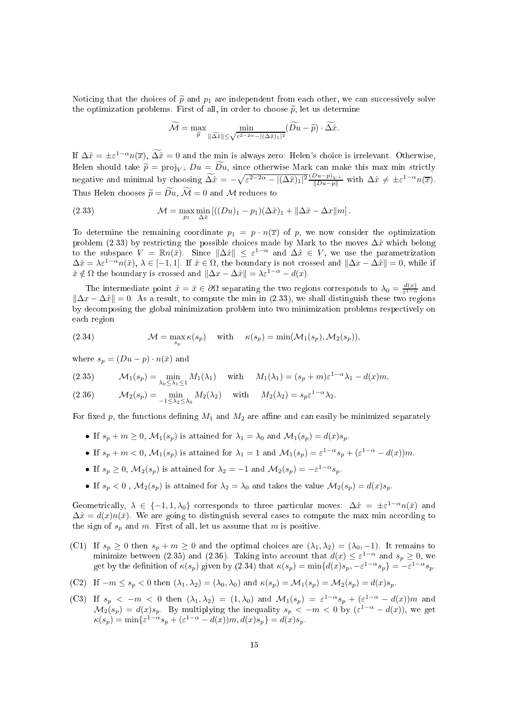Noticing that the choices of  $\tilde{p}$  and  $p_1$  are independent from each other, we can successively solve the optimization problems. First of all, in order to choose  $\tilde{p}$ , let us determine

$$
\widetilde{\mathcal{M}} = \max_{\widetilde{p}} \min_{\|\widetilde{\Delta x}\| \le \sqrt{\varepsilon^{2-2\alpha} - |(\Delta \hat{x})_1|^2}} (\widetilde{Du} - \widetilde{p}) \cdot \widetilde{\Delta x}.
$$

If  $\Delta \hat{x} = \pm \varepsilon^{1-\alpha} n(\overline{x})$ ,  $\Delta \hat{x} = 0$  and the min is always zero: Helen's choice is irrelevant. Otherwise, Helen should take  $\tilde{p} = \text{proj}_{V^{\perp}} Du = \widetilde{Du}$ , since otherwise Mark can make this max min strictly negative and minimal by choosing  $\widetilde{\Delta x} = -\sqrt{\varepsilon^{2-2\alpha} - |(\Delta \hat{x})_1|^2} \frac{(Du - p)_V \bot}{||Du - p||}$  with  $\Delta \hat{x} \neq \pm \varepsilon^{1-\alpha} n(\overline{x})$ . Thus Helen chooses  $\widetilde{p} = \widetilde{Du}$ ,  $\widetilde{\mathcal{M}} = 0$  and M reduces to

(2.33) 
$$
\mathcal{M} = \max_{p_1} \min_{\Delta \hat{x}} \left[ ((Du)_1 - p_1)(\Delta \hat{x})_1 + ||\Delta \hat{x} - \Delta x||m \right].
$$

To determine the remaining coordinate  $p_1 = p \cdot n(\bar{x})$  of p, we now consider the optimization problem (2.33) by restricting the possible choices made by Mark to the moves  $\Delta\hat{x}$  which belong to the subspace  $V = \mathbb{R}n(\bar{x})$ . Since  $\|\Delta \hat{x}\| \leq \varepsilon^{1-\alpha}$  and  $\Delta \hat{x} \in V$ , we use the parametrization  $\Delta \hat{x} = \lambda \varepsilon^{1-\alpha} n(\bar{x}), \ \lambda \in [-1,1]$ . If  $\hat{x} \in \Omega$ , the boundary is not crossed and  $\|\Delta x - \Delta \hat{x}\| = 0$ , while if  $\hat{x} \notin \Omega$  the boundary is crossed and  $\|\Delta x - \Delta \hat{x}\| = \lambda \varepsilon^{1-\alpha} - d(x)$ .

The intermediate point  $\hat{x} = \bar{x} \in \partial\Omega$  separating the two regions corresponds to  $\lambda_0 = \frac{d(x)}{\varepsilon^{1-\alpha}}$  $\frac{1}{\varepsilon^{1-\alpha}}$  and  $\|\Delta x - \Delta \hat{x}\| = 0$ . As a result, to compute the min in (2.33), we shall distinguish these two regions by de
omposing the global minimization problem into two minimization problems respe
tively on ea
h region

(2.34) 
$$
\mathcal{M} = \max_{s_p} \kappa(s_p) \quad \text{with} \quad \kappa(s_p) = \min(\mathcal{M}_1(s_p), \mathcal{M}_2(s_p)),
$$

where  $s_p = (Du - p) \cdot n(\bar{x})$  and

(2.35) 
$$
\mathcal{M}_1(s_p) = \min_{\lambda_0 \leq \lambda_1 \leq 1} M_1(\lambda_1) \quad \text{with} \quad M_1(\lambda_1) = (s_p + m)\varepsilon^{1-\alpha}\lambda_1 - d(x)m,
$$

(2.36) 
$$
\mathcal{M}_2(s_p) = \min_{-1 \leq \lambda_2 \leq \lambda_0} M_2(\lambda_2) \quad \text{with} \quad M_2(\lambda_2) = s_p \varepsilon^{1-\alpha} \lambda_2.
$$

For fixed p, the functions defining  $M_1$  and  $M_2$  are affine and can easily be minimized separately

- If  $s_n + m \geq 0$ ,  $\mathcal{M}_1(s_n)$  is attained for  $\lambda_1 = \lambda_0$  and  $\mathcal{M}_1(s_n) = d(x)s_n$ .
- If  $s_p + m < 0$ ,  $\mathcal{M}_1(s_p)$  is attained for  $\lambda_1 = 1$  and  $\mathcal{M}_1(s_p) = \varepsilon^{1-\alpha}s_p + (\varepsilon^{1-\alpha} d(x))m$ .
- If  $s_p \geq 0$ ,  $\mathcal{M}_2(s_p)$  is attained for  $\lambda_2 = -1$  and  $\mathcal{M}_2(s_p) = -\varepsilon^{1-\alpha} s_p$ .
- If  $s_p < 0$ ,  $\mathcal{M}_2(s_p)$  is attained for  $\lambda_2 = \lambda_0$  and takes the value  $\mathcal{M}_2(s_p) = d(x)s_p$ .

Geometrically,  $\lambda \in \{-1, 1, \lambda_0\}$  corresponds to three particular moves:  $\Delta \hat{x} = \pm \varepsilon^{1-\alpha} n(\bar{x})$  and  $\Delta \hat{x} = d(x)n(\bar{x})$ . We are going to distinguish several cases to compute the max min according to the sign of  $s_p$  and m. First of all, let us assume that m is positive.

- (C1) If  $s_p \geq 0$  then  $s_p + m \geq 0$  and the optimal choices are  $(\lambda_1, \lambda_2) = (\lambda_0, -1)$ . It remains to minimize between (2.35) and (2.36). Taking into account that  $d(x) \leq \varepsilon^{1-\alpha}$  and  $s_p \geq 0$ , we get by the definition of  $\kappa(s_p)$  given by  $(2.34)$  that  $\kappa(s_p) = \min\{d(x)s_p, -\varepsilon^{1-\alpha}s_p\} = -\varepsilon^{1-\alpha}s_p$ .
- (C2) If  $-m \leq s_p < 0$  then  $(\lambda_1, \lambda_2) = (\lambda_0, \lambda_0)$  and  $\kappa(s_p) = \mathcal{M}_1(s_p) = \mathcal{M}_2(s_p) = d(x)s_p$ .
- (C3) If  $s_p < -m < 0$  then  $(\lambda_1, \lambda_2) = (1, \lambda_0)$  and  $\mathcal{M}_1(s_p) = \varepsilon^{1-\alpha} s_p + (\varepsilon^{1-\alpha} d(x))m$  and  $M_2(s_p) = d(x)s_p$ . By multiplying the inequality  $s_p < -m < 0$  by  $(\varepsilon^{1-\alpha} - d(x))$ , we get  $\kappa(s_p) = \min\{\varepsilon^{1-\alpha}s_p + (\varepsilon^{1-\alpha} - d(x))m, d(x)s_p\} = d(x)s_p.$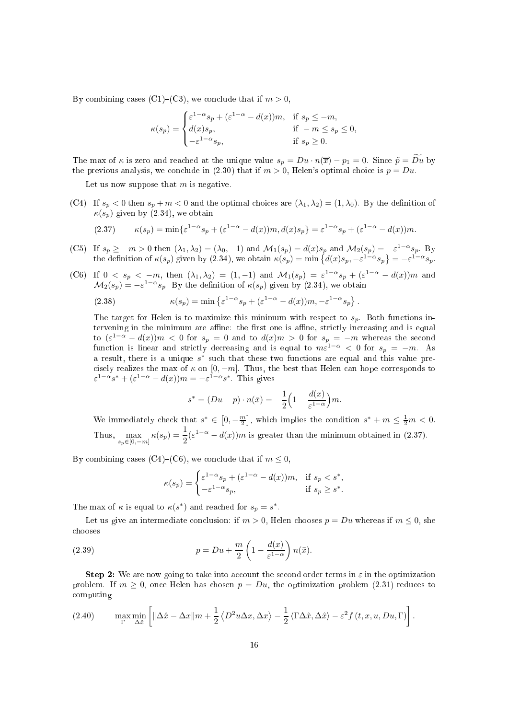By combining cases (C1)–(C3), we conclude that if  $m > 0$ ,

$$
\kappa(s_p) = \begin{cases} \varepsilon^{1-\alpha}s_p + (\varepsilon^{1-\alpha} - d(x))m, & \text{if } s_p \leq -m, \\ d(x)s_p, & \text{if } -m \leq s_p \leq 0, \\ -\varepsilon^{1-\alpha}s_p, & \text{if } s_p \geq 0. \end{cases}
$$

The max of  $\kappa$  is zero and reached at the unique value  $s_p = Du \cdot n(\overline{x}) - p_1 = 0$ . Since  $\tilde{p} = Du$  by the previous analysis, we conclude in (2.30) that if  $m > 0$ , Helen's optimal choice is  $p = Du$ .

Let us now suppose that  $m$  is negative.

(C4) If  $s_p < 0$  then  $s_p + m < 0$  and the optimal choices are  $(\lambda_1, \lambda_2) = (1, \lambda_0)$ . By the definition of  $\kappa(s_p)$  given by (2.34), we obtain

(2.37) 
$$
\kappa(s_p) = \min \{ \varepsilon^{1-\alpha} s_p + (\varepsilon^{1-\alpha} - d(x))m, d(x)s_p \} = \varepsilon^{1-\alpha} s_p + (\varepsilon^{1-\alpha} - d(x))m.
$$

- (C5) If  $s_p \ge -m > 0$  then  $(\lambda_1, \lambda_2) = (\lambda_0, -1)$  and  $\mathcal{M}_1(s_p) = d(x)s_p$  and  $\mathcal{M}_2(s_p) = -\varepsilon^{1-\alpha}s_p$ . By the definition of  $\kappa(s_p)$  given by (2.34), we obtain  $\kappa(s_p) = \min \left\{ d(x)s_p, -\varepsilon^{1-\alpha}s_p \right\} = -\varepsilon^{1-\alpha}s_p$ .
- (C6) If  $0 \le s_p \le -m$ , then  $(\lambda_1, \lambda_2) = (1, -1)$  and  $\mathcal{M}_1(s_p) = \varepsilon^{1-\alpha}s_p + (\varepsilon^{1-\alpha} d(x))m$  and  $\mathcal{M}_2(s_p) = -\varepsilon^{1-\alpha}s_p$ . By the definition of  $\kappa(s_p)$  given by (2.34), we obtain

(2.38) 
$$
\kappa(s_p) = \min \left\{ \varepsilon^{1-\alpha} s_p + (\varepsilon^{1-\alpha} - d(x))m, -\varepsilon^{1-\alpha} s_p \right\}.
$$

The target for Helen is to maximize this minimum with respect to  $s_p$ . Both functions intervening in the minimum are affine: the first one is affine, strictly increasing and is equal to  $(\varepsilon^{1-\alpha} - d(x))m < 0$  for  $s_p = 0$  and to  $d(x)m > 0$  for  $s_p = -m$  whereas the second function is linear and strictly decreasing and is equal to  $m\epsilon^{1-\alpha} < 0$  for  $s_p = -m$ . As a result, there is a unique  $s^*$  such that these two functions are equal and this value precisely realizes the max of  $\kappa$  on  $[0, -m]$ . Thus, the best that Helen can hope corresponds to  $\varepsilon^{1-\alpha}s^* + (\varepsilon^{1-\alpha} - d(x))m = -\varepsilon^{1-\alpha}s^*$ . This gives

$$
s^* = (Du - p) \cdot n(\bar{x}) = -\frac{1}{2} \left( 1 - \frac{d(x)}{\varepsilon^{1-\alpha}} \right) m.
$$

We immediately check that  $s^* \in [0, -\frac{m}{2}]$ , which implies the condition  $s^* + m \leq \frac{1}{2}m < 0$ . Thus,  $\max_{s_p \in [0,-m]} \kappa(s_p) = \frac{1}{2} (\varepsilon^{1-\alpha} - d(x))m$  is greater than the minimum obtained in (2.37).

By combining cases (C4)–(C6), we conclude that if  $m \leq 0$ ,

$$
\kappa(s_p) = \begin{cases} \varepsilon^{1-\alpha}s_p + (\varepsilon^{1-\alpha} - d(x))m, & \text{if } s_p < s^*, \\ -\varepsilon^{1-\alpha}s_p, & \text{if } s_p \ge s^*. \end{cases}
$$

The max of  $\kappa$  is equal to  $\kappa(s^*)$  and reached for  $s_p = s^*$ .

Let us give an intermediate conclusion: if  $m > 0$ . Helen chooses  $p = Du$  whereas if  $m \le 0$ , she hooses

(2.39) 
$$
p = Du + \frac{m}{2} \left( 1 - \frac{d(x)}{\varepsilon^{1-\alpha}} \right) n(\bar{x}).
$$

Step 2: We are now going to take into account the second order terms in  $\varepsilon$  in the optimization problem. If  $m \geq 0$ , once Helen has chosen  $p = Du$ , the optimization problem (2.31) reduces to omputing

(2.40) 
$$
\max_{\Gamma} \min_{\Delta \hat{x}} \left[ \|\Delta \hat{x} - \Delta x\| m + \frac{1}{2} \langle D^2 u \Delta x, \Delta x \rangle - \frac{1}{2} \langle \Gamma \Delta \hat{x}, \Delta \hat{x} \rangle - \varepsilon^2 f(t, x, u, Du, \Gamma) \right].
$$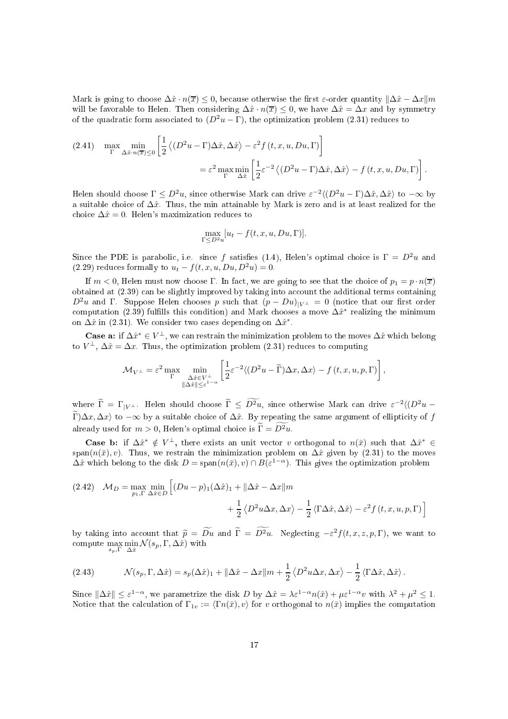Mark is going to choose  $\Delta \hat{x} \cdot n(\overline{x}) \leq 0$ , because otherwise the first  $\varepsilon$ -order quantity  $\|\Delta \hat{x} - \Delta x\|$ m will be favorable to Helen. Then considering  $\Delta x \cdot n(\overline{x}) \leq 0$ , we have  $\Delta x = \Delta x$  and by symmetry of the quadratic form associated to  $(D^2u - \Gamma)$ , the optimization problem (2.31) reduces to

(2.41) 
$$
\max_{\Gamma} \min_{\Delta \hat{x} \cdot n(\overline{x}) \le 0} \left[ \frac{1}{2} \left\langle (D^2 u - \Gamma) \Delta \hat{x}, \Delta \hat{x} \right\rangle - \varepsilon^2 f(t, x, u, Du, \Gamma) \right]
$$

$$
= \varepsilon^2 \max_{\Gamma} \min_{\Delta \hat{x}} \left[ \frac{1}{2} \varepsilon^{-2} \left\langle (D^2 u - \Gamma) \Delta \hat{x}, \Delta \hat{x} \right\rangle - f(t, x, u, Du, \Gamma) \right].
$$

Helen should choose  $\Gamma \leq D^2u$ , since otherwise Mark can drive  $\varepsilon^{-2}\langle (D^2u - \Gamma)\Delta \hat{x}, \Delta \hat{x} \rangle$  to  $-\infty$  by a suitable choice of  $\Delta \hat{x}$ . Thus, the min attainable by Mark is zero and is at least realized for the choice  $\Delta \hat{x} = 0$ . Helen's maximization reduces to

$$
\max_{\Gamma \leq D^2 u} [u_t - f(t, x, u, Du, \Gamma)].
$$

Since the PDE is parabolic, i.e. since f satisfies (1.4), Helen's optimal choice is  $\Gamma = D^2 u$  and (2.29) reduces formally to  $u_t - f(t, x, u, Du, D^2u) = 0$ .

If  $m < 0$ , Helen must now choose  $\Gamma$ . In fact, we are going to see that the choice of  $p_1 = p \cdot n(\overline{x})$ obtained at  $(2.39)$  can be slightly improved by taking into account the additional terms containing  $D^2u$  and Γ. Suppose Helen chooses p such that  $(p - Du)_{|V^{\perp}} = 0$  (notice that our first order computation (2.39) fulfills this condition) and Mark chooses a move  $\Delta \hat{x}^*$  realizing the minimum on  $\Delta \hat{x}$  in (2.31). We consider two cases depending on  $\Delta \hat{x}^*$ .

Case a: if  $\Delta \hat{x}^* \in V^{\perp}$ , we can restrain the minimization problem to the moves  $\Delta \hat{x}$  which belong to  $V^{\perp}$ ,  $\Delta \hat{x} = \Delta x$ . Thus, the optimization problem (2.31) reduces to computing

$$
\mathcal{M}_{V^{\perp}} = \varepsilon^{2} \max_{\Gamma} \min_{\substack{\Delta \hat{x} \in V^{\perp} \\ \|\Delta \hat{x}\| \le \varepsilon^{1-\alpha}}} \left[ \frac{1}{2} \varepsilon^{-2} \langle (D^{2} u - \widetilde{\Gamma}) \Delta x, \Delta x \rangle - f(t, x, u, p, \Gamma) \right],
$$

where  $\tilde{\Gamma} = \Gamma_{|V^{\perp}}$ . Helen should choose  $\tilde{\Gamma} \leq D^2u$ , since otherwise Mark can drive  $\varepsilon^{-2} \langle (D^2u - \tilde{\Gamma}^2u - \tilde{\Gamma}^2u - \tilde{\Gamma}^2u - \tilde{\Gamma}^2u - \tilde{\Gamma}^2u - \tilde{\Gamma}^2u - \tilde{\Gamma}^2u - \tilde{\Gamma}^2u - \tilde{\Gamma}^2u - \tilde{\Gamma}^2u - \tilde{\Gamma}^2u - \$  $\widetilde{\Gamma}(\Delta x, \Delta x)$  to  $-\infty$  by a suitable choice of  $\Delta \hat{x}$ . By repeating the same argument of ellipticity of f already used for  $m > 0$ . Helen's optimal choice is  $\widetilde{\Gamma} = \widetilde{D^2u}$ .

Case b: if  $\Delta \hat{x}^* \notin V^{\perp}$ , there exists an unit vector v orthogonal to  $n(\bar{x})$  such that  $\Delta \hat{x}^* \in$ span( $n(\bar{x}), v$ ). Thus, we restrain the minimization problem on  $\Delta \hat{x}$  given by (2.31) to the moves  $\Delta \hat{x}$  which belong to the disk  $D = \text{span}(n(\bar{x}), v) \cap B(\varepsilon^{1-\alpha})$ . This gives the optimization problem

(2.42) 
$$
\mathcal{M}_D = \max_{p_1, \Gamma} \min_{\Delta \hat{x} \in D} \left[ (Du - p)_1 (\Delta \hat{x})_1 + ||\Delta \hat{x} - \Delta x||m + \frac{1}{2} \langle D^2 u \Delta x, \Delta x \rangle - \frac{1}{2} \langle \Gamma \Delta \hat{x}, \Delta \hat{x} \rangle - \varepsilon^2 f(t, x, u, p, \Gamma) \right]
$$

by taking into account that  $\tilde{p} = D\tilde{u}$  and  $\tilde{\Gamma} = D^2u$ . Neglecting  $-\varepsilon^2 f(t, x, z, p, \Gamma)$ , we want to compute  $\max_{s_p, \Gamma} \min_{\Delta \hat{x}} \mathcal{N}(s_p, \Gamma, \Delta \hat{x})$  with

(2.43) 
$$
\mathcal{N}(s_p, \Gamma, \Delta \hat{x}) = s_p(\Delta \hat{x})_1 + ||\Delta \hat{x} - \Delta x||_m + \frac{1}{2} \langle D^2 u \Delta x, \Delta x \rangle - \frac{1}{2} \langle \Gamma \Delta \hat{x}, \Delta \hat{x} \rangle.
$$

Since  $\|\Delta \hat{x}\| \leq \varepsilon^{1-\alpha}$ , we parametrize the disk D by  $\Delta \hat{x} = \lambda \varepsilon^{1-\alpha} n(\bar{x}) + \mu \varepsilon^{1-\alpha} v$  with  $\lambda^2 + \mu^2 \leq 1$ . Notice that the calculation of  $\Gamma_{1v} := \langle \Gamma n(\bar{x}), v \rangle$  for v orthogonal to  $n(\bar{x})$  implies the computation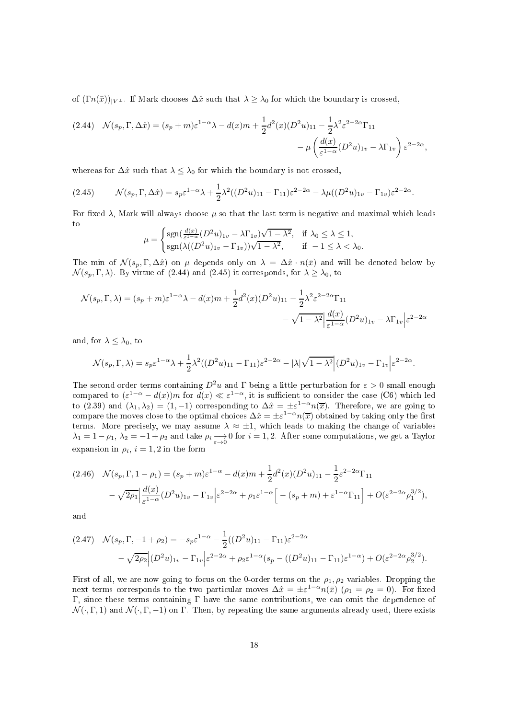of  $( \Gamma n(\bar{x}) )_{\vert V^{\perp}}$ . If Mark chooses  $\Delta \hat{x}$  such that  $\lambda \geq \lambda_0$  for which the boundary is crossed,

$$
(2.44) \quad \mathcal{N}(s_p, \Gamma, \Delta \hat{x}) = (s_p + m)\varepsilon^{1-\alpha}\lambda - d(x)m + \frac{1}{2}d^2(x)(D^2u)_{11} - \frac{1}{2}\lambda^2\varepsilon^{2-2\alpha}\Gamma_{11} - \mu\left(\frac{d(x)}{\varepsilon^{1-\alpha}}(D^2u)_{1v} - \lambda\Gamma_{1v}\right)\varepsilon^{2-2\alpha},
$$

whereas for  $\Delta \hat{x}$  such that  $\lambda \leq \lambda_0$  for which the boundary is not crossed,

$$
(2.45) \qquad \mathcal{N}(s_p, \Gamma, \Delta \hat{x}) = s_p \varepsilon^{1-\alpha} \lambda + \frac{1}{2} \lambda^2 ((D^2 u)_{11} - \Gamma_{11}) \varepsilon^{2-2\alpha} - \lambda \mu ((D^2 u)_{1v} - \Gamma_{1v}) \varepsilon^{2-2\alpha}.
$$

For fixed  $\lambda$ , Mark will always choose  $\mu$  so that the last term is negative and maximal which leads

$$
\mu = \begin{cases} \text{sgn}(\frac{d(x)}{\varepsilon^{1-\alpha}}(D^2u)_{1v} - \lambda \Gamma_{1v})\sqrt{1-\lambda^2}, & \text{if } \lambda_0 \le \lambda \le 1, \\ \text{sgn}(\lambda((D^2u)_{1v} - \Gamma_{1v}))\sqrt{1-\lambda^2}, & \text{if } -1 \le \lambda < \lambda_0. \end{cases}
$$

The min of  $\mathcal{N}(s_p, \Gamma, \Delta \hat{x})$  on  $\mu$  depends only on  $\lambda = \Delta \hat{x} \cdot n(\bar{x})$  and will be denoted below by  $\mathcal{N}(s_p, \Gamma, \lambda)$ . By virtue of (2.44) and (2.45) it corresponds, for  $\lambda \geq \lambda_0$ , to

$$
\mathcal{N}(s_p, \Gamma, \lambda) = (s_p + m)\varepsilon^{1-\alpha}\lambda - d(x)m + \frac{1}{2}d^2(x)(D^2u)_{11} - \frac{1}{2}\lambda^2\varepsilon^{2-2\alpha}\Gamma_{11} - \sqrt{1-\lambda^2}\left|\frac{d(x)}{\varepsilon^{1-\alpha}}(D^2u)_{1v} - \lambda\Gamma_{1v}\right|\varepsilon^{2-2\alpha}
$$

and, for  $\lambda \leq \lambda_0$ , to

$$
\mathcal{N}(s_p, \Gamma, \lambda) = s_p \varepsilon^{1-\alpha} \lambda + \frac{1}{2} \lambda^2 ((D^2 u)_{11} - \Gamma_{11}) \varepsilon^{2-2\alpha} - |\lambda| \sqrt{1-\lambda^2} |(D^2 u)_{1v} - \Gamma_{1v}| \varepsilon^{2-2\alpha}.
$$

The second order terms containing  $D^2u$  and  $\Gamma$  being a little perturbation for  $\varepsilon > 0$  small enough compared to  $(\varepsilon^{1-\alpha} - d(x))m$  for  $d(x) \ll \varepsilon^{1-\alpha}$ , it is sufficient to consider the case (C6) which led to (2.39) and  $(\lambda_1, \lambda_2) = (1, -1)$  corresponding to  $\Delta \hat{x} = \pm \varepsilon^{1-\alpha} n(\overline{x})$ . Therefore, we are going to compare the moves close to the optimal choices  $\Delta \hat{x} = \pm \varepsilon^{1-\alpha} n(\overline{x})$  obtained by taking only the first terms. More precisely, we may assume  $\lambda \approx \pm 1$ , which leads to making the change of variables  $\lambda_1 = 1 - \rho_1$ ,  $\lambda_2 = -1 + \rho_2$  and take  $\rho_i \longrightarrow 0$  for  $i = 1, 2$ . After some computations, we get a Taylor expansion in  $\rho_i$ ,  $i = 1, 2$  in the form

$$
(2.46) \quad \mathcal{N}(s_p, \Gamma, 1 - \rho_1) = (s_p + m)\varepsilon^{1-\alpha} - d(x)m + \frac{1}{2}d^2(x)(D^2u)_{11} - \frac{1}{2}\varepsilon^{2-2\alpha}\Gamma_{11} - \sqrt{2\rho_1} \Big| \frac{d(x)}{\varepsilon^{1-\alpha}}(D^2u)_{1v} - \Gamma_{1v} \Big| \varepsilon^{2-2\alpha} + \rho_1 \varepsilon^{1-\alpha} \Big[ - (s_p + m) + \varepsilon^{1-\alpha}\Gamma_{11} \Big] + O(\varepsilon^{2-2\alpha}\rho_1^{3/2}),
$$

and

$$
(2.47) \quad \mathcal{N}(s_p, \Gamma, -1 + \rho_2) = -s_p \varepsilon^{1-\alpha} - \frac{1}{2} ((D^2 u)_{11} - \Gamma_{11}) \varepsilon^{2-2\alpha} - \sqrt{2\rho_2} |(D^2 u)_{1v} - \Gamma_{1v}| \varepsilon^{2-2\alpha} + \rho_2 \varepsilon^{1-\alpha} (s_p - ((D^2 u)_{11} - \Gamma_{11}) \varepsilon^{1-\alpha}) + O(\varepsilon^{2-2\alpha} \rho_2^{3/2}).
$$

First of all, we are now going to focus on the 0-order terms on the  $\rho_1$ ,  $\rho_2$  variables. Dropping the next terms corresponds to the two particular moves  $\Delta \hat{x} = \pm \varepsilon^{1-\alpha} n(\bar{x})$  ( $\rho_1 = \rho_2 = 0$ ). For fixed  $Γ$ , since these terms containing  $Γ$  have the same contributions, we can omit the dependence of  $\mathcal{N}(\cdot, \Gamma, 1)$  and  $\mathcal{N}(\cdot, \Gamma, -1)$  on  $\Gamma$ . Then, by repeating the same arguments already used, there exists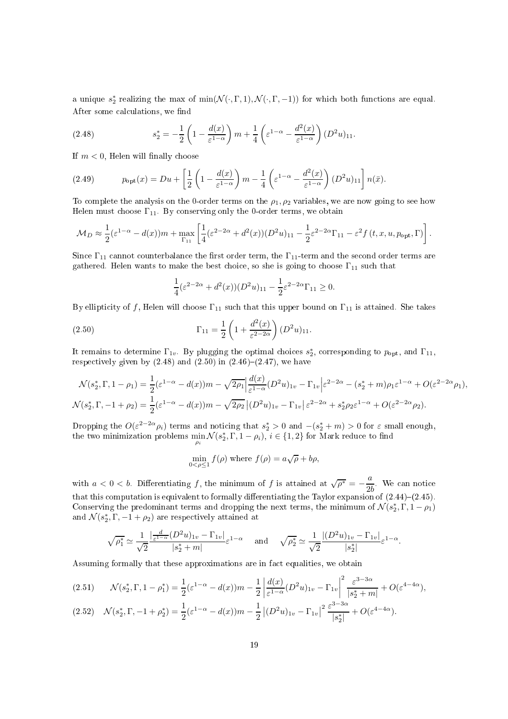a unique  $s_2^*$  realizing the max of  $\min(\mathcal{N}(\cdot, \Gamma, 1), \mathcal{N}(\cdot, \Gamma, -1))$  for which both functions are equal. After some calculations, we find

(2.48) 
$$
s_2^* = -\frac{1}{2} \left( 1 - \frac{d(x)}{\varepsilon^{1-\alpha}} \right) m + \frac{1}{4} \left( \varepsilon^{1-\alpha} - \frac{d^2(x)}{\varepsilon^{1-\alpha}} \right) (D^2 u)_{11}.
$$

If  $m < 0$ , Helen will finally choose

(2.49) 
$$
p_{\text{opt}}(x) = Du + \left[\frac{1}{2}\left(1 - \frac{d(x)}{\varepsilon^{1-\alpha}}\right)m - \frac{1}{4}\left(\varepsilon^{1-\alpha} - \frac{d^2(x)}{\varepsilon^{1-\alpha}}\right)(D^2u)_{11}\right]n(\bar{x}).
$$

To complete the analysis on the 0-order terms on the  $\rho_1, \rho_2$  variables, we are now going to see how Helen must choose  $\Gamma_{11}$ . By conserving only the 0-order terms, we obtain

$$
\mathcal{M}_D \approx \frac{1}{2} (\varepsilon^{1-\alpha} - d(x)) m + \max_{\Gamma_{11}} \left[ \frac{1}{4} (\varepsilon^{2-2\alpha} + d^2(x)) (D^2 u)_{11} - \frac{1}{2} \varepsilon^{2-2\alpha} \Gamma_{11} - \varepsilon^2 f(t, x, u, p_{\text{opt}}, \Gamma) \right].
$$

Since  $\Gamma_{11}$  cannot counterbalance the first order term, the  $\Gamma_{11}$ -term and the second order terms are gathered. Helen wants to make the best choice, so she is going to choose  $\Gamma_{11}$  such that

$$
\frac{1}{4}(\varepsilon^{2-2\alpha} + d^2(x))(D^2u)_{11} - \frac{1}{2}\varepsilon^{2-2\alpha}\Gamma_{11} \ge 0.
$$

By ellipticity of f, Helen will choose  $\Gamma_{11}$  such that this upper bound on  $\Gamma_{11}$  is attained. She takes

(2.50) 
$$
\Gamma_{11} = \frac{1}{2} \left( 1 + \frac{d^2(x)}{\varepsilon^{2-2\alpha}} \right) (D^2 u)_{11}.
$$

It remains to determine  $\Gamma_{1v}$ . By plugging the optimal choices  $s_2^*$ , corresponding to  $p_{\text{opt}}$ , and  $\Gamma_{11}$ , respectively given by  $(2.48)$  and  $(2.50)$  in  $(2.46)-(2.47)$ , we have

$$
\mathcal{N}(s_2^*, \Gamma, 1 - \rho_1) = \frac{1}{2} (\varepsilon^{1-\alpha} - d(x)) m - \sqrt{2\rho_1} \Big| \frac{d(x)}{\varepsilon^{1-\alpha}} (D^2 u)_{1v} - \Gamma_{1v} \Big| \varepsilon^{2-2\alpha} - (s_2^* + m)\rho_1 \varepsilon^{1-\alpha} + O(\varepsilon^{2-2\alpha}\rho_1),
$$
  

$$
\mathcal{N}(s_2^*, \Gamma, -1 + \rho_2) = \frac{1}{2} (\varepsilon^{1-\alpha} - d(x)) m - \sqrt{2\rho_2} \Big| (D^2 u)_{1v} - \Gamma_{1v} \Big| \varepsilon^{2-2\alpha} + s_2^* \rho_2 \varepsilon^{1-\alpha} + O(\varepsilon^{2-2\alpha}\rho_2).
$$

Dropping the  $O(\varepsilon^{2-2\alpha}\rho_i)$  terms and noticing that  $s_2^* > 0$  and  $-(s_2^* + m) > 0$  for  $\varepsilon$  small enough, the two minimization problems  $\min_{\rho_i} \mathcal{N}(s_2^*, \Gamma, 1-\rho_i), \ i\in \{1,2\}$  for Mark reduce to find

$$
\min_{0 < \rho \le 1} f(\rho) \text{ where } f(\rho) = a\sqrt{\rho} + b\rho,
$$

with  $a < 0 < b$ . Differentiating f, the minimum of f is attained at  $\sqrt{\rho^*} = -\frac{a}{2l}$  $2b$  . We can notice that this computation is equivalent to formally differentiating the Taylor expansion of  $(2.44)-(2.45)$ . Conserving the predominant terms and dropping the next terms, the minimum of  $\mathcal{N}(s_2^*, \Gamma, 1-\rho_1)$ and  $\mathcal{N}(s_2^*, \Gamma, -1 + \rho_2)$  are respectively attained at

$$
\sqrt{\rho_1^*} \simeq \frac{1}{\sqrt{2}} \frac{|\frac{d}{\varepsilon^{1-\alpha}}(D^2u)_{1v} - \Gamma_{1v}|}{|s_2^* + m|} \varepsilon^{1-\alpha} \quad \text{and} \quad \sqrt{\rho_2^*} \simeq \frac{1}{\sqrt{2}} \frac{|(D^2u)_{1v} - \Gamma_{1v}|}{|s_2^*|} \varepsilon^{1-\alpha}.
$$

Assuming formally that these approximations are in fact equalities, we obtain

$$
(2.51) \qquad \mathcal{N}(s_2^*, \Gamma, 1 - \rho_1^*) = \frac{1}{2} (\varepsilon^{1-\alpha} - d(x)) m - \frac{1}{2} \left| \frac{d(x)}{\varepsilon^{1-\alpha}} (D^2 u)_{1v} - \Gamma_{1v} \right|^2 \frac{\varepsilon^{3-3\alpha}}{|s_2^* + m|} + O(\varepsilon^{4-4\alpha}),
$$
  

$$
(2.52) \qquad \mathcal{N}(s_2^*, \Gamma, -1 + \rho_2^*) = \frac{1}{2} (\varepsilon^{1-\alpha} - d(x)) m - \frac{1}{2} |(D^2 u)_{1v} - \Gamma_{1v}|^2 \frac{\varepsilon^{3-3\alpha}}{|s_2^*|} + O(\varepsilon^{4-4\alpha}).
$$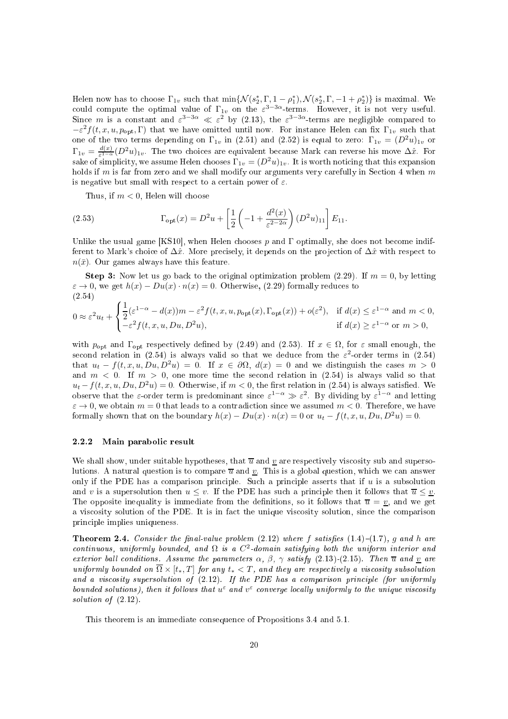Helen now has to choose  $\Gamma_{1v}$  such that  $\min\{\mathcal{N}(s_2^*,\Gamma,1-\rho_1^*),\mathcal{N}(s_2^*,\Gamma,-1+\rho_2^*)\}\$ is maximal. We could compute the optimal value of  $\Gamma_{1v}$  on the  $\varepsilon^{3-3\alpha}$ -terms. However, it is not very useful.<br>Since m is a constant and  $\varepsilon^{3-3\alpha} \ll \varepsilon^2$  by (2.13), the  $\varepsilon^{3-3\alpha}$ -terms are negligible compared to  $-\varepsilon^2 f(t, x, u, p_{\text{opt}}, \Gamma)$  that we have omitted until now. For instance Helen can fix  $\Gamma_{1v}$  such that one of the two terms depending on  $\Gamma_{1v}$  in (2.51) and (2.52) is equal to zero:  $\Gamma_{1v} = (D^2u)_{1v}$  or  $\Gamma_{1v} = \frac{d(x)}{\epsilon^{1-\alpha}}$  $\frac{d(x)}{\varepsilon^{1-\alpha}}(D^2u)_{1v}$ . The two choices are equivalent because Mark can reverse his move  $\Delta\hat{x}$ . For sake of simplicity, we assume Helen chooses  $\Gamma_{1v} = (D^2u)_{1v}$ . It is worth noticing that this expansion holds if  $m$  is far from zero and we shall modify our arguments very carefully in Section 4 when  $m$ is negative but small with respect to a certain power of  $\varepsilon$ .

Thus, if  $m < 0$ , Helen will choose

(2.53) 
$$
\Gamma_{\text{opt}}(x) = D^2 u + \left[ \frac{1}{2} \left( -1 + \frac{d^2(x)}{\varepsilon^{2-2\alpha}} \right) (D^2 u)_{11} \right] E_{11}.
$$

Unlike the usual game [KS10], when Helen chooses p and  $\Gamma$  optimally, she does not become indifferent to Mark's choice of  $\Delta \hat{x}$ . More precisely, it depends on the projection of  $\Delta \hat{x}$  with respect to  $n(\bar{x})$ . Our games always have this feature.

**Step 3:** Now let us go back to the original optimization problem (2.29). If  $m = 0$ , by letting  $\varepsilon \to 0$ , we get  $h(x) - Du(x) \cdot n(x) = 0$ . Otherwise, (2.29) formally reduces to (2.54)

$$
0 \approx \varepsilon^2 u_t + \begin{cases} \frac{1}{2} (\varepsilon^{1-\alpha} - d(x))m - \varepsilon^2 f(t, x, u, p_{\text{opt}}(x), \Gamma_{\text{opt}}(x)) + o(\varepsilon^2), & \text{if } d(x) \le \varepsilon^{1-\alpha} \text{ and } m < 0, \\ -\varepsilon^2 f(t, x, u, Du, D^2 u), & \text{if } d(x) \ge \varepsilon^{1-\alpha} \text{ or } m > 0, \end{cases}
$$

with  $p_{opt}$  and  $\Gamma_{opt}$  respectively defined by (2.49) and (2.53). If  $x \in \Omega$ , for  $\varepsilon$  small enough, the second relation in (2.54) is always valid so that we deduce from the  $\varepsilon^2$ -order terms in (2.54) that  $u_t - f(t, x, u, Du, D^2u) = 0$ . If  $x \in \partial \Omega$ ,  $d(x) = 0$  and we distinguish the cases  $m > 0$ and  $m < 0$ . If  $m > 0$ , one more time the second relation in (2.54) is always valid so that  $u_t - f(t, x, u, Du, D^2u) = 0$ . Otherwise, if  $m < 0$ , the first relation in (2.54) is always satisfied. We observe that the  $\varepsilon$ -order term is predominant since  $\varepsilon^{1-\alpha} \gg \varepsilon^2$ . By dividing by  $\varepsilon^{1-\alpha}$  and letting  $\varepsilon \to 0$ , we obtain  $m = 0$  that leads to a contradiction since we assumed  $m < 0$ . Therefore, we have formally shown that on the boundary  $h(x) - Du(x) \cdot n(x) = 0$  or  $u_t - f(t, x, u, Du, D^2 u) = 0$ .

#### 2.2.2 Main parabolic result

We shall show, under suitable hypotheses, that  $\overline{u}$  and  $\underline{v}$  are respectively viscosity sub and supersolutions. A natural question is to compare  $\overline{u}$  and  $\underline{v}$ . This is a global question, which we can answer only if the PDE has a comparison principle. Such a principle asserts that if  $u$  is a subsolution and v is a supersolution then  $u \leq v$ . If the PDE has such a principle then it follows that  $\overline{u} \leq v$ . The opposite inequality is immediate from the definitions, so it follows that  $\overline{u} = v$ , and we get a viscosity solution of the PDE. It is in fact the unique viscosity solution, since the comparison prin
iple implies uniqueness.

**Theorem 2.4.** Consider the final-value problem  $(2.12)$  where f satisfies  $(1.4)-(1.7)$ , g and h are continuous, uniformly bounded, and  $\Omega$  is a  $C^2$ -domain satisfying both the uniform interior and exterior ball conditions. Assume the parameters  $\alpha$ ,  $\beta$ ,  $\gamma$  satisfy (2.13)-(2.15). Then  $\overline{u}$  and v are uniformly bounded on  $\overline{\Omega} \times [t_*,T]$  for any  $t_* < T$ , and they are respectively a viscosity subsolution and a viscosity supersolution of  $(2.12)$ . If the PDE has a comparison principle (for uniformly bounded solutions), then it follows that  $u^{\varepsilon}$  and  $v^{\varepsilon}$  converge locally uniformly to the unique viscosity solution of  $(2.12)$ .

This theorem is an immediate onsequen
e of Propositions 3.4 and 5.1.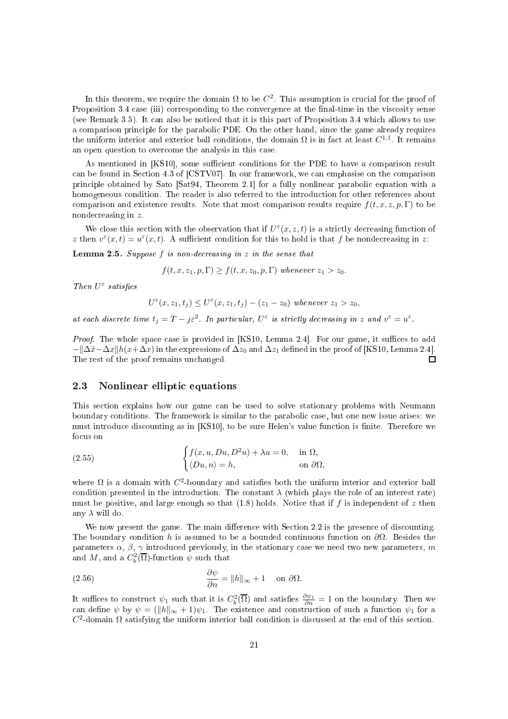In this theorem, we require the domain  $\Omega$  to be  $C^2$ . This assumption is crucial for the proof of Proposition 3.4 case (iii) corresponding to the convergence at the final-time in the viscosity sense (see Remark 3.5). It an also be noti
ed that it is this part of Proposition 3.4 whi
h allows to use a comparison principle for the parabolic PDE. On the other hand, since the game already requires the uniform interior and exterior ball conditions, the domain  $\Omega$  is in fact at least  $C^{1,1}$ . It remains an open question to over
ome the analysis in this ase.

As mentioned in [KS10], some sufficient conditions for the PDE to have a comparison result can be found in Section 4.3 of  $[{\rm CSTV07}]$ . In our framework, we can emphasise on the comparison principle obtained by Sato [Sat94, Theorem 2.1] for a fully nonlinear parabolic equation with a homogeneous condition. The reader is also referred to the introduction for other references about comparison and existence results. Note that most comparison results require  $f(t, x, z, p, \Gamma)$  to be nondecreasing in z.

We close this section with the observation that if  $U^{\varepsilon}(x, z, t)$  is a strictly decreasing function of z then  $v^{\varepsilon}(x,t) = u^{\varepsilon}(x,t)$ . A sufficient condition for this to hold is that f be nondecreasing in z:

**Lemma 2.5.** Suppose  $f$  is non-decreasing in  $z$  in the sense that

$$
f(t, x, z_1, p, \Gamma) \ge f(t, x, z_0, p, \Gamma) \text{ whenever } z_1 > z_0.
$$

Then  $U^{\varepsilon}$  satisfies

$$
U^{\varepsilon}(x,z_1,t_j) \leq U^{\varepsilon}(x,z_1,t_j)-(z_1-z_0) \text{ whenever } z_1 > z_0,
$$

at each discrete time  $t_j = T - j\varepsilon^2$ . In particular,  $U^{\varepsilon}$  is strictly decreasing in z and  $v^{\varepsilon} = u^{\varepsilon}$ .

*Proof.* The whole space case is provided in [KS10, Lemma 2.4]. For our game, it suffices to add  $-\frac{\Delta x}{\Delta x}$ k $(x+\Delta x)$  in the expressions of  $\Delta z_0$  and  $\Delta z_1$  defined in the proof of [KS10, Lemma 2.4].<br>The rest of the proof remains unchanged. The rest of the proof remains un
hanged.

### 2.3 Nonlinear elliptic equations

This se
tion explains how our game an be used to solve stationary problems with Neumann boundary conditions. The framework is similar to the parabolic case, but one new issue arises: we must introduce discounting as in [KS10], to be sure Helen's value function is finite. Therefore we

(2.55) 
$$
\begin{cases} f(x, u, Du, D^2u) + \lambda u = 0, & \text{in } \Omega, \\ \langle Du, n \rangle = h, & \text{on } \partial \Omega, \end{cases}
$$

where  $\Omega$  is a domain with  $C^2$ -boundary and satisfies both the uniform interior and exterior ball condition presented in the introduction. The constant  $\lambda$  (which plays the role of an interest rate) must be positive, and large enough so that  $(1.8)$  holds. Notice that if f is independent of z then any  $\lambda$  will do.

We now present the game. The main difference with Section 2.2 is the presence of discounting. The boundary condition h is assumed to be a bounded continuous function on  $\partial\Omega$ . Besides the parameters  $\alpha$ ,  $\beta$ ,  $\gamma$  introduced previously, in the stationary case we need two new parameters, m and M, and a  $C_b^2(\overline{\Omega})$ -function  $\psi$  such that

(2.56) 
$$
\frac{\partial \psi}{\partial n} = ||h||_{\infty} + 1 \quad \text{on } \partial \Omega.
$$

It suffices to construct  $\psi_1$  such that it is  $C_b^2(\overline{\Omega})$  and satisfies  $\frac{\partial \psi_1}{\partial n} = 1$  on the boundary. Then we can define  $\psi$  by  $\psi = (\Vert h \Vert_{\infty} + 1)\psi_1$ . The existence and construction of such a function  $\psi_1$  for a  $C<sup>2</sup>$ -domain Ω satisfying the uniform interior ball condition is discussed at the end of this section.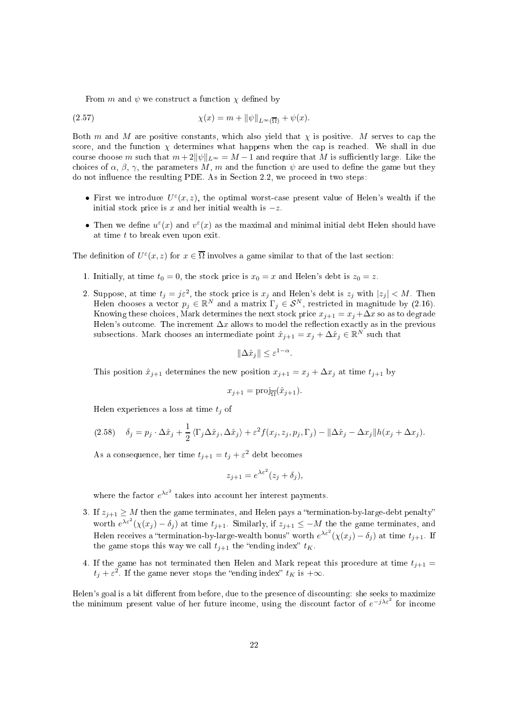From m and  $\psi$  we construct a function  $\chi$  defined by

(2.57) 
$$
\chi(x) = m + \|\psi\|_{L^{\infty}(\overline{\Omega})} + \psi(x).
$$

Both m and M are positive constants, which also yield that  $\chi$  is positive. M serves to cap the score, and the function  $\chi$  determines what happens when the cap is reached. We shall in due course choose m such that  $m+2\|\psi\|_{L^{\infty}}=M-1$  and require that M is sufficiently large. Like the choices of  $\alpha$ ,  $\beta$ ,  $\gamma$ , the parameters M, m and the function  $\psi$  are used to define the game but they do not influence the resulting PDE. As in Section 2.2, we proceed in two steps:

- First we introduce  $U^{\varepsilon}(x, z)$ , the optimal worst-case present value of Helen's wealth if the initial stock price is x and her initial wealth is  $-z$ .
- Then we define  $u^{\varepsilon}(x)$  and  $v^{\varepsilon}(x)$  as the maximal and minimal initial debt Helen should have at time  $t$  to break even upon exit.

The definition of  $U^{\varepsilon}(x, z)$  for  $x \in \overline{\Omega}$  involves a game similar to that of the last section:

- 1. Initially, at time  $t_0 = 0$ , the stock price is  $x_0 = x$  and Helen's debt is  $z_0 = z$ .
- 2. Suppose, at time  $t_j = j\varepsilon^2$ , the stock price is  $x_j$  and Helen's debt is  $z_j$  with  $|z_j| < M$ . Then Helen chooses a vector  $p_j \in \mathbb{R}^N$  and a matrix  $\Gamma_j \in \mathcal{S}^N$ , restricted in magnitude by (2.16). Knowing these choices, Mark determines the next stock price  $x_{i+1} = x_i + \Delta x$  so as to degrade Helen's outcome. The increment  $\Delta x$  allows to model the reflection exactly as in the previous subsections. Mark chooses an intermediate point  $\hat{x}_{j+1} = x_j + \Delta \hat{x}_j \in \mathbb{R}^N$  such that

$$
\|\Delta \hat{x}_j\| \le \varepsilon^{1-\alpha}.
$$

This position  $\hat{x}_{j+1}$  determines the new position  $x_{j+1} = x_j + \Delta x_j$  at time  $t_{j+1}$  by

$$
x_{j+1} = \text{proj}_{\overline{\Omega}}(\hat{x}_{j+1}).
$$

Helen experiences a loss at time  $t_j$  of

$$
(2.58) \quad \delta_j = p_j \cdot \Delta \hat{x}_j + \frac{1}{2} \langle \Gamma_j \Delta \hat{x}_j, \Delta \hat{x}_j \rangle + \varepsilon^2 f(x_j, z_j, p_j, \Gamma_j) - ||\Delta \hat{x}_j - \Delta x_j|| h(x_j + \Delta x_j).
$$

As a consequence, her time  $t_{j+1} = t_j + \varepsilon^2$  debt becomes

$$
z_{j+1} = e^{\lambda \varepsilon^2} (z_j + \delta_j),
$$

where the factor  $e^{\lambda \varepsilon^2}$  takes into account her interest payments.

- 3. If  $z_{i+1} \geq M$  then the game terminates, and Helen pays a "termination-by-large-debt penalty" worth  $e^{\lambda \varepsilon^2} (\chi(x_j) - \delta_j)$  at time  $t_{j+1}$ . Similarly, if  $z_{j+1} \leq -M$  the the game terminates, and Helen receives a "termination-by-large-wealth bonus" worth  $e^{\lambda \varepsilon^2} (\chi(x_j) - \delta_j)$  at time  $t_{j+1}$ . If the game stops this way we call  $t_{i+1}$  the "ending index"  $t_K$ .
- 4. If the game has not terminated then Helen and Mark repeat this procedure at time  $t_{j+1} =$  $t_j + \varepsilon^2$ . If the game never stops the "ending index"  $t_K$  is  $+\infty$ .

Helen's goal is a bit different from before, due to the presence of discounting: she seeks to maximize the minimum present value of her future income, using the discount factor of  $e^{-j\lambda\varepsilon^2}$  for income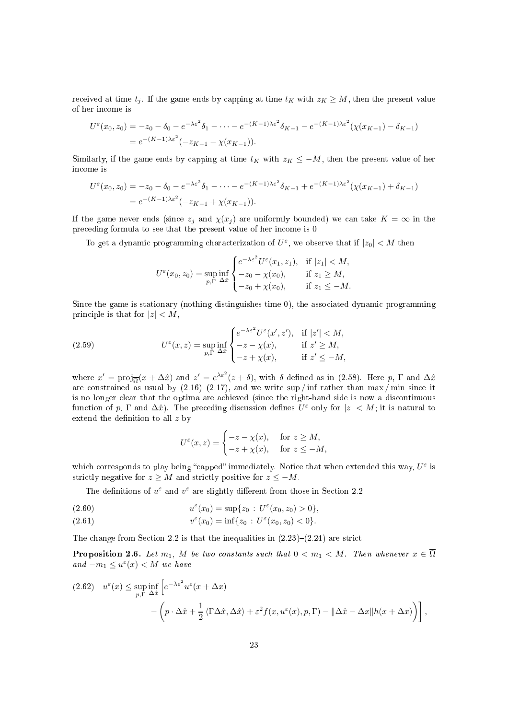received at time  $t_i$ . If the game ends by capping at time  $t_K$  with  $z_K \geq M$ , then the present value of her in
ome is

$$
U^{\varepsilon}(x_0, z_0) = -z_0 - \delta_0 - e^{-\lambda \varepsilon^2} \delta_1 - \dots - e^{-(K-1)\lambda \varepsilon^2} \delta_{K-1} - e^{-(K-1)\lambda \varepsilon^2} (\chi(x_{K-1}) - \delta_{K-1})
$$
  
=  $e^{-(K-1)\lambda \varepsilon^2} (-z_{K-1} - \chi(x_{K-1})).$ 

Similarly, if the game ends by capping at time  $t_K$  with  $z_K \leq -M$ , then the present value of her in
ome is

$$
U^{\varepsilon}(x_0, z_0) = -z_0 - \delta_0 - e^{-\lambda \varepsilon^2} \delta_1 - \dots - e^{-(K-1)\lambda \varepsilon^2} \delta_{K-1} + e^{-(K-1)\lambda \varepsilon^2} (\chi(x_{K-1}) + \delta_{K-1})
$$
  
=  $e^{-(K-1)\lambda \varepsilon^2} (-z_{K-1} + \chi(x_{K-1})).$ 

If the game never ends (since  $z_j$  and  $\chi(x_j)$  are uniformly bounded) we can take  $K = \infty$  in the pre
eding formula to see that the present value of her in
ome is 0.

To get a dynamic programming characterization of  $U^{\varepsilon}$ , we observe that if  $|z_0| < M$  then

$$
U^{\varepsilon}(x_0, z_0) = \sup_{p, \Gamma} \inf_{\Delta \hat{x}} \begin{cases} e^{-\lambda \varepsilon^2} U^{\varepsilon}(x_1, z_1), & \text{if } |z_1| < M, \\ -z_0 - \chi(x_0), & \text{if } z_1 \ge M, \\ -z_0 + \chi(x_0), & \text{if } z_1 \le -M. \end{cases}
$$

Since the game is stationary (nothing distinguishes time 0), the associated dynamic programming principle is that for  $|z| < M$ ,

(2.59) 
$$
U^{\varepsilon}(x, z) = \sup_{p, \Gamma} \inf_{\Delta \hat{x}} \begin{cases} e^{-\lambda \varepsilon^{2}} U^{\varepsilon}(x', z'), & \text{if } |z'| < M, \\ -z - \chi(x), & \text{if } z' \ge M, \\ -z + \chi(x), & \text{if } z' \le -M, \end{cases}
$$

where  $x' = \text{proj}_{\overline{\Omega}}(x + \Delta \hat{x})$  and  $z' = e^{\lambda \varepsilon^2}(z + \delta)$ , with  $\delta$  defined as in (2.58). Here p,  $\Gamma$  and  $\Delta \hat{x}$ are constrained as usual by  $(2.16)$ – $(2.17)$ , and we write sup / inf rather than max / min since it is no longer clear that the optima are achieved (since the right-hand side is now a discontinuous function of p,  $\Gamma$  and  $\Delta \hat{x}$ ). The preceding discussion defines  $U^{\varepsilon}$  only for  $|z| < M$ ; it is natural to extend the definition to all  $z$  by

$$
U^{\varepsilon}(x, z) = \begin{cases} -z - \chi(x), & \text{for } z \ge M, \\ -z + \chi(x), & \text{for } z \le -M, \end{cases}
$$

which corresponds to play being "capped" immediately. Notice that when extended this way,  $U^{\varepsilon}$  is strictly negative for  $z \geq M$  and strictly positive for  $z \leq -M$ .

The definitions of  $u^{\varepsilon}$  and  $v^{\varepsilon}$  are slightly different from those in Section 2.2:

(2.60) 
$$
u^{\varepsilon}(x_0) = \sup\{z_0 : U^{\varepsilon}(x_0, z_0) > 0\},
$$

(2.61) 
$$
v^{\varepsilon}(x_0) = \inf\{z_0 : U^{\varepsilon}(x_0, z_0) < 0\}.
$$

The change from Section 2.2 is that the inequalities in  $(2.23)-(2.24)$  are strict.

**Proposition 2.6.** Let  $m_1$ , M be two constants such that  $0 < m_1 < M$ . Then whenever  $x \in \overline{\Omega}$ and  $-m_1 \leq u^{\varepsilon}(x) < M$  we have

$$
(2.62) \quad u^{\varepsilon}(x) \leq \sup_{p,\Gamma} \inf_{\Delta \hat{x}} \left[ e^{-\lambda \varepsilon^{2}} u^{\varepsilon}(x + \Delta x) - \left( p \cdot \Delta \hat{x} + \frac{1}{2} \langle \Gamma \Delta \hat{x}, \Delta \hat{x} \rangle + \varepsilon^{2} f(x, u^{\varepsilon}(x), p, \Gamma) - ||\Delta \hat{x} - \Delta x|| h(x + \Delta x) \right) \right],
$$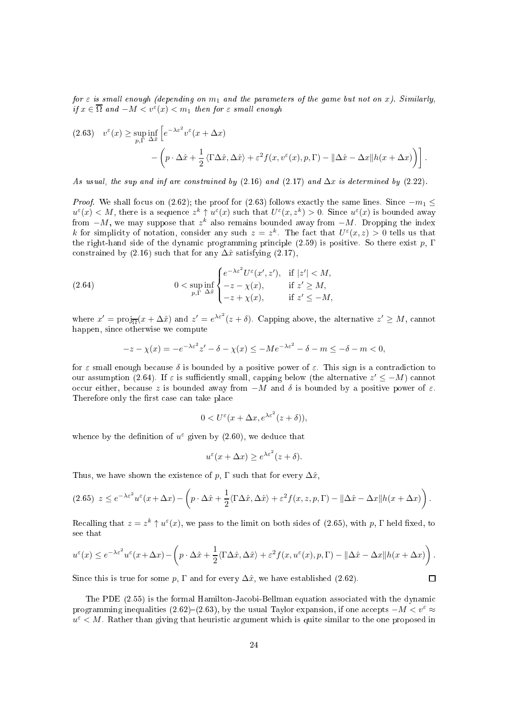for  $\varepsilon$  is small enough (depending on  $m_1$  and the parameters of the game but not on x). Similarly, if  $x \in \overline{\Omega}$  and  $-M < v^{\varepsilon}(x) < m_1$  then for  $\varepsilon$  small enough

$$
(2.63) \quad v^{\varepsilon}(x) \ge \sup_{p,\Gamma} \inf_{\Delta \hat{x}} \left[ e^{-\lambda \varepsilon^{2}} v^{\varepsilon}(x + \Delta x) - \left( p \cdot \Delta \hat{x} + \frac{1}{2} \langle \Gamma \Delta \hat{x}, \Delta \hat{x} \rangle + \varepsilon^{2} f(x, v^{\varepsilon}(x), p, \Gamma) - ||\Delta \hat{x} - \Delta x|| h(x + \Delta x) \right) \right].
$$

As usual, the sup and inf are constrained by  $(2.16)$  and  $(2.17)$  and  $\Delta x$  is determined by  $(2.22)$ .

*Proof.* We shall focus on (2.62); the proof for (2.63) follows exactly the same lines. Since  $-m_1 \leq$  $u^{\varepsilon}(x) < M$ , there is a sequence  $z^k \uparrow u^{\varepsilon}(x)$  such that  $U^{\varepsilon}(x, z^k) > 0$ . Since  $u^{\varepsilon}(x)$  is bounded away from  $-M$ , we may suppose that  $z^k$  also remains bounded away from  $-M$ . Dropping the index k for simplicity of notation, consider any such  $z = z^k$ . The fact that  $U^{\varepsilon}(x, z) > 0$  tells us that the right-hand side of the dynamic programming principle  $(2.59)$  is positive. So there exist p,  $\Gamma$ constrained by  $(2.16)$  such that for any  $\Delta \hat{x}$  satisfying  $(2.17)$ ,

(2.64) 
$$
0 < \sup_{p,\Gamma} \inf_{\Delta \hat{x}} \begin{cases} e^{-\lambda \varepsilon^2} U^{\varepsilon}(x',z'), & \text{if } |z'| < M, \\ -z - \chi(x), & \text{if } z' \ge M, \\ -z + \chi(x), & \text{if } z' \le -M, \end{cases}
$$

where  $x' = \text{proj}_{\overline{\Omega}}(x + \Delta \hat{x})$  and  $z' = e^{\lambda \varepsilon^2}(z + \delta)$ . Capping above, the alternative  $z' \geq M$ , cannot happen, sin
e otherwise we ompute

$$
-z - \chi(x) = -e^{-\lambda \varepsilon^2} z' - \delta - \chi(x) \le -Me^{-\lambda \varepsilon^2} - \delta - m \le -\delta - m < 0,
$$

for  $\varepsilon$  small enough because  $\delta$  is bounded by a positive power of  $\varepsilon$ . This sign is a contradiction to our assumption (2.64). If  $\varepsilon$  is sufficiently small, capping below (the alternative  $z' \leq -M$ ) cannot occur either, because z is bounded away from  $-M$  and δ is bounded by a positive power of  $ε$ . Therefore only the first case can take place

$$
0 < U^{\varepsilon}(x + \Delta x, e^{\lambda \varepsilon^2}(z + \delta)),
$$

whence by the definition of  $u^{\varepsilon}$  given by (2.60), we deduce that

$$
u^{\varepsilon}(x + \Delta x) \ge e^{\lambda \varepsilon^2} (z + \delta).
$$

Thus, we have shown the existence of p,  $\Gamma$  such that for every  $\Delta \hat{x}$ ,

$$
(2.65) \ \ z \leq e^{-\lambda \varepsilon^{2}} u^{\varepsilon}(x + \Delta x) - \left( p \cdot \Delta \hat{x} + \frac{1}{2} \langle \Gamma \Delta \hat{x}, \Delta \hat{x} \rangle + \varepsilon^{2} f(x, z, p, \Gamma) - ||\Delta \hat{x} - \Delta x|| h(x + \Delta x) \right).
$$

Recalling that  $z = z^k \uparrow u^{\varepsilon}(x)$ , we pass to the limit on both sides of (2.65), with p,  $\Gamma$  held fixed, to see that

$$
u^{\varepsilon}(x) \leq e^{-\lambda \varepsilon^{2}} u^{\varepsilon}(x + \Delta x) - \left(p \cdot \Delta \hat{x} + \frac{1}{2} \langle \Gamma \Delta \hat{x}, \Delta \hat{x} \rangle + \varepsilon^{2} f(x, u^{\varepsilon}(x), p, \Gamma) - ||\Delta \hat{x} - \Delta x|| h(x + \Delta x)\right).
$$

 $\Box$ 

Since this is true for some p,  $\Gamma$  and for every  $\Delta \hat{x}$ , we have established (2.62).

The PDE  $(2.55)$  is the formal Hamilton-Jacobi-Bellman equation associated with the dynamic programming inequalities (2.62)–(2.63), by the usual Taylor expansion, if one accepts  $-M < v^{\epsilon} \approx$  $u^{\varepsilon} < M$ . Rather than giving that heuristic argument which is quite similar to the one proposed in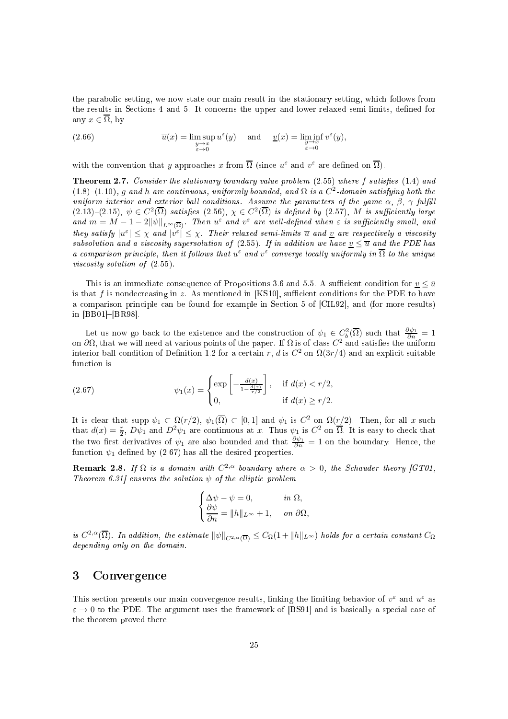the parabolic setting, we now state our main result in the stationary setting, which follows from the results in Sections 4 and 5. It concerns the upper and lower relaxed semi-limits, defined for any  $x \in \overline{\Omega}$ , by

(2.66) 
$$
\overline{u}(x) = \limsup_{\substack{y \to x \\ \varepsilon \to 0}} u^{\varepsilon}(y) \quad \text{and} \quad \underline{v}(x) = \liminf_{\substack{y \to x \\ \varepsilon \to 0}} v^{\varepsilon}(y),
$$

with the convention that y approaches x from  $\overline{\Omega}$  (since  $u^{\varepsilon}$  and  $v^{\varepsilon}$  are defined on  $\overline{\Omega}$ ).

**Theorem 2.7.** Consider the stationary boundary value problem  $(2.55)$  where f satisfies  $(1.4)$  and  $(1.8)$ - $(1.10)$ , g and h are continuous, uniformly bounded, and  $\Omega$  is a  $C<sup>2</sup>$ -domain satisfying both the uniform interior and exterior ball conditions. Assume the parameters of the game  $\alpha$ ,  $\beta$ ,  $\gamma$  fulfill  $(2.13)-(2.15), \psi \in C^2(\overline{\Omega})$  satisfies  $(2.56), \chi \in C^2(\overline{\Omega})$  is defined by  $(2.57), M$  is sufficiently large and  $m = M - 1 - 2\|\psi\|_{L^{\infty}(\overline{\Omega})}$ . Then  $u^{\varepsilon}$  and  $v^{\varepsilon}$  are well-defined when  $\varepsilon$  is sufficiently small, and they satisfy  $|u^{\varepsilon}| \leq \chi$  and  $|v^{\varepsilon}| \leq \chi$ . Their relaxed semi-limits  $\overline{u}$  and  $\underline{v}$  are respectively a viscosity subsolution and a viscosity supersolution of (2.55). If in addition we have  $v \leq \overline{u}$  and the PDE has a comparison principle, then it follows that  $u^{\varepsilon}$  and  $v^{\varepsilon}$  converge locally uniformly in  $\overline{\Omega}$  to the unique viscosity solution of  $(2.55)$ .

This is an immediate consequence of Propositions 3.6 and 5.5. A sufficient condition for  $v \leq \bar{u}$ is that f is nondecreasing in z. As mentioned in [KS10], sufficient conditions for the PDE to have a comparison principle can be found for example in Section 5 of [CIL92], and (for more results) in  $[BB01] - [BR98]$ .

Let us now go back to the existence and the construction of  $\psi_1 \in C_b^2(\overline{\Omega})$  such that  $\frac{\partial \psi_1}{\partial n} = 1$ on  $\partial\Omega$ , that we will need at various points of the paper. If  $\Omega$  is of class  $C^2$  and satisfies the uniform interior ball condition of Definition 1.2 for a certain r, d is  $C^2$  on  $\Omega(3r/4)$  and an explicit suitable fun
tion is

(2.67) 
$$
\psi_1(x) = \begin{cases} \exp\left[-\frac{d(x)}{1 - \frac{d(x)}{r/2}}\right], & \text{if } d(x) < r/2, \\ 0, & \text{if } d(x) \ge r/2. \end{cases}
$$

It is clear that supp  $\psi_1 \subset \Omega(r/2)$ ,  $\psi_1(\overline{\Omega}) \subset [0,1]$  and  $\psi_1$  is  $C^2$  on  $\Omega(r/2)$ . Then, for all x such that  $d(x) = \frac{r}{2}$ ,  $D\psi_1$  and  $D^2\psi_1$  are continuous at x. Thus  $\psi_1$  is  $C^2$  on  $\overline{\Omega}$ . It is easy to check that the two first derivatives of  $\psi_1$  are also bounded and that  $\frac{\partial \psi_1}{\partial n} = 1$  on the boundary. Hence, the function  $\psi_1$  defined by (2.67) has all the desired properties.

**Remark 2.8.** If  $\Omega$  is a domain with  $C^{2,\alpha}$ -boundary where  $\alpha > 0$ , the Schauder theory [GT01, Theorem 6.31 ensures the solution  $\psi$  of the elliptic problem

$$
\begin{cases} \Delta \psi - \psi = 0, & \text{in } \Omega, \\ \frac{\partial \psi}{\partial n} = \|h\|_{L^\infty} + 1, & \text{on } \partial \Omega, \end{cases}
$$

is  $C^{2,\alpha}(\overline{\Omega})$ . In addition, the estimate  $\|\psi\|_{C^{2,\alpha}(\overline{\Omega})} \leq C_{\Omega}(1+\|h\|_{L^\infty})$  holds for a certain constant  $C_{\Omega}$ depending only on the domain.

#### 3Convergen
e

This section presents our main convergence results, linking the limiting behavior of  $v^{\epsilon}$  and  $u^{\epsilon}$  as  $\varepsilon \to 0$  to the PDE. The argument uses the framework of [BS91] and is basically a special case of the theorem proved there.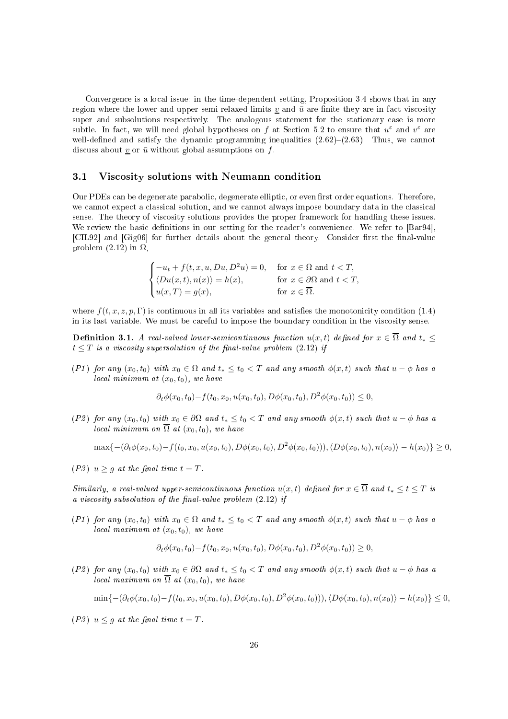Convergence is a local issue: in the time-dependent setting, Proposition 3.4 shows that in any region where the lower and upper semi-relaxed limits v and  $\bar{u}$  are finite they are in fact viscosity super and subsolutions respectively. The analogous statement for the stationary case is more subtle. In fact, we will need global hypotheses on f at Section 5.2 to ensure that  $u^{\varepsilon}$  and  $v^{\varepsilon}$  are well-defined and satisfy the dynamic programming inequalities  $(2.62)-(2.63)$ . Thus, we cannot discuss about  $\underline{v}$  or  $\overline{u}$  without global assumptions on f.

#### 3.1 Vis
osity solutions with Neumann ondition

Our PDEs can be degenerate parabolic, degenerate elliptic, or even first order equations. Therefore, we cannot expect a classical solution, and we cannot always impose boundary data in the classical sense. The theory of viscosity solutions provides the proper framework for handling these issues. We review the basic definitions in our setting for the reader's convenience. We refer to  $\left[Bar94\right]$ , [CIL92] and [Gig06] for further details about the general theory. Consider first the final-value problem  $(2.12)$  in  $\Omega$ ,

$$
\begin{cases}\n-u_t + f(t, x, u, Du, D^2u) = 0, & \text{for } x \in \Omega \text{ and } t < T, \\
\langle Du(x, t), n(x) \rangle = h(x), & \text{for } x \in \partial\Omega \text{ and } t < T, \\
u(x, T) = g(x), & \text{for } x \in \overline{\Omega}.\n\end{cases}
$$

where  $f(t, x, z, p, \Gamma)$  is continuous in all its variables and satisfies the monotonicity condition (1.4) in its last variable. We must be careful to impose the boundary condition in the viscosity sense.

Definition 3.1. A real-valued lower-semicontinuous function  $u(x,t)$  defined for  $x \in \overline{\Omega}$  and  $t_*$  $t \leq T$  is a viscosity supersolution of the final-value problem (2.12) if

(P1) for any  $(x_0, t_0)$  with  $x_0 \in \Omega$  and  $t_* \le t_0 < T$  and any smooth  $\phi(x, t)$  such that  $u - \phi$  has a local minimum at  $(x_0, t_0)$ , we have

$$
\partial_t \phi(x_0, t_0) - f(t_0, x_0, u(x_0, t_0), D\phi(x_0, t_0), D^2\phi(x_0, t_0)) \leq 0,
$$

(P2) for any  $(x_0, t_0)$  with  $x_0 \in \partial \Omega$  and  $t_* \le t_0 < T$  and any smooth  $\phi(x, t)$  such that  $u - \phi$  has a local minimum on  $\overline{\Omega}$  at  $(x_0, t_0)$ , we have

$$
\max\{-(\partial_t\phi(x_0,t_0)-f(t_0,x_0,u(x_0,t_0),D\phi(x_0,t_0),D^2\phi(x_0,t_0))),\langle D\phi(x_0,t_0),n(x_0)\rangle-h(x_0)\}\geq 0,
$$

(P3)  $u \geq g$  at the final time  $t = T$ .

Similarly, a real-valued upper-semicontinuous function  $u(x,t)$  defined for  $x \in \overline{\Omega}$  and  $t_* \leq t \leq T$  is a viscosity subsolution of the final-value problem  $(2.12)$  if

(P1) for any  $(x_0, t_0)$  with  $x_0 \in \Omega$  and  $t_* \le t_0 < T$  and any smooth  $\phi(x, t)$  such that  $u - \phi$  has a local maximum at  $(x_0, t_0)$ , we have

$$
\partial_t \phi(x_0, t_0) - f(t_0, x_0, u(x_0, t_0), D\phi(x_0, t_0), D^2\phi(x_0, t_0)) \ge 0,
$$

(P2) for any  $(x_0, t_0)$  with  $x_0 \in \partial \Omega$  and  $t_* \le t_0 < T$  and any smooth  $\phi(x, t)$  such that  $u - \phi$  has a local maximum on  $\overline{\Omega}$  at  $(x_0, t_0)$ , we have

 $\min\{-(\partial_t\phi(x_0, t_0)-f(t_0, x_0, u(x_0, t_0), D\phi(x_0, t_0), D^2\phi(x_0, t_0))), \langle D\phi(x_0, t_0), n(x_0)\rangle - h(x_0)\} \leq 0,$ 

(P3)  $u \leq g$  at the final time  $t = T$ .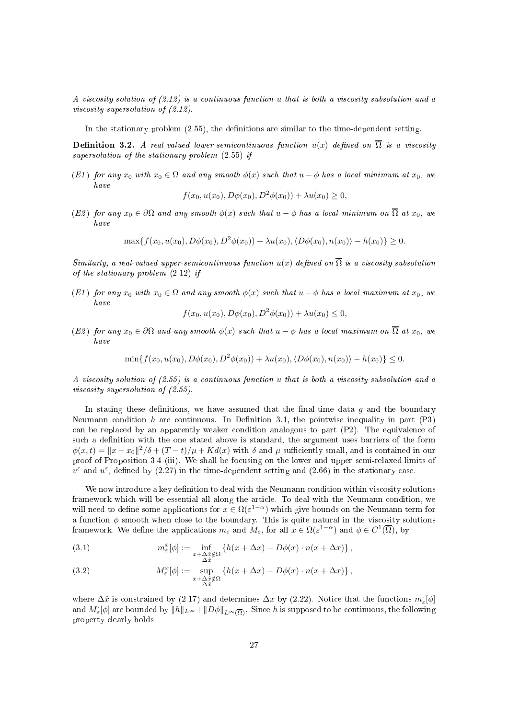A viscosity solution of  $(2.12)$  is a continuous function u that is both a viscosity subsolution and a viscosity supersolution of  $(2.12)$ .

In the stationary problem  $(2.55)$ , the definitions are similar to the time-dependent setting.

**Definition 3.2.** A real-valued lower-semicontinuous function  $u(x)$  defined on  $\overline{\Omega}$  is a viscosity supersolution of the stationary problem (2.55) if

(E1) for any  $x_0$  with  $x_0 \in \Omega$  and any smooth  $\phi(x)$  such that  $u - \phi$  has a local minimum at  $x_0$ , we have

$$
f(x_0, u(x_0), D\phi(x_0), D^2\phi(x_0)) + \lambda u(x_0) \ge 0,
$$

(E2) for any  $x_0 \in \partial \Omega$  and any smooth  $\phi(x)$  such that  $u - \phi$  has a local minimum on  $\overline{\Omega}$  at  $x_0$ , we have

 $\max\{f(x_0, u(x_0), D\phi(x_0), D^2\phi(x_0)) + \lambda u(x_0), \langle D\phi(x_0), n(x_0)\rangle - h(x_0)\} > 0.$ 

Similarly, a real-valued upper-semicontinuous function  $u(x)$  defined on  $\overline{\Omega}$  is a viscosity subsolution of the stationary problem (2.12) if

(E1) for any  $x_0$  with  $x_0 \in \Omega$  and any smooth  $\phi(x)$  such that  $u - \phi$  has a local maximum at  $x_0$ , we have

$$
f(x_0, u(x_0), D\phi(x_0), D^2\phi(x_0)) + \lambda u(x_0) \leq 0,
$$

(E2) for any  $x_0 \in \partial \Omega$  and any smooth  $\phi(x)$  such that  $u - \phi$  has a local maximum on  $\overline{\Omega}$  at  $x_0$ , we have

 $\min\{f(x_0, u(x_0), D\phi(x_0), D^2\phi(x_0)) + \lambda u(x_0), \langle D\phi(x_0), n(x_0)\rangle - h(x_0)\}\leq 0.$ 

A viscosity solution of  $(2.55)$  is a continuous function u that is both a viscosity subsolution and a viscosity supersolution of  $(2.55)$ .

In stating these definitions, we have assumed that the final-time data  $q$  and the boundary Neumann condition h are continuous. In Definition 3.1, the pointwise inequality in part  $(P3)$ can be replaced by an apparently weaker condition analogous to part (P2). The equivalence of such a definition with the one stated above is standard, the argument uses barriers of the form  $\phi(x,t) = \|x - x_0\|^2/\delta + (T - t)/\mu + Kd(x)$  with  $\delta$  and  $\mu$  sufficiently small, and is contained in our proof of Proposition 3.4 (iii). We shall be focusing on the lower and upper semi-relaxed limits of  $v^{\varepsilon}$  and  $u^{\varepsilon}$ , defined by (2.27) in the time-dependent setting and (2.66) in the stationary case.

We now introduce a key definition to deal with the Neumann condition within viscosity solutions framework which will be essential all along the article. To deal with the Neumann condition, we will need to define some applications for  $x \in \Omega(\varepsilon^{1-\alpha})$  which give bounds on the Neumann term for a function  $\phi$  smooth when close to the boundary. This is quite natural in the viscosity solutions framework. We define the applications  $m_\varepsilon$  and  $M_\varepsilon$ , for all  $x \in \Omega(\varepsilon^{1-\alpha})$  and  $\phi \in C^1(\overline{\Omega})$ , by

(3.1) 
$$
m_{\varepsilon}^{x}[\phi] := \inf_{\substack{x+\Delta \hat{x} \notin \Omega \\ \Delta \hat{x}}} \left\{ h(x + \Delta x) - D\phi(x) \cdot n(x + \Delta x) \right\},
$$

(3.2) 
$$
M_{\varepsilon}^{x}[\phi] := \sup_{\substack{x+\Delta \hat{x} \notin \Omega \\ \Delta \hat{x}}} \{h(x+\Delta x) - D\phi(x) \cdot n(x+\Delta x)\},
$$

where  $\Delta \hat{x}$  is constrained by (2.17) and determines  $\Delta x$  by (2.22). Notice that the functions  $m_{\varepsilon}[\phi]$ and  $M_{\varepsilon}[\phi]$  are bounded by  $||h||_{L^{\infty}} + ||D\phi||_{L^{\infty}(\overline{\Omega})}$ . Since h is supposed to be continuous, the following property learly holds.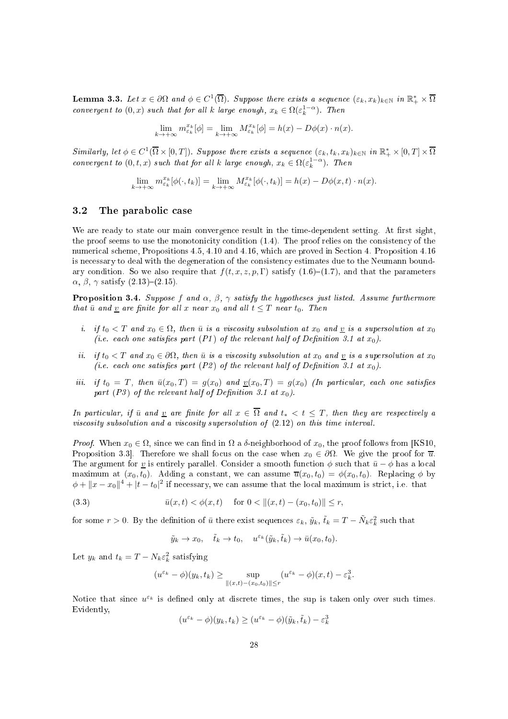**Lemma 3.3.** Let  $x \in \partial\Omega$  and  $\phi \in C^1(\overline{\Omega})$ . Suppose there exists a sequence  $(\varepsilon_k, x_k)_{k \in \mathbb{N}}$  in  $\mathbb{R}_+^* \times \overline{\Omega}$ convergent to  $(0, x)$  such that for all k large enough,  $x_k \in \Omega(\varepsilon_k^{1-\alpha})$ . Then

$$
\lim_{k \to +\infty} m_{\varepsilon_k}^{x_k}[\phi] = \lim_{k \to +\infty} M_{\varepsilon_k}^{x_k}[\phi] = h(x) - D\phi(x) \cdot n(x).
$$

 $Similarly, let \phi \in C^1(\overline{\Omega} \times [0,T])$ . Suppose there exists a sequence  $(\varepsilon_k, t_k, x_k)_{k \in \mathbb{N}}$  in  $\mathbb{R}_+^* \times [0,T] \times \overline{\Omega}$ convergent to  $(0, t, x)$  such that for all k large enough,  $x_k \in \Omega(\varepsilon_k^{1-\alpha})$ . Then

$$
\lim_{k \to +\infty} m_{\varepsilon_k}^{x_k} [\phi(\cdot, t_k)] = \lim_{k \to +\infty} M_{\varepsilon_k}^{x_k} [\phi(\cdot, t_k)] = h(x) - D\phi(x, t) \cdot n(x).
$$

#### 3.2 The parabolic case

We are ready to state our main convergence result in the time-dependent setting. At first sight, the proof seems to use the monotonicity condition (1.4). The proof relies on the consistency of the numerical scheme, Propositions 4.5, 4.10 and 4.16, which are proved in Section 4. Proposition 4.16 is necessary to deal with the degeneration of the consistency estimates due to the Neumann boundary condition. So we also require that  $f(t, x, z, p, \Gamma)$  satisfy  $(1.6)-(1.7)$ , and that the parameters  $\alpha$ ,  $\beta$ ,  $\gamma$  satisfy (2.13)–(2.15).

**Proposition 3.4.** Suppose f and  $\alpha$ ,  $\beta$ ,  $\gamma$  satisfy the hypotheses just listed. Assume furthermore that  $\bar{u}$  and <u>v</u> are finite for all x near  $x_0$  and all  $t \leq T$  near  $t_0$ . Then

- *i.* if  $t_0 < T$  and  $x_0 \in \Omega$ , then  $\bar{u}$  is a viscosity subsolution at  $x_0$  and  $\underline{v}$  is a supersolution at  $x_0$ (i.e. each one satisfies part (P1) of the relevant half of Definition 3.1 at  $x_0$ ).
- ii. if  $t_0 < T$  and  $x_0 \in \partial\Omega$ , then  $\bar{u}$  is a viscosity subsolution at  $x_0$  and  $\underline{v}$  is a supersolution at  $x_0$ (i.e. each one satisfies part (P2) of the relevant half of Definition 3.1 at  $x_0$ )
- iii. if  $t_0 = T$ , then  $\bar{u}(x_0, T) = g(x_0)$  and  $\underline{v}(x_0, T) = g(x_0)$  (In particular, each one satisfies part (P3) of the relevant half of Definition 3.1 at  $x_0$ ).

In particular, if  $\bar{u}$  and  $\underline{v}$  are finite for all  $x \in \overline{\Omega}$  and  $t_* < t \leq T$ , then they are respectively a viscosity subsolution and a viscosity supersolution of  $(2.12)$  on this time interval.

Proof. When  $x_0 \in \Omega$ , since we can find in  $\Omega$  a  $\delta$ -neighborhood of  $x_0$ , the proof follows from [KS10, Proposition 3.3. Therefore we shall focus on the case when  $x_0 \in \partial\Omega$ . We give the proof for  $\overline{u}$ . The argument for y is entirely parallel. Consider a smooth function  $\phi$  such that  $\bar{u} - \phi$  has a local maximum at  $(x_0, t_0)$ . Adding a constant, we can assume  $\overline{u}(x_0, t_0) = \phi(x_0, t_0)$ . Replacing  $\phi$  by  $\phi + ||x - x_0||^4 + |t - t_0|^2$  if necessary, we can assume that the local maximum is strict, i.e. that

(3.3) 
$$
\bar{u}(x,t) < \phi(x,t) \quad \text{for } 0 < \| (x,t) - (x_0, t_0) \| \leq r,
$$

for some  $r > 0$ . By the definition of  $\bar{u}$  there exist sequences  $\varepsilon_k$ ,  $\tilde{y}_k$ ,  $\tilde{t}_k = T - \tilde{N}_k \varepsilon_k^2$  such that

$$
\tilde{y}_k \to x_0
$$
,  $\tilde{t}_k \to t_0$ ,  $u^{\varepsilon_k}(\tilde{y}_k, \tilde{t}_k) \to \bar{u}(x_0, t_0)$ .

Let  $y_k$  and  $t_k = T - N_k \varepsilon_k^2$  satisfying

$$
(u^{\varepsilon_k} - \phi)(y_k, t_k) \ge \sup_{\|(x,t) - (x_0, t_0)\| \le r} (u^{\varepsilon_k} - \phi)(x, t) - \varepsilon_k^3.
$$

Notice that since  $u^{\varepsilon_k}$  is defined only at discrete times, the sup is taken only over such times. Evidently,

$$
(u^{\varepsilon_k} - \phi)(y_k, t_k) \ge (u^{\varepsilon_k} - \phi)(\tilde{y}_k, \tilde{t}_k) - \varepsilon_k^3
$$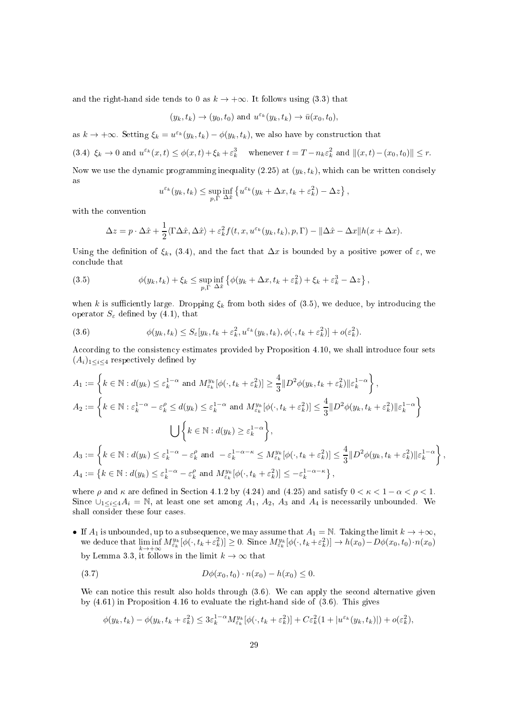and the right-hand side tends to 0 as  $k \to +\infty$ . It follows using (3.3) that

$$
(y_k, t_k) \rightarrow (y_0, t_0)
$$
 and  $u^{\varepsilon_k}(y_k, t_k) \rightarrow \overline{u}(x_0, t_0)$ ,

as  $k \to +\infty$ . Setting  $\xi_k = u^{\varepsilon_k}(y_k, t_k) - \phi(y_k, t_k)$ , we also have by construction that

(3.4)  $\xi_k \to 0$  and  $u^{\varepsilon_k}(x,t) \leq \phi(x,t) + \xi_k + \varepsilon_k^3$  whenever  $t = T - n_k \varepsilon_k^2$  and  $\|(x,t) - (x_0, t_0)\| \leq r$ .

Now we use the dynamic programming inequality (2.25) at  $(y_k, t_k)$ , which can be written concisely as

$$
u^{\varepsilon_k}(y_k, t_k) \leq \sup_{p, \Gamma} \inf_{\Delta \hat{x}} \left\{ u^{\varepsilon_k}(y_k + \Delta x, t_k + \varepsilon_k^2) - \Delta z \right\},\,
$$

with the onvention

$$
\Delta z = p \cdot \Delta \hat{x} + \frac{1}{2} \langle \Gamma \Delta \hat{x}, \Delta \hat{x} \rangle + \varepsilon_k^2 f(t, x, u^{\varepsilon_k}(y_k, t_k), p, \Gamma) - ||\Delta \hat{x} - \Delta x|| h(x + \Delta x).
$$

Using the definition of  $\xi_k$ , (3.4), and the fact that  $\Delta x$  is bounded by a positive power of  $\varepsilon$ , we on
lude that

(3.5) 
$$
\phi(y_k, t_k) + \xi_k \leq \sup_{p, \Gamma} \inf_{\Delta \hat{x}} \left\{ \phi(y_k + \Delta x, t_k + \varepsilon_k^2) + \xi_k + \varepsilon_k^3 - \Delta z \right\},
$$

when k is sufficiently large. Dropping  $\xi_k$  from both sides of (3.5), we deduce, by introducing the operator  $S_{\varepsilon}$  defined by (4.1), that

(3.6) 
$$
\phi(y_k, t_k) \leq S_{\varepsilon}[y_k, t_k + \varepsilon_k^2, u^{\varepsilon_k}(y_k, t_k), \phi(\cdot, t_k + \varepsilon_k^2)] + o(\varepsilon_k^2).
$$

According to the consistency estimates provided by Proposition 4.10, we shall introduce four sets  $(A_i)_{1 \leq i \leq 4}$  respectively defined by

$$
A_1 := \left\{ k \in \mathbb{N} : d(y_k) \le \varepsilon_k^{1-\alpha} \text{ and } M_{\varepsilon_k}^{y_k} [\phi(\cdot, t_k + \varepsilon_k^2)] \ge \frac{4}{3} \| D^2 \phi(y_k, t_k + \varepsilon_k^2) \| \varepsilon_k^{1-\alpha} \right\},
$$
  
\n
$$
A_2 := \left\{ k \in \mathbb{N} : \varepsilon_k^{1-\alpha} - \varepsilon_k^{\rho} \le d(y_k) \le \varepsilon_k^{1-\alpha} \text{ and } M_{\varepsilon_k}^{y_k} [\phi(\cdot, t_k + \varepsilon_k^2)] \le \frac{4}{3} \| D^2 \phi(y_k, t_k + \varepsilon_k^2) \| \varepsilon_k^{1-\alpha} \right\}
$$
  
\n
$$
\bigcup \left\{ k \in \mathbb{N} : d(y_k) \ge \varepsilon_k^{1-\alpha} \right\},
$$
  
\n
$$
A_3 := \left\{ k \in \mathbb{N} : d(y_k) \le \varepsilon_k^{1-\alpha} - \varepsilon_k^{\rho} \text{ and } -\varepsilon_k^{1-\alpha-\kappa} \le M_{\varepsilon_k}^{y_k} [\phi(\cdot, t_k + \varepsilon_k^2)] \le \frac{4}{3} \| D^2 \phi(y_k, t_k + \varepsilon_k^2) \| \varepsilon_k^{1-\alpha} \right\},
$$
  
\n
$$
A_4 := \left\{ k \in \mathbb{N} : d(y_k) \le \varepsilon_k^{1-\alpha} - \varepsilon_k^{\rho} \text{ and } M_{\varepsilon_k}^{y_k} [\phi(\cdot, t_k + \varepsilon_k^2)] \le -\varepsilon_k^{1-\alpha-\kappa} \right\},
$$

where  $\rho$  and  $\kappa$  are defined in Section 4.1.2 by (4.24) and (4.25) and satisfy  $0 < \kappa < 1 - \alpha < \rho < 1$ . Since  $\bigcup_{1 \leq i \leq 4} A_i = \mathbb{N}$ , at least one set among  $A_1, A_2, A_3$  and  $A_4$  is necessarily unbounded. We shall onsider these four ases.

• If  $A_1$  is unbounded, up to a subsequence, we may assume that  $A_1 = \mathbb{N}$ . Taking the limit  $k \to +\infty$ , we deduce that  $\liminf_{k \to +\infty} M^{y_k}_{\varepsilon_k}[\phi(\cdot, t_k + \varepsilon_k^2)] \ge 0$ . Since  $M^{y_k}_{\varepsilon_k}[\phi(\cdot, t_k + \varepsilon_k^2)] \to h(x_0) - D\phi(x_0, t_0) \cdot n(x_0)$ by Lemma 3.3, it follows in the limit  $k \to \infty$  that

(3.7) 
$$
D\phi(x_0, t_0) \cdot n(x_0) - h(x_0) \leq 0.
$$

We can notice this result also holds through  $(3.6)$ . We can apply the second alternative given by (4.61) in Proposition 4.16 to evaluate the right-hand side of (3.6). This gives

$$
\phi(y_k, t_k) - \phi(y_k, t_k + \varepsilon_k^2) \leq 3\varepsilon_k^{1-\alpha} M_{\varepsilon_k}^{y_k} [\phi(\cdot, t_k + \varepsilon_k^2)] + C\varepsilon_k^2 (1 + |u^{\varepsilon_k}(y_k, t_k)|) + o(\varepsilon_k^2),
$$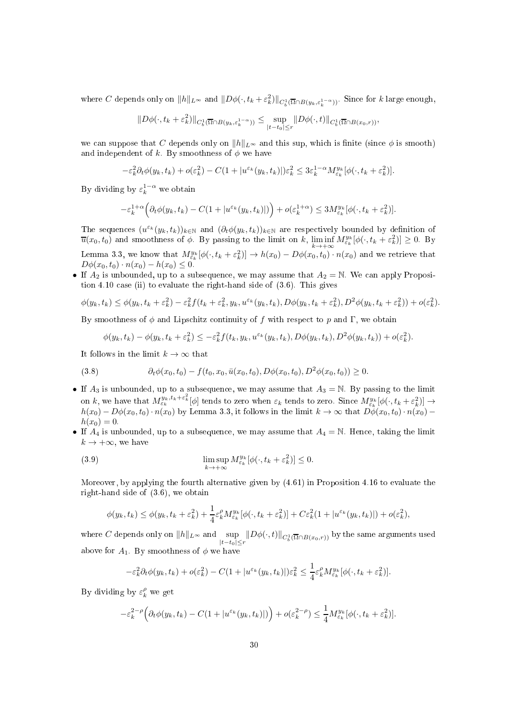where C depends only on  $||h||_{L^{\infty}}$  and  $||D\phi(\cdot, t_k + \varepsilon_k^2)||_{C_b^1(\overline{\Omega} \cap B(y_k, \varepsilon_k^{1 - \alpha}))}$ . Since for k large enough,

$$
||D\phi(\cdot,t_k+\varepsilon_k^2)||_{C_b^1(\overline{\Omega}\cap B(y_k,\varepsilon_k^{1-\alpha}))}\leq \sup_{|t-t_0|\leq r}||D\phi(\cdot,t)||_{C_b^1(\overline{\Omega}\cap B(x_0,r))},
$$

we can suppose that C depends only on  $||h||_{L^{\infty}}$  and this sup, which is finite (since  $\phi$  is smooth) and independent of k. By smoothness of  $\phi$  we have

$$
-\varepsilon_k^2 \partial_t \phi(y_k, t_k) + o(\varepsilon_k^2) - C(1 + |u^{\varepsilon_k}(y_k, t_k)|)\varepsilon_k^2 \leq 3\varepsilon_k^{1-\alpha} M_{\varepsilon_k}^{y_k}[\phi(\cdot, t_k + \varepsilon_k^2)].
$$

By dividing by  $\varepsilon_k^{1-\alpha}$  we obtain

$$
-\varepsilon_k^{1+\alpha}\Big(\partial_t\phi(y_k,t_k)-C(1+|u^{\varepsilon_k}(y_k,t_k)|)\Big)+o(\varepsilon_k^{1+\alpha})\leq 3M^{y_k}_{\varepsilon_k}[\phi(\cdot,t_k+\varepsilon_k^2)].
$$

The sequences  $(u^{\varepsilon_k}(y_k,t_k))_{k\in\mathbb{N}}$  and  $(\partial_t\phi(y_k,t_k))_{k\in\mathbb{N}}$  are respectively bounded by definition of  $\overline{u}(x_0, t_0)$  and smoothness of  $\phi$ . By passing to the limit on k,  $\liminf_{k \to +\infty} M^{y_k}_{\varepsilon_k}[\phi(\cdot, t_k + \varepsilon_k^2)] \geq 0$ . By

Lemma 3.3, we know that  $M_{\varepsilon_k}^{y_k}[\phi(\cdot, t_k + \varepsilon_k^2)] \to h(x_0) - D\phi(x_0, t_0) \cdot n(x_0)$  and we retrieve that  $D\phi(x_0, t_0) \cdot n(x_0) - h(x_0) \leq 0.$ 

• If  $A_2$  is unbounded, up to a subsequence, we may assume that  $A_2 = N$ . We can apply Proposition 4.10 case (ii) to evaluate the right-hand side of  $(3.6)$ . This gives

$$
\phi(y_k, t_k) \leq \phi(y_k, t_k + \varepsilon_k^2) - \varepsilon_k^2 f(t_k + \varepsilon_k^2, y_k, u^{\varepsilon_k}(y_k, t_k), D\phi(y_k, t_k + \varepsilon_k^2), D^2\phi(y_k, t_k + \varepsilon_k^2)) + o(\varepsilon_k^2).
$$

By smoothness of  $\phi$  and Lipschitz continuity of f with respect to p and Γ, we obtain

$$
\phi(y_k, t_k) - \phi(y_k, t_k + \varepsilon_k^2) \le -\varepsilon_k^2 f(t_k, y_k, u^{\varepsilon_k}(y_k, t_k), D\phi(y_k, t_k), D^2\phi(y_k, t_k)) + o(\varepsilon_k^2).
$$

It follows in the limit  $k \to \infty$  that

$$
(3.8) \qquad \partial_t \phi(x_0, t_0) - f(t_0, x_0, \bar{u}(x_0, t_0), D\phi(x_0, t_0), D^2\phi(x_0, t_0)) \geq 0.
$$

- If  $A_3$  is unbounded, up to a subsequence, we may assume that  $A_3 = \mathbb{N}$ . By passing to the limit on k, we have that  $M_{\varepsilon_k}^{y_k,t_k+\varepsilon_k^2}[\phi]$  tends to zero when  $\varepsilon_k$  tends to zero. Since  $M_{\varepsilon_k}^{y_k}[\phi(\cdot,t_k+\varepsilon_k^2)] \to$  $h(x_0) - D\phi(x_0, t_0) \cdot n(x_0)$  by Lemma 3.3, it follows in the limit  $k \to \infty$  that  $D\phi(x_0, t_0) \cdot n(x_0)$  $h(x_0) = 0.$
- If  $A_4$  is unbounded, up to a subsequence, we may assume that  $A_4 = \mathbb{N}$ . Hence, taking the limit  $k \to +\infty$ , we have

(3.9) 
$$
\limsup_{k \to +\infty} M_{\varepsilon_k}^{y_k} [\phi(\cdot, t_k + \varepsilon_k^2)] \leq 0.
$$

Moreover, by applying the fourth alternative given by (4.61) in Proposition 4.16 to evaluate the right-hand side of (3.6), we obtain

$$
\phi(y_k, t_k) \le \phi(y_k, t_k + \varepsilon_k^2) + \frac{1}{4} \varepsilon_k^{\rho} M_{\varepsilon_k}^{y_k} [\phi(\cdot, t_k + \varepsilon_k^2)] + C \varepsilon_k^2 (1 + |u^{\varepsilon_k}(y_k, t_k)|) + o(\varepsilon_k^2),
$$

where C depends only on  $\|h\|_{L^\infty}$  and  $\sup_{|t-t_0|\leq r}\|D\phi(\cdot,t)\|_{C^1_b(\overline\Omega\cap B(x_0,r))}$  by the same arguments used above for  $A_1$ . By smoothness of  $\phi$  we have

$$
-\varepsilon_k^2 \partial_t \phi(y_k, t_k) + o(\varepsilon_k^2) - C(1 + |u^{\varepsilon_k}(y_k, t_k)|)\varepsilon_k^2 \le \frac{1}{4}\varepsilon_k^{\rho} M_{\varepsilon_k}^{y_k}[\phi(\cdot, t_k + \varepsilon_k^2)].
$$

By dividing by  $\varepsilon_k^{\rho}$  we get

$$
-\varepsilon_k^{2-\rho}\Big(\partial_t\phi(y_k,t_k)-C(1+|u^{\varepsilon_k}(y_k,t_k)|)\Big)+o(\varepsilon_k^{2-\rho})\leq \frac{1}{4}M_{\varepsilon_k}^{y_k}[\phi(\cdot,t_k+\varepsilon_k^2)].
$$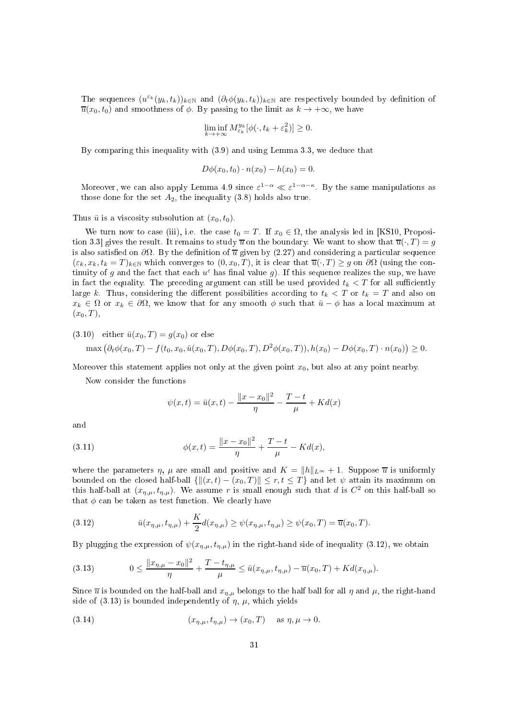The sequences  $(u^{\varepsilon_k}(y_k,t_k))_{k\in\mathbb{N}}$  and  $(\partial_t\phi(y_k,t_k))_{k\in\mathbb{N}}$  are respectively bounded by definition of  $\overline{u}(x_0, t_0)$  and smoothness of  $\phi$ . By passing to the limit as  $k \to +\infty$ , we have

$$
\liminf_{k \to +\infty} M_{\varepsilon_k}^{y_k} [\phi(\cdot, t_k + \varepsilon_k^2)] \ge 0.
$$

By comparing this inequality with  $(3.9)$  and using Lemma 3.3, we deduce that

$$
D\phi(x_0, t_0) \cdot n(x_0) - h(x_0) = 0.
$$

Moreover, we can also apply Lemma 4.9 since  $\varepsilon^{1-\alpha} \ll \varepsilon^{1-\alpha-\kappa}$ . By the same manipulations as those done for the set  $A_2$ , the inequality (3.8) holds also true.

Thus  $\bar{u}$  is a viscosity subsolution at  $(x_0, t_0)$ .

We turn now to case (iii), i.e. the case  $t_0 = T$ . If  $x_0 \in \Omega$ , the analysis led in [KS10, Proposition 3.3 gives the result. It remains to study  $\overline{u}$  on the boundary. We want to show that  $\overline{u}(\cdot, T) = q$ is also satisfied on  $\partial\Omega$ . By the definition of  $\overline{u}$  given by (2.27) and considering a particular sequence  $(\varepsilon_k, x_k, t_k = T)_{k \in \mathbb{N}}$  which converges to  $(0, x_0, T)$ , it is clear that  $\overline{u}(\cdot, T) \geq g$  on  $\partial\Omega$  (using the continuity of g and the fact that each  $u^{\varepsilon}$  has final value g). If this sequence realizes the sup, we have in fact the equality. The preceding argument can still be used provided  $t_k < T$  for all sufficiently large k. Thus, considering the different possibilities according to  $t_k < T$  or  $t_k = T$  and also on  $x_k \in \Omega$  or  $x_k \in \partial\Omega$ , we know that for any smooth  $\phi$  such that  $\bar{u} - \phi$  has a local maximum at  $(x_0, T)$ ,

(3.10) either 
$$
\bar{u}(x_0, T) = g(x_0)
$$
 or else  
\n
$$
\max (\partial_t \phi(x_0, T) - f(t_0, x_0, \bar{u}(x_0, T), D\phi(x_0, T), D^2\phi(x_0, T)), h(x_0) - D\phi(x_0, T) \cdot n(x_0)) \ge 0.
$$

Moreover this statement applies not only at the given point  $x_0$ , but also at any point nearby.

Now consider the functions

$$
\psi(x,t) = \bar{u}(x,t) - \frac{\|x - x_0\|^2}{\eta} - \frac{T - t}{\mu} + Kd(x)
$$

and

(3.11) 
$$
\phi(x,t) = \frac{\|x - x_0\|^2}{\eta} + \frac{T - t}{\mu} - Kd(x),
$$

where the parameters  $\eta$ ,  $\mu$  are small and positive and  $K = ||h||_{L^{\infty}} + 1$ . Suppose  $\overline{u}$  is uniformly bounded on the closed half-ball  $\{|| (x, t) - (x_0, T) || \le r, t \le T\}$  and let  $\psi$  attain its maximum on this half-ball at  $(x_{\eta,\mu}, t_{\eta,\mu})$ . We assume r is small enough such that d is  $C^2$  on this half-ball so that  $\phi$  can be taken as test function. We clearly have

(3.12) 
$$
\bar{u}(x_{\eta,\mu},t_{\eta,\mu}) + \frac{K}{2}d(x_{\eta,\mu}) \geq \psi(x_{\eta,\mu},t_{\eta,\mu}) \geq \psi(x_0,T) = \overline{u}(x_0,T).
$$

By plugging the expression of  $\psi(x_{\eta,\mu}, t_{\eta,\mu})$  in the right-hand side of inequality (3.12), we obtain

(3.13) 
$$
0 \leq \frac{\|x_{\eta,\mu} - x_0\|^2}{\eta} + \frac{T - t_{\eta,\mu}}{\mu} \leq \bar{u}(x_{\eta,\mu}, t_{\eta,\mu}) - \bar{u}(x_0, T) + Kd(x_{\eta,\mu}).
$$

Since  $\bar{u}$  is bounded on the half-ball and  $x_{\eta,\mu}$  belongs to the half ball for all  $\eta$  and  $\mu$ , the right-hand side of  $(3.13)$  is bounded independently of  $\eta$ ,  $\mu$ , which yields

(3.14) 
$$
(x_{\eta,\mu}, t_{\eta,\mu}) \to (x_0, T)
$$
 as  $\eta, \mu \to 0$ .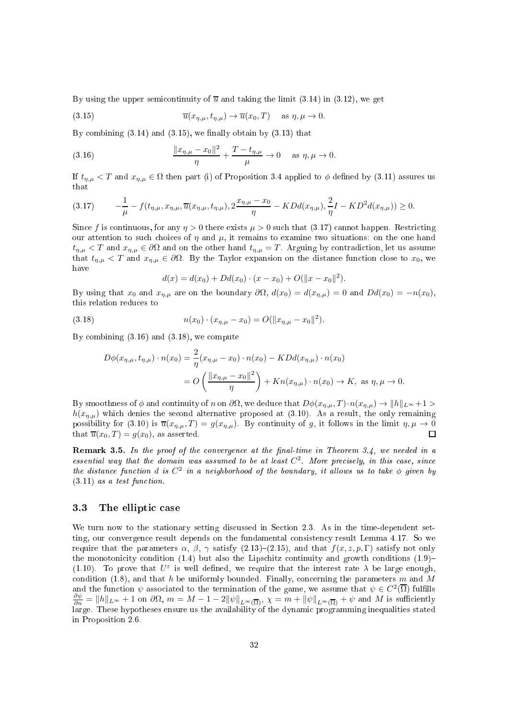By using the upper semicontinuity of  $\overline{u}$  and taking the limit (3.14) in (3.12), we get

(3.15) 
$$
\overline{u}(x_{\eta,\mu},t_{\eta,\mu}) \to \overline{u}(x_0,T) \quad \text{as } \eta,\mu \to 0.
$$

By combining  $(3.14)$  and  $(3.15)$ , we finally obtain by  $(3.13)$  that

(3.16) 
$$
\frac{\|x_{\eta,\mu} - x_0\|^2}{\eta} + \frac{T - t_{\eta,\mu}}{\mu} \to 0 \quad \text{as } \eta, \mu \to 0.
$$

If  $t_{\eta,\mu} < T$  and  $x_{\eta,\mu} \in \Omega$  then part (i) of Proposition 3.4 applied to  $\phi$  defined by (3.11) assures us that

$$
(3.17) \qquad -\frac{1}{\mu}-f(t_{\eta,\mu},x_{\eta,\mu},\overline{u}(x_{\eta,\mu},t_{\eta,\mu}),2\frac{x_{\eta,\mu}-x_0}{\eta}-KDd(x_{\eta,\mu}),\frac{2}{\eta}I-KD^2d(x_{\eta,\mu}))\geq 0.
$$

Since f is continuous, for any  $\eta > 0$  there exists  $\mu > 0$  such that (3.17) cannot happen. Restricting our attention to such choices of  $\eta$  and  $\mu$ , it remains to examine two situations: on the one hand  $t_{\eta,\mu} < T$  and  $x_{\eta,\mu} \in \partial\Omega$  and on the other hand  $t_{\eta,\mu} = T$ . Arguing by contradiction, let us assume that  $t_{\eta,\mu} < T$  and  $x_{\eta,\mu} \in \partial \Omega$ . By the Taylor expansion on the distance function close to  $x_0$ , we have

$$
d(x) = d(x_0) + Dd(x_0) \cdot (x - x_0) + O(||x - x_0||^2).
$$

By using that  $x_0$  and  $x_{\eta,\mu}$  are on the boundary  $\partial\Omega$ ,  $d(x_0) = d(x_{\eta,\mu}) = 0$  and  $Dd(x_0) = -n(x_0)$ , this relation redu
es to

(3.18) 
$$
n(x_0) \cdot (x_{\eta,\mu} - x_0) = O(||x_{\eta,\mu} - x_0||^2).
$$

By combining  $(3.16)$  and  $(3.18)$ , we compute

$$
D\phi(x_{\eta,\mu}, t_{\eta,\mu}) \cdot n(x_0) = \frac{2}{\eta}(x_{\eta,\mu} - x_0) \cdot n(x_0) - KDd(x_{\eta,\mu}) \cdot n(x_0)
$$
  
= 
$$
O\left(\frac{\|x_{\eta,\mu} - x_0\|^2}{\eta}\right) + Kn(x_{\eta,\mu}) \cdot n(x_0) \to K, \text{ as } \eta, \mu \to 0.
$$

By smoothness of  $\phi$  and continuity of n on  $\partial\Omega$ , we deduce that  $D\phi(x_{\eta,\mu},T)\cdot n(x_{\eta,\mu}) \to ||h||_{L^{\infty}}+1 >$  $h(x_{n,\mu})$  which denies the second alternative proposed at (3.10). As a result, the only remaining possibility for (3.10) is  $\overline{u}(x_{\eta,\mu},T) = g(x_{\eta,\mu})$ . By continuity of g, it follows in the limit  $\eta, \mu \to 0$ <br>that  $\overline{u}(x_0,T) = g(x_0)$ , as asserted. that  $\overline{u}(x_0, T) = g(x_0)$ , as asserted.

**Remark 3.5.** In the proof of the convergence at the final-time in Theorem 3.4, we needed in a essential way that the domain was assumed to be at least  $C^2$ . More precisely, in this case, since the distance function d is  $C^2$  in a neighborhood of the boundary, it allows us to take  $\phi$  given by  $(3.11)$  as a test function.

# 3.3 The elliptic case

We turn now to the stationary setting discussed in Section 2.3. As in the time-dependent setting, our convergence result depends on the fundamental consistency result Lemma 4.17. So we require that the parameters  $\alpha$ ,  $\beta$ ,  $\gamma$  satisfy (2.13)–(2.15), and that  $f(x, z, p, \Gamma)$  satisfy not only the monotonicity condition  $(1.4)$  but also the Lipschitz continuity and growth conditions  $(1.9)$ (1.10). To prove that  $U^{\varepsilon}$  is well defined, we require that the interest rate  $\lambda$  be large enough, condition (1.8), and that h be uniformly bounded. Finally, concerning the parameters m and M and the function  $\psi$  associated to the termination of the game, we assume that  $\psi \in C^2(\overline{\Omega})$  fulfills  $\frac{\partial \psi}{\partial n} = ||h||_{L^{\infty}} + 1$  on  $\partial \Omega$ ,  $m = M - 1 - 2||\psi||_{L^{\infty}(\overline{\Omega})}$ ,  $\chi = m + ||\psi||_{L^{\infty}(\overline{\Omega})} + \psi$  and M is sufficiently large. These hypotheses ensure us the availability of the dynamic programming inequalities stated in Proposition 2.6.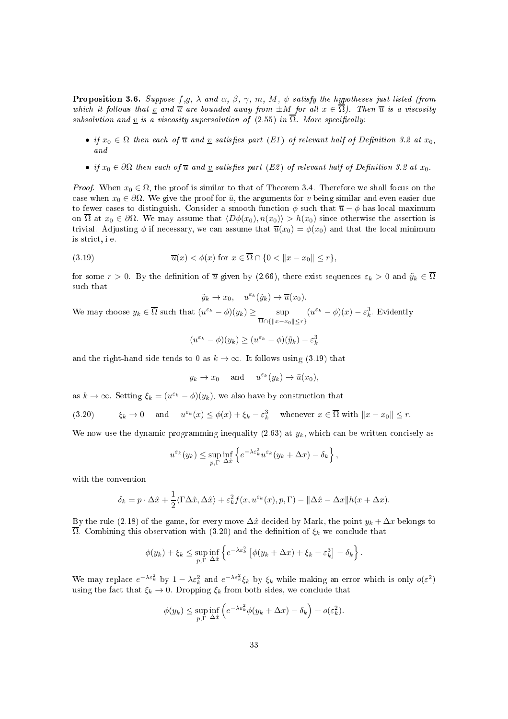**Proposition 3.6.** Suppose  $f,g$ ,  $\lambda$  and  $\alpha$ ,  $\beta$ ,  $\gamma$ ,  $m$ ,  $M$ ,  $\psi$  satisfy the hypotheses just listed (from which it follows that <u>v</u> and  $\overline{u}$  are bounded away from  $\pm M$  for all  $x \in \overline{\Omega}$ ). Then  $\overline{u}$  is a viscosity subsolution and v is a viscosity supersolution of  $(2.55)$  in  $\overline{\Omega}$ . More specifically:

- if  $x_0 \in \Omega$  then each of  $\overline{u}$  and  $\underline{v}$  satisfies part (E1) of relevant half of Definition 3.2 at  $x_0$ ,<br>and
- if  $x_0 \in \partial \Omega$  then each of  $\overline{u}$  and  $\underline{v}$  satisfies part (E2) of relevant half of Definition 3.2 at  $x_0$ .

*Proof.* When  $x_0 \in \Omega$ , the proof is similar to that of Theorem 3.4. Therefore we shall focus on the case when  $x_0 \in \partial \Omega$ . We give the proof for  $\bar{u}$ , the arguments for <u>v</u> being similar and even easier due to fewer cases to distinguish. Consider a smooth function  $\phi$  such that  $\overline{u} - \phi$  has local maximum on  $\overline{\Omega}$  at  $x_0 \in \partial\Omega$ . We may assume that  $\langle D\phi(x_0), n(x_0) \rangle > h(x_0)$  since otherwise the assertion is trivial. Adjusting  $\phi$  if necessary, we can assume that  $\overline{u}(x_0) = \phi(x_0)$  and that the local minimum is stri
t, i.e.

(3.19) 
$$
\overline{u}(x) < \phi(x) \text{ for } x \in \overline{\Omega} \cap \{0 < ||x - x_0|| \le r\},
$$

for some  $r > 0$ . By the definition of  $\overline{u}$  given by (2.66), there exist sequences  $\varepsilon_k > 0$  and  $\tilde{y}_k \in \overline{\Omega}$ su
h that

$$
\tilde{y}_k \to x_0
$$
,  $u^{\varepsilon_k}(\tilde{y}_k) \to \overline{u}(x_0)$ .

We may choose  $y_k \in \overline{\Omega}$  such that  $(u^{\varepsilon_k} - \phi)(y_k) \ge \sup_{\overline{\Omega} \cap \{\|x - x_0\| \le r\}}$  $(u^{\varepsilon_k} - \phi)(x) - \varepsilon_k^3$ . Evidently

$$
(u^{\varepsilon_k} - \phi)(y_k) \ge (u^{\varepsilon_k} - \phi)(\tilde{y}_k) - \varepsilon_k^3
$$

and the right-hand side tends to 0 as  $k \to \infty$ . It follows using (3.19) that

$$
y_k \to x_0
$$
 and  $u^{\varepsilon_k}(y_k) \to \bar{u}(x_0)$ ,

as  $k \to \infty$ . Setting  $\xi_k = (u^{\varepsilon_k} - \phi)(y_k)$ , we also have by construction that

(3.20) 
$$
\xi_k \to 0 \quad \text{and} \quad u^{\varepsilon_k}(x) \le \phi(x) + \xi_k - \varepsilon_k^3 \quad \text{whenever } x \in \overline{\Omega} \text{ with } \|x - x_0\| \le r.
$$

We now use the dynamic programming inequality  $(2.63)$  at  $y_k$ , which can be written concisely as

$$
u^{\varepsilon_k}(y_k) \leq \sup_{p,\Gamma} \inf_{\Delta \hat{x}} \left\{ e^{-\lambda \varepsilon_k^2} u^{\varepsilon_k}(y_k + \Delta x) - \delta_k \right\},\,
$$

with the onvention

$$
\delta_k = p \cdot \Delta \hat{x} + \frac{1}{2} \langle \Gamma \Delta \hat{x}, \Delta \hat{x} \rangle + \varepsilon_k^2 f(x, u^{\varepsilon_k}(x), p, \Gamma) - ||\Delta \hat{x} - \Delta x|| h(x + \Delta x).
$$

By the rule (2.18) of the game, for every move  $\Delta \hat{x}$  decided by Mark, the point  $y_k + \Delta x$  belongs to  $\overline{\Omega}$ . Combining this observation with (3.20) and the definition of  $\xi_k$  we conclude that

$$
\phi(y_k) + \xi_k \leq \sup_{p, \Gamma} \inf_{\Delta \hat{x}} \left\{ e^{-\lambda \varepsilon_k^2} \left[ \phi(y_k + \Delta x) + \xi_k - \varepsilon_k^3 \right] - \delta_k \right\}.
$$

We may replace  $e^{-\lambda \epsilon_k^2}$  by  $1 - \lambda \epsilon_k^2$  and  $e^{-\lambda \epsilon_k^2} \xi_k$  by  $\xi_k$  while making an error which is only  $o(\epsilon^2)$ using the fact that  $\xi_k \to 0$ . Dropping  $\xi_k$  from both sides, we conclude that

$$
\phi(y_k) \le \sup_{p,\Gamma} \inf_{\Delta \hat{x}} \left( e^{-\lambda \varepsilon_k^2} \phi(y_k + \Delta x) - \delta_k \right) + o(\varepsilon_k^2).
$$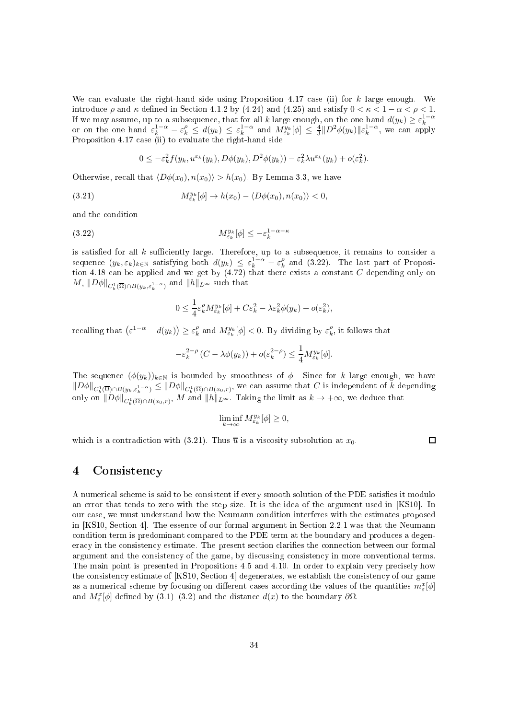We can evaluate the right-hand side using Proposition 4.17 case (ii) for  $k$  large enough. We introduce  $\rho$  and  $\kappa$  defined in Section 4.1.2 by (4.24) and (4.25) and satisfy  $0 < \kappa < 1 - \alpha < \rho < 1$ . If we may assume, up to a subsequence, that for all k large enough, on the one hand  $d(y_k) \geq \varepsilon_k^{1-\alpha}$ <br>or on the one hand  $\varepsilon_k^{1-\alpha} - \varepsilon_k^{\rho} \leq d(y_k) \leq \varepsilon_k^{1-\alpha}$  and  $M_{\varepsilon_k}^{y_k}[\phi] \leq \frac{4}{3} \|D^2 \phi(y_k)\| \varepsilon_k^{1-\alpha}$ , we Proposition 4.17 ase (ii) to evaluate the right-hand side

$$
0 \leq -\varepsilon_k^2 f(y_k, u^{\varepsilon_k}(y_k), D\phi(y_k), D^2\phi(y_k)) - \varepsilon_k^2 \lambda u^{\varepsilon_k}(y_k) + o(\varepsilon_k^2).
$$

Otherwise, recall that  $\langle D\phi(x_0), n(x_0)\rangle > h(x_0)$ . By Lemma 3.3, we have

(3.21) 
$$
M_{\varepsilon_k}^{y_k}[\phi] \to h(x_0) - \langle D\phi(x_0), n(x_0) \rangle < 0,
$$

and the ondition

(3.22) My<sup>k</sup> εk [φ] ≤ −ε 1−α−κ k

is satisfied for all  $k$  sufficiently large. Therefore, up to a subsequence, it remains to consider a sequence  $(y_k, \varepsilon_k)_{k \in \mathbb{N}}$  satisfying both  $d(y_k) \leq \varepsilon_k^{1-\alpha} - \varepsilon_k^{\rho}$  and (3.22). The last part of Proposition 4.18 can be applied and we get by (4.72) that there exists a constant C depending only on  $M, \, \|D\phi\|_{C^1_b(\overline{\Omega})\cap B(y_k, \varepsilon_k^{1-\alpha})} \text{ and } \|h\|_{L^\infty} \text{ such that }$ 

$$
0 \leq \frac{1}{4} \varepsilon_k^{\rho} M_{\varepsilon_k}^{y_k} [\phi] + C \varepsilon_k^2 - \lambda \varepsilon_k^2 \phi(y_k) + o(\varepsilon_k^2),
$$

recalling that  $(\varepsilon^{1-\alpha} - d(y_k)) \ge \varepsilon_k^{\rho}$  and  $M_{\varepsilon_k}^{y_k}[\phi] < 0$ . By dividing by  $\varepsilon_k^{\rho}$ , it follows that

$$
-\varepsilon_k^{2-\rho} (C - \lambda \phi(y_k)) + o(\varepsilon_k^{2-\rho}) \le \frac{1}{4} M_{\varepsilon_k}^{y_k} [\phi].
$$

The sequence  $(\phi(y_k))_{k\in\mathbb{N}}$  is bounded by smoothness of  $\phi$ . Since for k large enough, we have  $\|D\phi\|_{C^1_b(\overline{\Omega})\cap B(y_k,\varepsilon_k^{1-\alpha})}\leq \|D\phi\|_{C^1_b(\overline{\Omega})\cap B(x_0,r)},$  we can assume that  $C$  is independent of  $k$  depending only on  $\|D\phi\|_{C_b^1(\overline{\Omega})\cap B(x_0,r)}$ , M and  $\|h\|_{L^\infty}$ . Taking the limit as  $k\to +\infty$ , we deduce that

$$
\liminf_{k \to \infty} M_{\varepsilon_k}^{y_k}[\phi] \ge 0,
$$

which is a contradiction with (3.21). Thus  $\overline{u}$  is a viscosity subsolution at  $x_0$ .

 $\Box$ 

#### 4Consistency

A numerical scheme is said to be consistent if every smooth solution of the PDE satisfies it modulo an error that tends to zero with the step size. It is the idea of the argument used in [KS10]. In our ase, we must understand how the Neumann ondition interferes with the estimates proposed in [KS10, Section 4]. The essence of our formal argument in Section 2.2.1 was that the Neumann condition term is predominant compared to the PDE term at the boundary and produces a degeneracy in the consistency estimate. The present section clarifies the connection between our formal argument and the consistency of the game, by discussing consistency in more conventional terms. The main point is presented in Propositions 4.5 and 4.10. In order to explain very precisely how the consistency estimate of [KS10, Section 4] degenerates, we establish the consistency of our game as a numerical scheme by focusing on different cases according the values of the quantities  $m_{\varepsilon}^x[\phi]$ and  $M_{\varepsilon}^{x}[\phi]$  defined by (3.1)–(3.2) and the distance  $d(x)$  to the boundary  $\partial\Omega$ .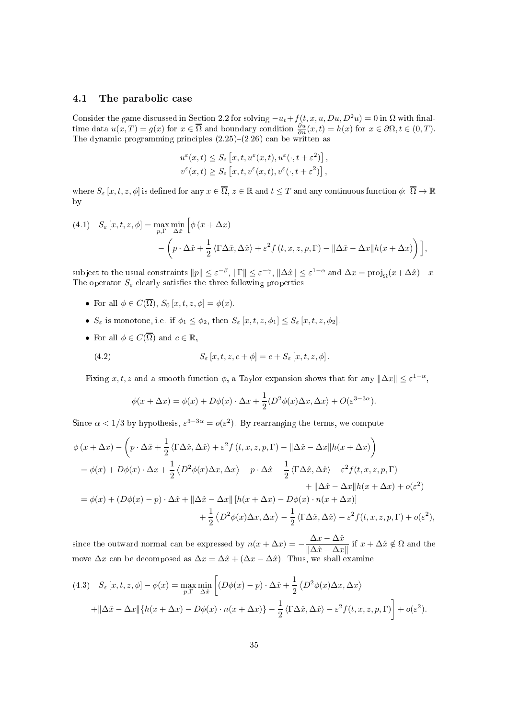# 4.1 The parabolic case

Consider the game discussed in Section 2.2 for solving  $-u_t+f(t, x, u, Du, D^2u) = 0$  in  $\Omega$  with finaltime data  $u(x,T) = g(x)$  for  $x \in \overline{\Omega}$  and boundary condition  $\frac{\partial u}{\partial n}(x,t) = h(x)$  for  $x \in \partial\Omega, t \in (0,T)$ .<br>The dynamic programming principles  $(2.25)-(2.26)$  can be written as

$$
u^{\varepsilon}(x,t) \leq S_{\varepsilon}\left[x,t,u^{\varepsilon}(x,t),u^{\varepsilon}(\cdot,t+\varepsilon^{2})\right],
$$
  

$$
v^{\varepsilon}(x,t) \geq S_{\varepsilon}\left[x,t,v^{\varepsilon}(x,t),v^{\varepsilon}(\cdot,t+\varepsilon^{2})\right],
$$

where  $S_{\varepsilon}$  [x, t, z,  $\phi$ ] is defined for any  $x \in \overline{\Omega}$ ,  $z \in \mathbb{R}$  and  $t \leq T$  and any continuous function  $\phi: \overline{\Omega} \to \mathbb{R}$ by

(4.1) 
$$
S_{\varepsilon}[x, t, z, \phi] = \max_{p, \Gamma} \min_{\Delta \hat{x}} \left[ \phi(x + \Delta x) - \left( p \cdot \Delta \hat{x} + \frac{1}{2} \langle \Gamma \Delta \hat{x}, \Delta \hat{x} \rangle + \varepsilon^2 f(t, x, z, p, \Gamma) - ||\Delta \hat{x} - \Delta x|| h(x + \Delta x) \right) \right],
$$

subject to the usual constraints  $||p|| \le \varepsilon^{-\beta}$ ,  $||\Gamma|| \le \varepsilon^{-\gamma}$ ,  $||\Delta \hat{x}|| \le \varepsilon^{1-\alpha}$  and  $\Delta x = \text{proj}_{\overline{\Omega}}(x + \Delta \hat{x}) - x$ . The operator  $S_{\varepsilon}$  clearly satisfies the three following properties

- For all  $\phi \in C(\overline{\Omega}), S_0[x, t, z, \phi] = \phi(x)$ .
- $S_{\varepsilon}$  is monotone, i.e. if  $\phi_1 \leq \phi_2$ , then  $S_{\varepsilon} [x, t, z, \phi_1] \leq S_{\varepsilon} [x, t, z, \phi_2]$ .
- For all  $\phi \in C(\overline{\Omega})$  and  $c \in \mathbb{R}$ ,

(4.2) 
$$
S_{\varepsilon}[x,t,z,c+\phi] = c + S_{\varepsilon}[x,t,z,\phi].
$$

Fixing x, t, z and a smooth function  $\phi$ , a Taylor expansion shows that for any  $\|\Delta x\| \leq \varepsilon^{1-\alpha}$ ,

$$
\phi(x + \Delta x) = \phi(x) + D\phi(x) \cdot \Delta x + \frac{1}{2} \langle D^2 \phi(x) \Delta x, \Delta x \rangle + O(\varepsilon^{3-3\alpha}).
$$

Since  $\alpha < 1/3$  by hypothesis,  $\varepsilon^{3-3\alpha} = o(\varepsilon^2)$ . By rearranging the terms, we compute

$$
\phi(x + \Delta x) - \left(p \cdot \Delta \hat{x} + \frac{1}{2} \langle \Gamma \Delta \hat{x}, \Delta \hat{x} \rangle + \varepsilon^2 f(t, x, z, p, \Gamma) - ||\Delta \hat{x} - \Delta x||h(x + \Delta x)\right)
$$
  
\n
$$
= \phi(x) + D\phi(x) \cdot \Delta x + \frac{1}{2} \langle D^2 \phi(x) \Delta x, \Delta x \rangle - p \cdot \Delta \hat{x} - \frac{1}{2} \langle \Gamma \Delta \hat{x}, \Delta \hat{x} \rangle - \varepsilon^2 f(t, x, z, p, \Gamma) + ||\Delta \hat{x} - \Delta x||h(x + \Delta x) + o(\varepsilon^2)
$$
  
\n
$$
= \phi(x) + (D\phi(x) - p) \cdot \Delta \hat{x} + ||\Delta \hat{x} - \Delta x|| [h(x + \Delta x) - D\phi(x) \cdot n(x + \Delta x)] + \frac{1}{2} \langle D^2 \phi(x) \Delta x, \Delta x \rangle - \frac{1}{2} \langle \Gamma \Delta \hat{x}, \Delta \hat{x} \rangle - \varepsilon^2 f(t, x, z, p, \Gamma) + o(\varepsilon^2),
$$

since the outward normal can be expressed by  $n(x + \Delta x) = -\frac{\Delta x - \Delta \hat{x}}{\|\Delta \hat{x} - \Delta x\|}$  $\frac{2x - 2x}{\|\Delta \hat{x} - \Delta x\|}$  if  $x + \Delta \hat{x} \notin \Omega$  and the move  $\Delta x$  can be decomposed as  $\Delta x = \Delta \hat{x} + (\Delta x - \Delta \hat{x})$ . Thus, we shall examine

(4.3) 
$$
S_{\varepsilon} [x, t, z, \phi] - \phi(x) = \max_{p, \Gamma} \min_{\Delta \hat{x}} \left[ (D\phi(x) - p) \cdot \Delta \hat{x} + \frac{1}{2} \langle D^2 \phi(x) \Delta x, \Delta x \rangle \right] + ||\Delta \hat{x} - \Delta x|| \{ h(x + \Delta x) - D\phi(x) \cdot n(x + \Delta x) \} - \frac{1}{2} \langle \Gamma \Delta \hat{x}, \Delta \hat{x} \rangle - \varepsilon^2 f(t, x, z, p, \Gamma) \right] + o(\varepsilon^2).
$$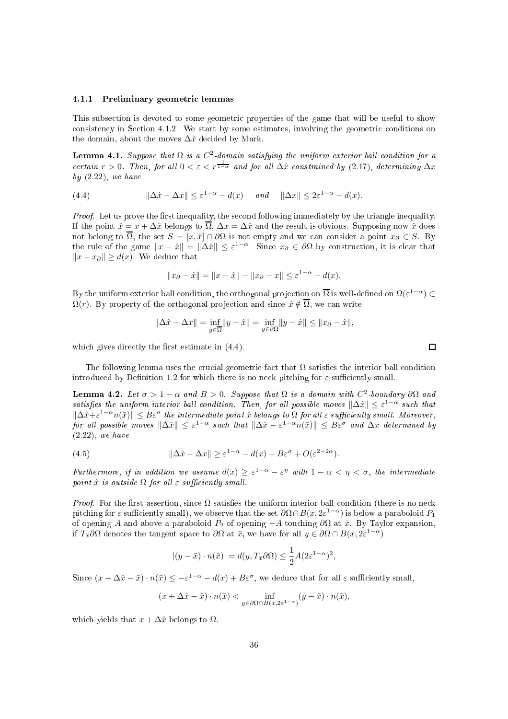### 4.1.1 Preliminary geometri lemmas

This subsection is devoted to some geometric properties of the game that will be useful to show consistency in Section 4.1.2. We start by some estimates, involving the geometric conditions on the domain, about the moves  $\Delta \hat{x}$  decided by Mark.

**Lemma 4.1.** Suppose that  $\Omega$  is a  $C^2$ -domain satisfying the uniform exterior ball condition for a certain  $r > 0$ . Then, for all  $0 < \varepsilon < r^{\frac{1}{1-\alpha}}$  and for all  $\Delta \hat{x}$  constrained by (2.17), determining  $\Delta x$ by  $(2.22)$ , we have

(4.4) 
$$
\|\Delta \hat{x} - \Delta x\| \le \varepsilon^{1-\alpha} - d(x) \quad \text{and} \quad \|\Delta x\| \le 2\varepsilon^{1-\alpha} - d(x).
$$

Proof. Let us prove the first inequality, the second following immediately by the triangle inequality. If the point  $\hat{x} = x + \Delta \hat{x}$  belongs to  $\overline{\Omega}$ ,  $\Delta x = \Delta \hat{x}$  and the result is obvious. Supposing now  $\hat{x}$  does not belong to  $\overline{\Omega}$ , the set  $S = [x, \hat{x}] \cap \partial \Omega$  is not empty and we can consider a point  $x_{\partial} \in S$ . By the rule of the game  $||x - \hat{x}|| = ||\Delta \hat{x}|| \le \varepsilon^{1-\alpha}$ . Since  $x_{\partial} \in \partial \Omega$  by construction, it is clear that  $||x - x_{\partial}|| \ge d(x)$ . We deduce that

$$
||x_{\partial} - \hat{x}|| = ||x - \hat{x}|| - ||x_{\partial} - x|| \le \varepsilon^{1-\alpha} - d(x).
$$

By the uniform exterior ball condition, the orthogonal projection on  $\overline{\Omega}$  is well-defined on  $\Omega(\varepsilon^{1-\alpha}) \subset$  $\Omega(r)$ . By property of the orthogonal projection and since  $\hat{x} \notin \overline{\Omega}$ , we can write

$$
\|\Delta \hat{x} - \Delta x\| = \inf_{y \in \overline{\Omega}} \|y - \hat{x}\| = \inf_{y \in \partial \Omega} \|y - \hat{x}\| \le \|x_{\partial} - \hat{x}\|,
$$

which gives directly the first estimate in  $(4.4)$ .

The following lemma uses the crucial geometric fact that  $\Omega$  satisfies the interior ball condition introduced by Definition 1.2 for which there is no neck pitching for  $\varepsilon$  sufficiently small.

**Lemma 4.2.** Let  $\sigma > 1 - \alpha$  and  $B > 0$ . Suppose that  $\Omega$  is a domain with  $C^2$ -boundary  $\partial \Omega$  and satisfies the uniform interior ball condition. Then, for all possible moves  $\|\Delta \hat{x}\| \leq \varepsilon^{1-\alpha}$  such that  $\|\Delta \hat{x}+\varepsilon^{1-\alpha}n(\bar{x})\| \leq B\varepsilon^{\sigma}$  the intermediate point  $\hat{x}$  belongs to  $\Omega$  for all  $\varepsilon$  sufficiently small. Moreover,  $\textit{for all possible moves } ||\Delta \hat{x}|| \leq \varepsilon^{1-\alpha} \textit{ such that } ||\Delta \hat{x} - \varepsilon^{1-\alpha} n(\bar{x})|| \leq B \varepsilon^{\sigma} \textit{ and } \Delta x \textit{ determined by }$ (2.22), we have

(4.5) 
$$
\|\Delta \hat{x} - \Delta x\| \ge \varepsilon^{1-\alpha} - d(x) - B\varepsilon^{\sigma} + O(\varepsilon^{2-2\alpha}).
$$

Furthermore, if in addition we assume  $d(x) \geq \varepsilon^{1-\alpha} - \varepsilon^{\eta}$  with  $1-\alpha < \eta < \sigma$ , the intermediate point  $\hat{x}$  is outside  $\Omega$  for all  $\varepsilon$  sufficiently small.

*Proof.* For the first assertion, since  $\Omega$  satisfies the uniform interior ball condition (there is no neck pitching for  $\varepsilon$  sufficiently small), we observe that the set  $\partial\Omega \cap B(x, 2\varepsilon^{1-\alpha})$  is below a paraboloid  $P_1$ of opening A and above a paraboloid  $P_2$  of opening  $-A$  touching  $\partial\Omega$  at  $\bar{x}$ . By Taylor expansion, if  $T_{\bar{x}}\partial\Omega$  denotes the tangent space to  $\partial\Omega$  at  $\bar{x}$ , we have for all  $y\in\partial\Omega\cap B(x,2\varepsilon^{1-\alpha})$ 

$$
|(y - \bar{x}) \cdot n(\bar{x})| = d(y, T_{\bar{x}} \partial \Omega) \le \frac{1}{2} A (2\varepsilon^{1-\alpha})^2,
$$

Since  $(x + \Delta \hat{x} - \bar{x}) \cdot n(\bar{x}) \leq -\varepsilon^{1-\alpha} - d(x) + B\varepsilon^{\sigma}$ , we deduce that for all  $\varepsilon$  sufficiently small,

$$
(x + \Delta \hat{x} - \bar{x}) \cdot n(\bar{x}) < \inf_{y \in \partial \Omega \cap B(x, 2\varepsilon^{1-\alpha})} (y - \bar{x}) \cdot n(\bar{x}),
$$

which yields that  $x + \Delta \hat{x}$  belongs to  $\Omega$ .

 $\Box$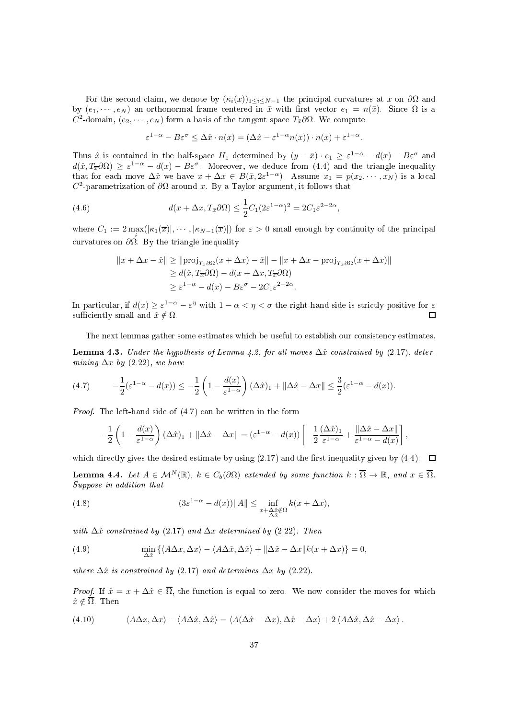For the second claim, we denote by  $(\kappa_i(x))_{1 \leq i \leq N-1}$  the principal curvatures at x on  $\partial\Omega$  and by  $(e_1, \dots, e_N)$  an orthonormal frame centered in  $\bar{x}$  with first vector  $e_1 = n(\bar{x})$ . Since  $\Omega$  is a  $C^2$ -domain,  $(e_2, \cdots, e_N)$  form a basis of the tangent space  $T_{\bar{x}}\partial\Omega$ . We compute

$$
\varepsilon^{1-\alpha} - B\varepsilon^{\sigma} \leq \Delta \hat{x} \cdot n(\bar{x}) = (\Delta \hat{x} - \varepsilon^{1-\alpha} n(\bar{x})) \cdot n(\bar{x}) + \varepsilon^{1-\alpha}.
$$

Thus  $\hat{x}$  is contained in the half-space  $H_1$  determined by  $(y - \bar{x}) \cdot e_1 \geq \varepsilon^{1-\alpha} - d(x) - B\varepsilon^{\sigma}$  and  $d(\hat{x}, T_{\overline{x}}\partial\Omega) \geq \varepsilon^{1-\alpha} - d(x) - B\varepsilon^{\sigma}$ . Moreover, we deduce from (4.4) and the triangle inequality that for each move  $\Delta \hat{x}$  we have  $x + \Delta x \in B(\bar{x}, 2\varepsilon^{1-\alpha})$ . Assume  $x_1 = p(x_2, \dots, x_N)$  is a local  $C^2$ -parametrization of  $\partial\Omega$  around x. By a Taylor argument, it follows that

(4.6) 
$$
d(x + \Delta x, T_{\bar{x}} \partial \Omega) \leq \frac{1}{2} C_1 (2\varepsilon^{1-\alpha})^2 = 2C_1 \varepsilon^{2-2\alpha},
$$

where  $C_1 := 2 \max_i(|\kappa_1(\overline{x})|, \cdots, |\kappa_{N-1}(\overline{x})|)$  for  $\varepsilon > 0$  small enough by continuity of the principal curvatures on  $\frac{\partial \Omega}{\partial \Omega}$ . By the triangle inequality

$$
||x + \Delta x - \hat{x}|| \ge ||\text{proj}_{T_{\bar{x}}\partial\Omega}(x + \Delta x) - \hat{x}|| - ||x + \Delta x - \text{proj}_{T_{\bar{x}}\partial\Omega}(x + \Delta x)||
$$
  
\n
$$
\ge d(\hat{x}, T_{\bar{x}}\partial\Omega) - d(x + \Delta x, T_{\bar{x}}\partial\Omega)
$$
  
\n
$$
\ge \varepsilon^{1-\alpha} - d(x) - B\varepsilon^{\sigma} - 2C_1\varepsilon^{2-2\alpha}.
$$

In particular, if  $d(x) \ge \varepsilon^{1-\alpha} - \varepsilon^{\eta}$  with  $1-\alpha < \eta < \sigma$  the right-hand side is strictly positive for  $\varepsilon$ sufficiently small and  $\hat{x} \notin \Omega$ .

The next lemmas gather some estimates which be useful to establish our consistency estimates.

**Lemma 4.3.** Under the hypothesis of Lemma 4.2, for all moves  $\Delta \hat{x}$  constrained by (2.17), determining  $\Delta x$  by (2.22), we have

$$
(4.7) \qquad -\frac{1}{2}(\varepsilon^{1-\alpha}-d(x)) \leq -\frac{1}{2}\left(1-\frac{d(x)}{\varepsilon^{1-\alpha}}\right)(\Delta \hat{x})_1 + \|\Delta \hat{x} - \Delta x\| \leq \frac{3}{2}(\varepsilon^{1-\alpha}-d(x)).
$$

Proof. The left-hand side of  $(4.7)$  can be written in the form

$$
-\frac{1}{2}\left(1-\frac{d(x)}{\varepsilon^{1-\alpha}}\right)(\Delta\hat{x})_1 + \|\Delta\hat{x} - \Delta x\| = (\varepsilon^{1-\alpha} - d(x))\left[-\frac{1}{2}\frac{(\Delta\hat{x})_1}{\varepsilon^{1-\alpha}} + \frac{\|\Delta\hat{x} - \Delta x\|}{\varepsilon^{1-\alpha} - d(x)}\right],
$$

which directly gives the desired estimate by using (2.17) and the first inequality given by (4.4).  $\Box$ 

**Lemma 4.4.** Let  $A \in \mathcal{M}^{N}(\mathbb{R})$ ,  $k \in C_b(\partial\Omega)$  extended by some function  $k : \overline{\Omega} \to \mathbb{R}$ , and  $x \in \overline{\Omega}$ . Suppose in addition that

(4.8) 
$$
(3\varepsilon^{1-\alpha} - d(x))\|A\| \leq \inf_{x+\Delta\hat{x}\notin\Omega} k(x+\Delta x),
$$

with  $\Delta \hat{x}$  constrained by (2.17) and  $\Delta x$  determined by (2.22). Then

(4.9) 
$$
\min_{\Delta \hat{x}} \left\{ \langle A\Delta x, \Delta x \rangle - \langle A\Delta \hat{x}, \Delta \hat{x} \rangle + ||\Delta \hat{x} - \Delta x||k(x + \Delta x) \right\} = 0,
$$

where  $\Delta \hat{x}$  is constrained by (2.17) and determines  $\Delta x$  by (2.22).

*Proof.* If  $\hat{x} = x + \Delta \hat{x} \in \overline{\Omega}$ , the function is equal to zero. We now consider the moves for which  $\hat{x} \notin \overline{\Omega}$ . Then

(4.10) 
$$
\langle A\Delta x, \Delta x \rangle - \langle A\Delta \hat{x}, \Delta \hat{x} \rangle = \langle A(\Delta \hat{x} - \Delta x), \Delta \hat{x} - \Delta x \rangle + 2 \langle A\Delta \hat{x}, \Delta \hat{x} - \Delta x \rangle.
$$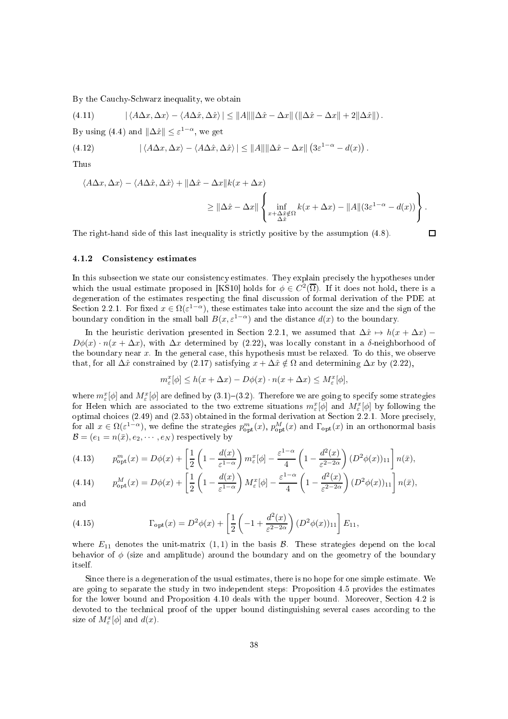By the Cauchy-Schwarz inequality, we obtain

(4.11)  $|\langle A\Delta x,\Delta x\rangle - \langle A\Delta \hat{x},\Delta \hat{x}\rangle| \le ||A|| ||\Delta \hat{x} - \Delta x|| (||\Delta \hat{x} - \Delta x|| + 2||\Delta \hat{x}||).$ By using (4.4) and  $\|\Delta \hat{x}\| \leq \varepsilon^{1-\alpha}$ , we get (4.12)  $|\langle A\Delta x, \Delta x\rangle - \langle A\Delta \hat{x}, \Delta \hat{x}\rangle| \le ||A|| ||\Delta \hat{x} - \Delta x|| (3\varepsilon^{1-\alpha} - d(x)).$ Thus

 $\langle A\Delta x, \Delta x \rangle - \langle A\Delta \hat{x}, \Delta \hat{x} \rangle + ||\Delta \hat{x} - \Delta x||k(x + \Delta x)$  $\geq$   $\|\Delta \hat{x} - \Delta x\|$  $\sqrt{ }$  $\frac{1}{2}$  $\mathcal{L}$  $\inf_{x+\Delta \hat{x} \notin Ω}$  $k(x + \Delta x) - ||A||(3\varepsilon^{1-\alpha} - d(x))$  $\mathbf{A}$  $\mathbf{I}$  $\frac{1}{2}$ .

The right-hand side of this last inequality is strictly positive by the assumption  $(4.8)$ .

# $\Box$

#### 4.1.2 Consisten
y estimates

In this subsection we state our consistency estimates. They explain precisely the hypotheses under which the usual estimate proposed in [KS10] holds for  $\phi \in C^2(\overline{\Omega})$ . If it does not hold, there is a degeneration of the estimates respecting the final discussion of formal derivation of the PDE at Section 2.2.1. For fixed  $x \in \Omega(\varepsilon^{1-\alpha})$ , these estimates take into account the size and the sign of the boundary condition in the small ball  $B(x, \varepsilon^{1-\alpha})$  and the distance  $d(x)$  to the boundary.

In the heuristic derivation presented in Section 2.2.1, we assumed that  $\Delta x \rightarrow h(x + \Delta x)$  –  $D\phi(x) \cdot n(x + \Delta x)$ , with  $\Delta x$  determined by (2.22), was locally constant in a δ-neighborhood of the boundary near  $x$ . In the general case, this hypothesis must be relaxed. To do this, we observe that, for all  $\Delta \hat{x}$  constrained by (2.17) satisfying  $x + \Delta \hat{x} \notin \Omega$  and determining  $\Delta x$  by (2.22),

$$
m_{\varepsilon}^{x}[\phi] \le h(x + \Delta x) - D\phi(x) \cdot n(x + \Delta x) \le M_{\varepsilon}^{x}[\phi],
$$

where  $m_\varepsilon^x[\phi]$  and  $M_\varepsilon^x[\phi]$  are defined by  $(3.1)-(3.2)$ . Therefore we are going to specify some strategies for Helen which are associated to the two extreme situations  $m_\varepsilon^x[\phi]$  and  $M_\varepsilon^x[\phi]$  by following the for all  $x \in \Omega(\varepsilon^{1-\alpha})$ , we define the strategies  $p_{\text{opt}}^m(x)$ ,  $p_{\text{opt}}^M(x)$  and  $\Gamma_{\text{opt}}(x)$  in an orthonormal basis  $\mathcal{B} = (e_1 = n(\bar{x}), e_2, \cdots, e_N)$  respectively by

$$
(4.13) \t p_{\text{opt}}^m(x) = D\phi(x) + \left[\frac{1}{2}\left(1 - \frac{d(x)}{\varepsilon^{1-\alpha}}\right)m_{\varepsilon}^x[\phi] - \frac{\varepsilon^{1-\alpha}}{4}\left(1 - \frac{d^2(x)}{\varepsilon^{2-2\alpha}}\right)(D^2\phi(x))_{11}\right]n(\bar{x}),
$$
\n
$$
(4.14) \t p_M^M(x) = D\phi(x) + \left[\frac{1}{2}\left(1 - \frac{d(x)}{\varepsilon^{1-\alpha}}\right)M^x[\phi] - \frac{\varepsilon^{1-\alpha}}{4}\left(1 - \frac{d^2(x)}{\varepsilon^{2-\alpha}}\right)(D^2\phi(x))_{11}\right]n(\bar{x}).
$$

(4.14) 
$$
p_{\text{opt}}^M(x) = D\phi(x) + \left[\frac{1}{2}\left(1 - \frac{d(x)}{\varepsilon^{1-\alpha}}\right)M_{\varepsilon}^x[\phi] - \frac{\varepsilon^{1-\alpha}}{4}\left(1 - \frac{d^2(x)}{\varepsilon^{2-2\alpha}}\right)(D^2\phi(x))_{11}\right]n(\bar{x}),
$$

and

(4.15) 
$$
\Gamma_{\text{opt}}(x) = D^2 \phi(x) + \left[ \frac{1}{2} \left( -1 + \frac{d^2(x)}{\varepsilon^{2-2\alpha}} \right) (D^2 \phi(x))_{11} \right] E_{11},
$$

where  $E_{11}$  denotes the unit-matrix  $(1,1)$  in the basis  $\mathcal{B}$ . These strategies depend on the local behavior of  $\phi$  (size and amplitude) around the boundary and on the geometry of the boundary itself.

Sin
e there is a degeneration of the usual estimates, there is no hope for one simple estimate. We are going to separate the study in two independent steps: Proposition 4.5 provides the estimates for the lower bound and Proposition 4.10 deals with the upper bound. Moreover, Section 4.2 is devoted to the technical proof of the upper bound distinguishing several cases according to the size of  $M_{\varepsilon}^{x}[\phi]$  and  $d(x)$ .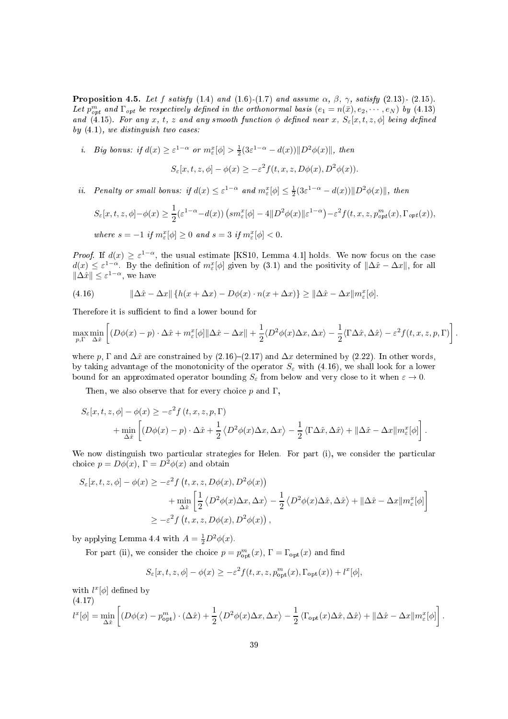**Proposition 4.5.** Let f satisfy (1.4) and (1.6)-(1.7) and assume  $\alpha$ ,  $\beta$ ,  $\gamma$ , satisfy (2.13)- (2.15). Let  $p_{opt}^m$  and  $\Gamma_{opt}$  be respectively defined in the orthonormal basis  $(e_1 = n(\bar{x}), e_2, \dots, e_N)$  by (4.13) and (4.15). For any x, t, z and any smooth function  $\phi$  defined near x,  $S_{\varepsilon}[x,t,z,\phi]$  being defined by  $(4.1)$ , we distinguish two cases:

*i.* Big bonus: if  $d(x) \ge \varepsilon^{1-\alpha}$  or  $m_{\varepsilon}^x[\phi] > \frac{1}{2}(3\varepsilon^{1-\alpha} - d(x))||D^2\phi(x)||$ , then

$$
S_{\varepsilon}[x,t,z,\phi] - \phi(x) \ge -\varepsilon^2 f(t,x,z,D\phi(x),D^2\phi(x)).
$$

*ii.* Penalty or small bonus: if  $d(x) \leq \varepsilon^{1-\alpha}$  and  $m_{\varepsilon}^{x}[\phi] \leq \frac{1}{2}(3\varepsilon^{1-\alpha} - d(x))||D^2\phi(x)||$ , then

$$
S_{\varepsilon}[x,t,z,\phi]-\phi(x) \ge \frac{1}{2}(\varepsilon^{1-\alpha}-d(x))\left(s m_{\varepsilon}^{x}[\phi] - 4\|D^{2}\phi(x)\|\varepsilon^{1-\alpha}\right) - \varepsilon^{2} f(t,x,z,p_{opt}^{m}(x),\Gamma_{opt}(x)),
$$
  
where  $s = -1$  if  $m_{\varepsilon}^{x}[\phi] \ge 0$  and  $s = 3$  if  $m_{\varepsilon}^{x}[\phi] < 0$ .

*Proof.* If  $d(x) \geq \varepsilon^{1-\alpha}$ , the usual estimate [KS10, Lemma 4.1] holds. We now focus on the case  $d(x) \leq \varepsilon^{1-\alpha}$ . By the definition of  $m_{\varepsilon}^x[\phi]$  given by (3.1) and the positivity of  $\|\Delta \hat{x} - \Delta x\|$ , for all  $\|\Delta \hat{x}\| \leq \varepsilon^{1-\alpha}$ , we have

(4.16) 
$$
\|\Delta \hat{x} - \Delta x\| \{h(x + \Delta x) - D\phi(x) \cdot n(x + \Delta x)\} \ge \|\Delta \hat{x} - \Delta x\| m_{\varepsilon}^x[\phi].
$$

Therefore it is sufficient to find a lower bound for

$$
\max_{p,\Gamma} \min_{\Delta \hat{x}} \left[ (D\phi(x) - p) \cdot \Delta \hat{x} + m_{\varepsilon}^x[\phi] \|\Delta \hat{x} - \Delta x\| + \frac{1}{2} \langle D^2 \phi(x) \Delta x, \Delta x \rangle - \frac{1}{2} \langle \Gamma \Delta \hat{x}, \Delta \hat{x} \rangle - \varepsilon^2 f(t, x, z, p, \Gamma) \right].
$$

where p,  $\Gamma$  and  $\Delta \hat{x}$  are constrained by (2.16)–(2.17) and  $\Delta x$  determined by (2.22). In other words, by taking advantage of the monotonicity of the operator  $S_{\varepsilon}$  with (4.16), we shall look for a lower bound for an approximated operator bounding  $S_{\varepsilon}$  from below and very close to it when  $\varepsilon \to 0$ .

Then, we also observe that for every choice  $p$  and  $\Gamma$ ,

$$
S_{\varepsilon}[x,t,z,\phi] - \phi(x) \ge -\varepsilon^2 f(t,x,z,p,\Gamma)
$$
  
+ 
$$
\min_{\Delta \hat{x}} \left[ (D\phi(x) - p) \cdot \Delta \hat{x} + \frac{1}{2} \langle D^2 \phi(x) \Delta x, \Delta x \rangle - \frac{1}{2} \langle \Gamma \Delta \hat{x}, \Delta \hat{x} \rangle + ||\Delta \hat{x} - \Delta x|| m_{\varepsilon}^x[\phi] \right].
$$

We now distinguish two particular strategies for Helen. For part (i), we consider the particular choice  $p = D\phi(x)$ ,  $\Gamma = D^2\phi(x)$  and obtain

$$
S_{\varepsilon}[x, t, z, \phi] - \phi(x) \ge -\varepsilon^2 f(t, x, z, D\phi(x), D^2\phi(x))
$$
  
+ 
$$
\min_{\Delta \hat{x}} \left[ \frac{1}{2} \langle D^2 \phi(x) \Delta x, \Delta x \rangle - \frac{1}{2} \langle D^2 \phi(x) \Delta \hat{x}, \Delta \hat{x} \rangle + ||\Delta \hat{x} - \Delta x|| m_{\varepsilon}^x[\phi] \right]
$$
  

$$
\ge -\varepsilon^2 f(t, x, z, D\phi(x), D^2\phi(x)),
$$

by applying Lemma 4.4 with  $A = \frac{1}{2}D^2\phi(x)$ .

For part (ii), we consider the choice  $p = p_{\text{ont}}^m(x)$ ,  $\Gamma = \Gamma_{\text{opt}}(x)$  and find

$$
S_{\varepsilon}[x,t,z,\phi] - \phi(x) \ge -\varepsilon^2 f(t,x,z,p_{\rm opt}^m(x),\Gamma_{\rm opt}(x)) + l^x[\phi],
$$

with  $l^x[\phi]$  defined by

(4.17)

$$
l^{x}[\phi] = \min_{\Delta \hat{x}} \left[ (D\phi(x) - p_{\rm opt}^{m}) \cdot (\Delta \hat{x}) + \frac{1}{2} \langle D^{2}\phi(x) \Delta x, \Delta x \rangle - \frac{1}{2} \langle \Gamma_{\rm opt}(x) \Delta \hat{x}, \Delta \hat{x} \rangle + ||\Delta \hat{x} - \Delta x|| m_{\varepsilon}^{x}[\phi] \right].
$$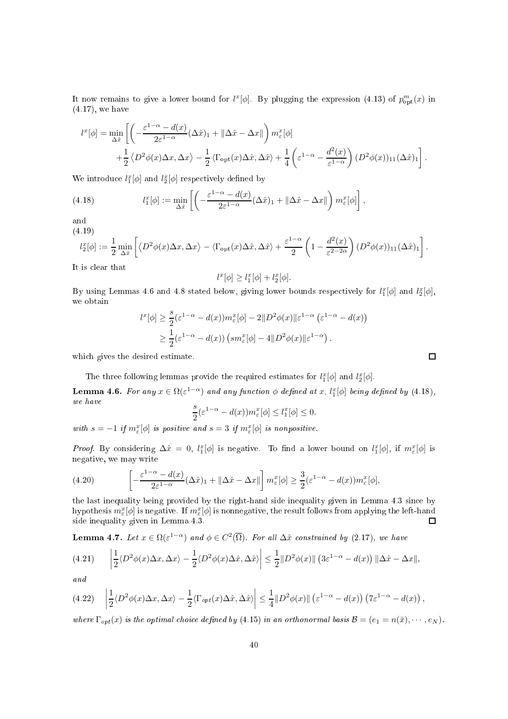It now remains to give a lower bound for  $l^x[\phi]$ . By plugging the expression (4.13) of  $p_{\text{opt}}^m(x)$  in (4.17), we have

$$
l^{x}[\phi] = \min_{\Delta \hat{x}} \left[ \left( -\frac{\varepsilon^{1-\alpha} - d(x)}{2\varepsilon^{1-\alpha}} (\Delta \hat{x})_1 + ||\Delta \hat{x} - \Delta x|| \right) m_{\varepsilon}^{x}[\phi] + \frac{1}{2} \langle D^2 \phi(x) \Delta x, \Delta x \rangle - \frac{1}{2} \langle \Gamma_{\text{opt}}(x) \Delta \hat{x}, \Delta \hat{x} \rangle + \frac{1}{4} \left( \varepsilon^{1-\alpha} - \frac{d^2(x)}{\varepsilon^{1-\alpha}} \right) (D^2 \phi(x))_{11} (\Delta \hat{x})_1 \right].
$$

We introduce  $l_1^x[\phi]$  and  $l_2^x[\phi]$  respectively defined by

(4.18) 
$$
l_1^x[\phi] := \min_{\Delta \hat{x}} \left[ \left( -\frac{\varepsilon^{1-\alpha} - d(x)}{2\varepsilon^{1-\alpha}} (\Delta \hat{x})_1 + ||\Delta \hat{x} - \Delta x|| \right) m_{\varepsilon}^x[\phi] \right],
$$

and

(4.19)

$$
l_2^x[\phi] := \frac{1}{2} \min_{\Delta \hat{x}} \left[ \langle D^2 \phi(x) \Delta x, \Delta x \rangle - \langle \Gamma_{\text{opt}}(x) \Delta \hat{x}, \Delta \hat{x} \rangle + \frac{\varepsilon^{1-\alpha}}{2} \left( 1 - \frac{d^2(x)}{\varepsilon^{2-2\alpha}} \right) (D^2 \phi(x))_{11} (\Delta \hat{x})_1 \right].
$$

It is lear that

$$
l^x[\phi] \ge l_1^x[\phi] + l_2^x[\phi].
$$

By using Lemmas 4.6 and 4.8 stated below, giving lower bounds respectively for  $l_1^x[\phi]$  and  $l_2^x[\phi]$ , we obtain

$$
l^{x}[\phi] \geq \frac{s}{2}(\varepsilon^{1-\alpha} - d(x))m_{\varepsilon}^{x}[\phi] - 2||D^{2}\phi(x)||\varepsilon^{1-\alpha} (\varepsilon^{1-\alpha} - d(x))
$$
  
 
$$
\geq \frac{1}{2}(\varepsilon^{1-\alpha} - d(x)) \left(\operatorname{sm}_{\varepsilon}^{x}[\phi] - 4||D^{2}\phi(x)||\varepsilon^{1-\alpha}\right).
$$

which gives the desired estimate.

The three following lemmas provide the required estimates for  $l_1^x[\phi]$  and  $l_2^x[\phi]$ .

**Lemma 4.6.** For any  $x \in \Omega(\varepsilon^{1-\alpha})$  and any function  $\phi$  defined at x,  $l_1^x[\phi]$  being defined by (4.18), we have

$$
\frac{s}{2}(\varepsilon^{1-\alpha} - d(x))m_{\varepsilon}^{x}[\phi] \le l_1^{x}[\phi] \le 0.
$$

with  $s = -1$  if  $m_{\varepsilon}^x[\phi]$  is positive and  $s = 3$  if  $m_{\varepsilon}^x[\phi]$  is nonpositive.

*Proof.* By considering  $\Delta \hat{x} = 0$ ,  $l_1^x[\phi]$  is negative. To find a lower bound on  $l_1^x[\phi]$ , if  $m_{\varepsilon}^x[\phi]$  is negative, we may write

(4.20) 
$$
\left[-\frac{\varepsilon^{1-\alpha}-d(x)}{2\varepsilon^{1-\alpha}}(\Delta \hat{x})_1 + \|\Delta \hat{x} - \Delta x\|\right] m_{\varepsilon}^x[\phi] \geq \frac{3}{2}(\varepsilon^{1-\alpha} - d(x))m_{\varepsilon}^x[\phi],
$$

the last inequality being provided by the right-hand side inequality given in Lemma 4.3 since by hypothesis  $m_\varepsilon^x[\phi]$  is negative. If  $m_\varepsilon^x[\phi]$  is nonnegative, the result follows from applying the left-hand side inequality given in Lemma 4.3.  $\Box$ 

**Lemma 4.7.** Let  $x \in \Omega(\varepsilon^{1-\alpha})$  and  $\phi \in C^2(\overline{\Omega})$ . For all  $\Delta \hat{x}$  constrained by (2.17), we have

$$
(4.21) \qquad \left|\frac{1}{2}\langle D^2\phi(x)\Delta x,\Delta x\rangle - \frac{1}{2}\langle D^2\phi(x)\Delta \hat{x},\Delta \hat{x}\rangle\right| \leq \frac{1}{2}||D^2\phi(x)||\left(3\varepsilon^{1-\alpha} - d(x)\right)||\Delta \hat{x} - \Delta x||,
$$

and

$$
(4.22) \quad \left| \frac{1}{2} \langle D^2 \phi(x) \Delta x, \Delta x \rangle - \frac{1}{2} \langle \Gamma_{opt}(x) \Delta \hat{x}, \Delta \hat{x} \rangle \right| \leq \frac{1}{4} \| D^2 \phi(x) \| \left( \varepsilon^{1-\alpha} - d(x) \right) \left( 7\varepsilon^{1-\alpha} - d(x) \right),
$$

where  $\Gamma_{opt}(x)$  is the optimal choice defined by (4.15) in an orthonormal basis  $\mathcal{B} = (e_1 = n(\bar{x}), \cdots, e_N)$ .

 $\Box$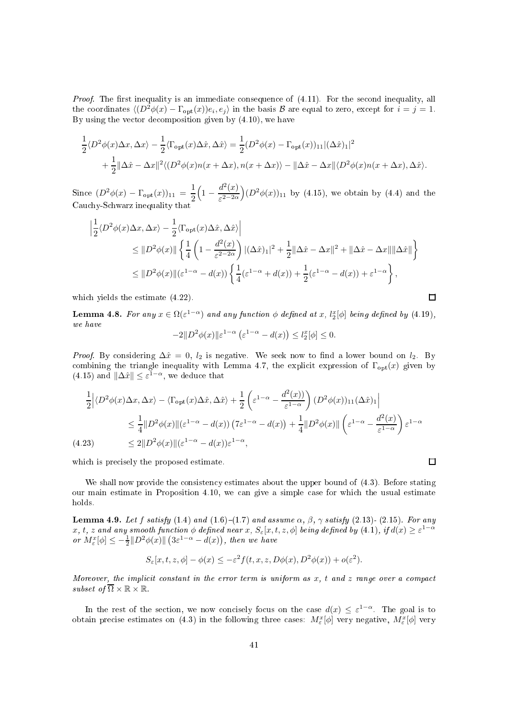Proof. The first inequality is an immediate consequence of  $(4.11)$ . For the second inequality, all the coordinates  $\langle (D^2 \phi(x) - \Gamma_{\text{opt}}(x))e_i, e_j \rangle$  in the basis  $\mathcal B$  are equal to zero, except for  $i = j = 1$ . By using the vector decomposition given by  $(4.10)$ , we have

$$
\frac{1}{2}\langle D^2\phi(x)\Delta x,\Delta x\rangle - \frac{1}{2}\langle \Gamma_{\text{opt}}(x)\Delta \hat{x},\Delta \hat{x}\rangle = \frac{1}{2}(D^2\phi(x) - \Gamma_{\text{opt}}(x))_{11}|(\Delta \hat{x})_1|^2 \n+ \frac{1}{2}\|\Delta \hat{x} - \Delta x\|^2 \langle (D^2\phi(x)n(x + \Delta x), n(x + \Delta x)) - \|\Delta \hat{x} - \Delta x\| \langle D^2\phi(x)n(x + \Delta x), \Delta \hat{x}\rangle.
$$

Since  $(D^2 \phi(x) - \Gamma_{\text{opt}}(x))_{11} = \frac{1}{2}$ 2  $\left(1-\frac{d^2(x)}{\varepsilon^{2-2\alpha}}\right)$  $\varepsilon^{2-2\alpha}$  $(D^{2}\phi(x))_{11}$  by (4.15), we obtain by (4.4) and the cause, committee in the second of the second

$$
\begin{split} \left| \frac{1}{2} \langle D^2 \phi(x) \Delta x, \Delta x \rangle - \frac{1}{2} \langle \Gamma_{\text{opt}}(x) \Delta \hat{x}, \Delta \hat{x} \rangle \right| \\ &\leq \| D^2 \phi(x) \| \left\{ \frac{1}{4} \left( 1 - \frac{d^2(x)}{\varepsilon^{2-2\alpha}} \right) |(\Delta \hat{x})_1|^2 + \frac{1}{2} \| \Delta \hat{x} - \Delta x \|^2 + \| \Delta \hat{x} - \Delta x \| \| \Delta \hat{x} \| \right\} \\ &\leq \| D^2 \phi(x) \| (\varepsilon^{1-\alpha} - d(x)) \left\{ \frac{1}{4} (\varepsilon^{1-\alpha} + d(x)) + \frac{1}{2} (\varepsilon^{1-\alpha} - d(x)) + \varepsilon^{1-\alpha} \right\}, \end{split}
$$

which yields the estimate  $(4.22)$ .

**Lemma 4.8.** For any  $x \in \Omega(\varepsilon^{1-\alpha})$  and any function  $\phi$  defined at x,  $l_2^x[\phi]$  being defined by (4.19), we have

$$
-2||D^2\phi(x)||\varepsilon^{1-\alpha}(\varepsilon^{1-\alpha}-d(x)) \le l_2^x[\phi] \le 0.
$$

*Proof.* By considering  $\Delta \hat{x} = 0$ ,  $l_2$  is negative. We seek now to find a lower bound on  $l_2$ . By combining the triangle inequality with Lemma 4.7, the explicit expression of  $\Gamma_{\text{opt}}(x)$  given by (4.15) and  $\|\Delta \hat{x}\| \leq \varepsilon^{1-\alpha}$ , we deduce that

$$
\frac{1}{2} \Big| \langle D^2 \phi(x) \Delta x, \Delta x \rangle - \langle \Gamma_{\text{opt}}(x) \Delta \hat{x}, \Delta \hat{x} \rangle + \frac{1}{2} \left( \varepsilon^{1-\alpha} - \frac{d^2(x)}{\varepsilon^{1-\alpha}} \right) (D^2 \phi(x))_{11} (\Delta \hat{x})_1 \Big|
$$
  
\n
$$
\leq \frac{1}{4} \| D^2 \phi(x) \| (\varepsilon^{1-\alpha} - d(x)) (7\varepsilon^{1-\alpha} - d(x)) + \frac{1}{4} \| D^2 \phi(x) \| \left( \varepsilon^{1-\alpha} - \frac{d^2(x)}{\varepsilon^{1-\alpha}} \right) \varepsilon^{1-\alpha}
$$
  
\n(4.23) 
$$
\leq 2 \| D^2 \phi(x) \| (\varepsilon^{1-\alpha} - d(x)) \varepsilon^{1-\alpha},
$$

which is precisely the proposed estimate.

We shall now provide the consistency estimates about the upper bound of  $(4.3)$ . Before stating our main estimate in Proposition 4.10, we can give a simple case for which the usual estimate holds.

**Lemma 4.9.** Let f satisfy (1.4) and (1.6)–(1.7) and assume  $\alpha$ ,  $\beta$ ,  $\gamma$  satisfy (2.13)- (2.15). For any  $x, t, z$  and any smooth function  $\phi$  defined near  $x, S_{\varepsilon}[x, t, z, \phi]$  being defined by  $(4.1), if d(x) \geq \varepsilon^{1-\alpha}$ or  $M_{\varepsilon}^{x}[\phi] \leq -\frac{1}{2} \|D^2 \phi(x)\| \left(3\varepsilon^{1-\alpha} - d(x)\right)$ , then we have

$$
S_{\varepsilon}[x,t,z,\phi] - \phi(x) \le -\varepsilon^2 f(t,x,z,D\phi(x),D^2\phi(x)) + o(\varepsilon^2).
$$

Moreover, the implicit constant in the error term is uniform as  $x$ , t and  $z$  range over a compact subset of  $\overline{\Omega} \times \mathbb{R} \times \mathbb{R}$ .

In the rest of the section, we now concisely focus on the case  $d(x) \leq \varepsilon^{1-\alpha}$ . The goal is to obtain precise estimates on (4.3) in the following three cases:  $M_{\varepsilon}^{x}[\phi]$  very negative,  $M_{\varepsilon}^{x}[\phi]$  very

$$
\Box
$$

 $\Box$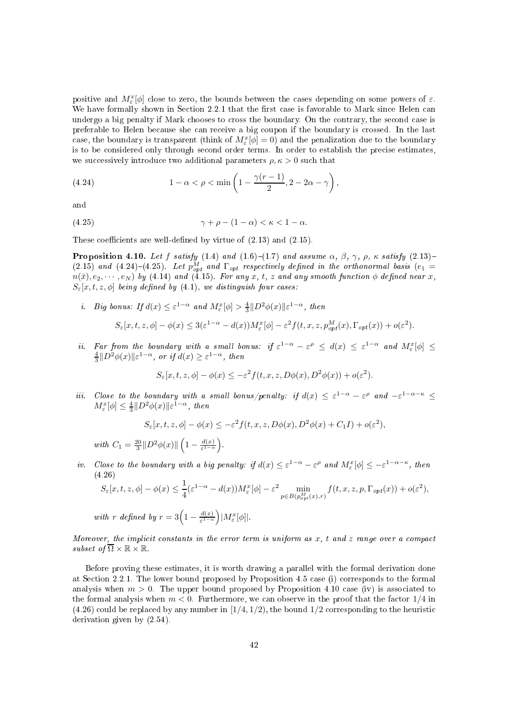positive and  $M_{\varepsilon}^{x}[\phi]$  close to zero, the bounds between the cases depending on some powers of  $\varepsilon$ . We have formally shown in Section 2.2.1 that the first case is favorable to Mark since Helen can undergo a big penalty if Mark chooses to cross the boundary. On the contrary, the second case is preferable to Helen be
ause she an re
eive a big oupon if the boundary is rossed. In the last case, the boundary is transparent (think of  $M_{\varepsilon}^{x}[\phi]=0$ ) and the penalization due to the boundary is to be onsidered only through se
ond order terms. In order to establish the pre
ise estimates, we successively introduce two additional parameters  $\rho, \kappa > 0$  such that

(4.24) 
$$
1 - \alpha < \rho < \min\left(1 - \frac{\gamma(r-1)}{2}, 2 - 2\alpha - \gamma\right),
$$

and

$$
(4.25) \qquad \qquad \gamma + \rho - (1 - \alpha) < \kappa < 1 - \alpha.
$$

These coefficients are well-defined by virtue of  $(2.13)$  and  $(2.15)$ .

**Proposition 4.10.** Let f satisfy  $(1.4)$  and  $(1.6)-(1.7)$  and assume  $\alpha$ ,  $\beta$ ,  $\gamma$ ,  $\rho$ ,  $\kappa$  satisfy  $(2.13)-$ (2.15) and (4.24)-(4.25). Let  $p_{opt}^M$  and  $\Gamma_{opt}$  respectively defined in the orthonormal basis (e<sub>1</sub> =  $n(\bar{x}), e_2, \cdots, e_N$ ) by (4.14) and (4.15). For any x, t, z and any smooth function  $\phi$  defined near x,  $S_{\varepsilon}[x,t,z,\phi]$  being defined by (4.1), we distinguish four cases:

*i.* Big bonus: If  $d(x) \leq \varepsilon^{1-\alpha}$  and  $M_{\varepsilon}^{x}[\phi] > \frac{4}{3}||D^2\phi(x)||\varepsilon^{1-\alpha}$ , then

$$
S_{\varepsilon}[x,t,z,\phi] - \phi(x) \leq 3(\varepsilon^{1-\alpha} - d(x))M_{\varepsilon}^{x}[\phi] - \varepsilon^{2} f(t,x,z,p_{opt}^{M}(x),\Gamma_{opt}(x)) + o(\varepsilon^{2}).
$$

ii. Far from the boundary with a small bonus: if  $\varepsilon^{1-\alpha} - \varepsilon^{\rho} \leq d(x) \leq \varepsilon^{1-\alpha}$  and  $M_{\varepsilon}^{x}[\phi] \leq$  $\frac{4}{3}||D^2\phi(x)||\varepsilon^{1-\alpha}$ , or if  $d(x) \geq \varepsilon^{1-\alpha}$ , then

$$
S_{\varepsilon}[x,t,z,\phi] - \phi(x) \le -\varepsilon^2 f(t,x,z,D\phi(x),D^2\phi(x)) + o(\varepsilon^2).
$$

iii. Close to the boundary with a small bonus/penalty: if  $d(x) \leq \varepsilon^{1-\alpha} - \varepsilon^{\rho}$  and  $-\varepsilon^{1-\alpha-\kappa} \leq$  $M_{\varepsilon}^{x}[\phi] \leq \frac{4}{3} \|D^2 \phi(x)\| \varepsilon^{1-\alpha}, \text{ then}$ 

$$
S_{\varepsilon}[x,t,z,\phi] - \phi(x) \le -\varepsilon^2 f(t,x,z,D\phi(x),D^2\phi(x) + C_1I) + o(\varepsilon^2),
$$

with  $C_1 = \frac{20}{3} ||D^2 \phi(x)|| \left(1 - \frac{d(x)}{\varepsilon^{1-\alpha}}\right)$  $rac{d(x)}{\varepsilon^{1-\alpha}}$ .

iv. Close to the boundary with a big penalty: if  $d(x) \leq \varepsilon^{1-\alpha} - \varepsilon^{\rho}$  and  $M_{\varepsilon}^{x}[\phi] \leq -\varepsilon^{1-\alpha-\kappa}$ , then (4.26)

$$
S_{\varepsilon}[x,t,z,\phi] - \phi(x) \leq \frac{1}{4} (\varepsilon^{1-\alpha} - d(x)) M_{\varepsilon}^x[\phi] - \varepsilon^2 \min_{p \in B(p_{opt}^M(x),r)} f(t,x,z,p,\Gamma_{opt}(x)) + o(\varepsilon^2),
$$

with r defined by  $r = 3\left(1 - \frac{d(x)}{\varepsilon^{1-\alpha}}\right)$  $\frac{d(x)}{\varepsilon^{1-\alpha}}\Big) |M_{\varepsilon}^{x}[\phi]|.$ 

Moreover, the implicit constants in the error term is uniform as  $x$ , t and  $z$  range over a compact subset of  $\overline{\Omega} \times \mathbb{R} \times \mathbb{R}$ .

Before proving these estimates, it is worth drawing a parallel with the formal derivation done at Section 2.2.1. The lower bound proposed by Proposition 4.5 case (i) corresponds to the formal analysis when  $m > 0$ . The upper bound proposed by Proposition 4.10 case (iv) is associated to the formal analysis when  $m < 0$ . Furthermore, we can observe in the proof that the factor  $1/4$  in  $(4.26)$  could be replaced by any number in  $(1/4, 1/2)$ , the bound  $1/2$  corresponding to the heuristic derivation given by (2.54).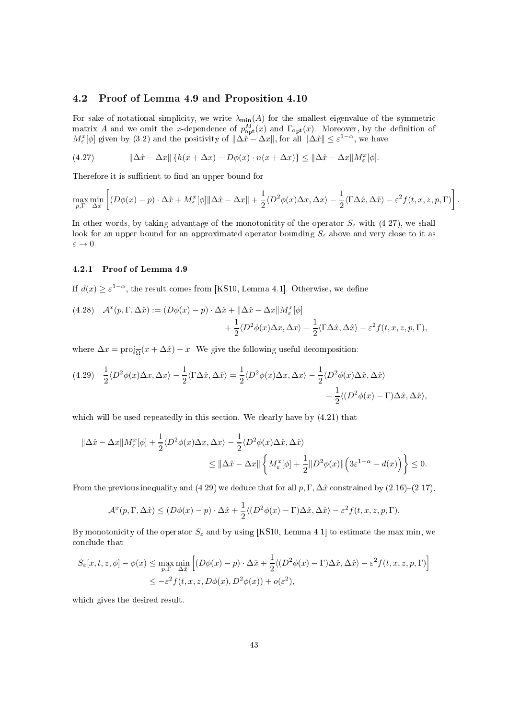# 4.2 Proof of Lemma 4.9 and Proposition 4.10

For sake of notational simplicity, we write  $\lambda_{\min}(A)$  for the smallest eigenvalue of the symmetric matrix A and we omit the x-dependence of  $p_{\text{opt}}^{M}(x)$  and  $\Gamma_{\text{opt}}(x)$ . Moreover, by the definition of  $M_{\varepsilon}^{x}[\phi]$  given by (3.2) and the positivity of  $\|\Delta \hat{x} - \Delta x\|$ , for all  $\|\Delta \hat{x}\| \leq \varepsilon^{1-\alpha}$ , we have

(4.27) 
$$
\|\Delta \hat{x} - \Delta x\| \{h(x + \Delta x) - D\phi(x) \cdot n(x + \Delta x)\} \le \|\Delta \hat{x} - \Delta x\| M_{\varepsilon}^x[\phi].
$$

Therefore it is sufficient to find an upper bound for

$$
\max_{p,\Gamma} \min_{\Delta \hat{x}} \left[ (D\phi(x) - p) \cdot \Delta \hat{x} + M_{\varepsilon}^{x} [\phi] \|\Delta \hat{x} - \Delta x\| + \frac{1}{2} \langle D^{2}\phi(x) \Delta x, \Delta x \rangle - \frac{1}{2} \langle \Gamma \Delta \hat{x}, \Delta \hat{x} \rangle - \varepsilon^{2} f(t, x, z, p, \Gamma) \right].
$$

In other words, by taking advantage of the monotonicity of the operator  $S_{\varepsilon}$  with (4.27), we shall look for an upper bound for an approximated operator bounding  $S_{\varepsilon}$  above and very close to it as  $\varepsilon \to 0.$ 

### 4.2.1 Proof of Lemma 4.9

If  $d(x) \geq \varepsilon^{1-\alpha}$ , the result comes from [KS10, Lemma 4.1]. Otherwise, we define

(4.28) 
$$
\mathcal{A}^x(p, \Gamma, \Delta \hat{x}) := (D\phi(x) - p) \cdot \Delta \hat{x} + ||\Delta \hat{x} - \Delta x||M_{\varepsilon}^x[\phi] + \frac{1}{2} \langle D^2 \phi(x) \Delta x, \Delta x \rangle - \frac{1}{2} \langle \Gamma \Delta \hat{x}, \Delta \hat{x} \rangle - \varepsilon^2 f(t, x, z, p, \Gamma),
$$

where  $\Delta x = \text{proj}_{\overline{\Omega}}(x + \Delta \hat{x}) - x$ . We give the following useful decomposition:

$$
(4.29) \quad \frac{1}{2} \langle D^2 \phi(x) \Delta x, \Delta x \rangle - \frac{1}{2} \langle \Gamma \Delta \hat{x}, \Delta \hat{x} \rangle = \frac{1}{2} \langle D^2 \phi(x) \Delta x, \Delta x \rangle - \frac{1}{2} \langle D^2 \phi(x) \Delta \hat{x}, \Delta \hat{x} \rangle + \frac{1}{2} \langle (D^2 \phi(x) - \Gamma) \Delta \hat{x}, \Delta \hat{x} \rangle,
$$

which will be used repeatedly in this section. We clearly have by  $(4.21)$  that

$$
\begin{aligned} \|\Delta \hat{x} - \Delta x\| M_{\varepsilon}^{x}[\phi] + \frac{1}{2} \langle D^{2}\phi(x) \Delta x, \Delta x \rangle - \frac{1}{2} \langle D^{2}\phi(x) \Delta \hat{x}, \Delta \hat{x} \rangle \\ &\leq \|\Delta \hat{x} - \Delta x\| \left\{ M_{\varepsilon}^{x}[\phi] + \frac{1}{2} \| D^{2}\phi(x) \| \left( 3\varepsilon^{1-\alpha} - d(x) \right) \right\} \leq 0. \end{aligned}
$$

From the previous inequality and (4.29) we deduce that for all  $p, \Gamma, \Delta \hat{x}$  constrained by (2.16)–(2.17),

$$
\mathcal{A}^x(p,\Gamma,\Delta\hat{x}) \le (D\phi(x)-p)\cdot \Delta\hat{x} + \frac{1}{2}\langle (D^2\phi(x)-\Gamma)\Delta\hat{x},\Delta\hat{x}\rangle - \varepsilon^2 f(t,x,z,p,\Gamma).
$$

By monotonicity of the operator  $S_{\varepsilon}$  and by using [KS10, Lemma 4.1] to estimate the max min, we on
lude that

$$
S_{\varepsilon}[x,t,z,\phi] - \phi(x) \le \max_{p,\Gamma} \min_{\Delta \hat{x}} \left[ (D\phi(x) - p) \cdot \Delta \hat{x} + \frac{1}{2} \langle (D^2 \phi(x) - \Gamma) \Delta \hat{x}, \Delta \hat{x} \rangle - \varepsilon^2 f(t,x,z,p,\Gamma) \right]
$$
  

$$
\le -\varepsilon^2 f(t,x,z,D\phi(x),D^2 \phi(x)) + o(\varepsilon^2),
$$

whi
h gives the desired result.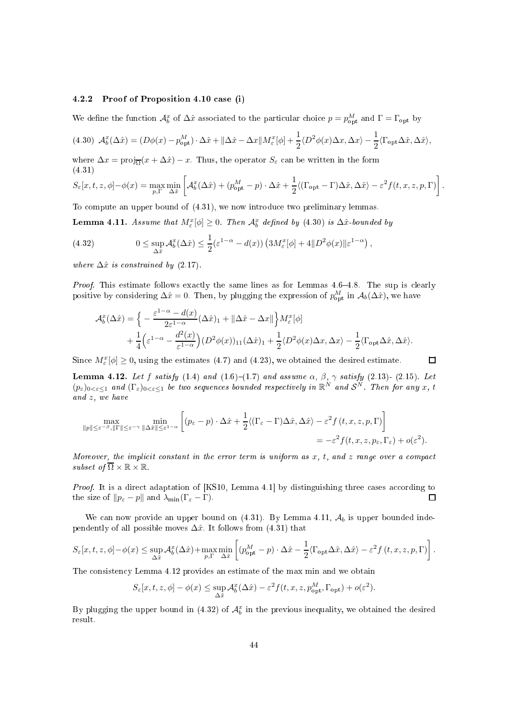### 4.2.2 Proof of Proposition 4.10 ase (i)

We define the function  $\mathcal{A}_{b}^{x}$  of  $\Delta \hat{x}$  associated to the particular choice  $p = p_{\text{opt}}^{M}$  and  $\Gamma = \Gamma_{\text{opt}}$  by

$$
(4.30)\ \mathcal{A}_{b}^{x}(\Delta \hat{x}) = (D\phi(x) - p_{\text{opt}}^{M}) \cdot \Delta \hat{x} + ||\Delta \hat{x} - \Delta x|| M_{\varepsilon}^{x}[\phi] + \frac{1}{2} \langle D^{2}\phi(x)\Delta x, \Delta x \rangle - \frac{1}{2} \langle \Gamma_{\text{opt}} \Delta \hat{x}, \Delta \hat{x} \rangle,
$$

where  $\Delta x = \text{proj}_{\overline{\Omega}}(x + \Delta \hat{x}) - x$ . Thus, the operator  $S_{\varepsilon}$  can be written in the form (4.31)

$$
S_{\varepsilon}[x,t,z,\phi] - \phi(x) = \max_{p,\Gamma} \min_{\Delta \hat{x}} \left[ \mathcal{A}_{b}^{x}(\Delta \hat{x}) + (p_{\text{opt}}^{M} - p) \cdot \Delta \hat{x} + \frac{1}{2} \langle (\Gamma_{\text{opt}} - \Gamma) \Delta \hat{x}, \Delta \hat{x} \rangle - \varepsilon^{2} f(t,x,z,p,\Gamma) \right].
$$

To compute an upper bound of  $(4.31)$ , we now introduce two preliminary lemmas.

**Lemma 4.11.** Assume that  $M_{\varepsilon}^x[\phi] \geq 0$ . Then  $\mathcal{A}_b^x$  defined by (4.30) is  $\Delta \hat{x}$ -bounded by

(4.32) 
$$
0 \leq \sup_{\Delta \hat{x}} \mathcal{A}_{b}^{x}(\Delta \hat{x}) \leq \frac{1}{2} (\varepsilon^{1-\alpha} - d(x)) \left( 3M_{\varepsilon}^{x}[\phi] + 4 \| D^{2} \phi(x) \| \varepsilon^{1-\alpha} \right),
$$

where  $\Delta \hat{x}$  is constrained by (2.17).

Proof. This estimate follows exactly the same lines as for Lemmas 4.6–4.8. The sup is clearly positive by considering  $\Delta \hat{x} = 0$ . Then, by plugging the expression of  $p_{\text{opt}}^M$  in  $\mathcal{A}_b(\Delta \hat{x})$ , we have

$$
\mathcal{A}_{b}^{x}(\Delta \hat{x}) = \Big\{ -\frac{\varepsilon^{1-\alpha} - d(x)}{2\varepsilon^{1-\alpha}} (\Delta \hat{x})_{1} + ||\Delta \hat{x} - \Delta x|| \Big\} M_{\varepsilon}^{x}[\phi] + \frac{1}{4} \Big( \varepsilon^{1-\alpha} - \frac{d^{2}(x)}{\varepsilon^{1-\alpha}} \Big) (D^{2}\phi(x))_{11} (\Delta \hat{x})_{1} + \frac{1}{2} \langle D^{2}\phi(x) \Delta x, \Delta x \rangle - \frac{1}{2} \langle \Gamma_{\text{opt}} \Delta \hat{x}, \Delta \hat{x} \rangle.
$$

 $\Box$ 

Since  $M_{\varepsilon}^{x}[\phi] \geq 0$ , using the estimates (4.7) and (4.23), we obtained the desired estimate.

**Lemma 4.12.** Let f satisfy  $(1.4)$  and  $(1.6)-(1.7)$  and assume  $\alpha$ ,  $\beta$ ,  $\gamma$  satisfy  $(2.13)-(2.15)$ . Let  $(p_{\varepsilon})_{0<\varepsilon\leq 1}$  and  $(\Gamma_{\varepsilon})_{0<\varepsilon\leq 1}$  be two sequences bounded respectively in  $\mathbb{R}^N$  and  $\mathcal{S}^N$ . Then for any x, t and  $z$ , we have

$$
\max_{\|p\| \leq \varepsilon^{-\beta}, \|\Gamma\| \leq \varepsilon^{-\gamma}} \min_{\|\Delta \hat{x}\| \leq \varepsilon^{1-\alpha}} \left[ (p_{\varepsilon} - p) \cdot \Delta \hat{x} + \frac{1}{2} \langle (\Gamma_{\varepsilon} - \Gamma) \Delta \hat{x}, \Delta \hat{x} \rangle - \varepsilon^{2} f(t, x, z, p, \Gamma) \right]
$$
  
=  $-\varepsilon^{2} f(t, x, z, p_{\varepsilon}, \Gamma_{\varepsilon}) + o(\varepsilon^{2}).$ 

Moreover, the implicit constant in the error term is uniform as  $x, t,$  and  $z$  range over a compact subset of  $\overline{\Omega} \times \mathbb{R} \times \mathbb{R}$ .

*Proof.* It is a direct adaptation of  $[K510, Lemma 4.1]$  by distinguishing three cases according to the size of  $||p_{\varepsilon} - p||$  and  $\lambda_{\min}(\Gamma_{\varepsilon} - \Gamma)$ .  $\Box$ 

We can now provide an upper bound on  $(4.31)$ . By Lemma 4.11,  $\mathcal{A}_b$  is upper bounded independently of all possible moves  $\Delta \hat{x}$ . It follows from (4.31) that

$$
S_{\varepsilon}[x,t,z,\phi] - \phi(x) \leq \sup_{\Delta \hat{x}} \mathcal{A}_{b}^{x}(\Delta \hat{x}) + \max_{p,\Gamma} \min_{\Delta \hat{x}} \left[ (p_{\text{opt}}^{M} - p) \cdot \Delta \hat{x} - \frac{1}{2} \langle \Gamma_{\text{opt}} \Delta \hat{x}, \Delta \hat{x} \rangle - \varepsilon^{2} f(t,x,z,p,\Gamma) \right].
$$

The onsisten
y Lemma 4.12 provides an estimate of the max min and we obtain

$$
S_{\varepsilon}[x,t,z,\phi] - \phi(x) \leq \sup_{\Delta \hat{x}} \mathcal{A}_{b}^{x}(\Delta \hat{x}) - \varepsilon^{2} f(t,x,z,p_{\mathrm{opt}}^{M},\Gamma_{\mathrm{opt}}) + o(\varepsilon^{2}).
$$

By plugging the upper bound in (4.32) of  $\mathcal{A}_b^x$  in the previous inequality, we obtained the desired result.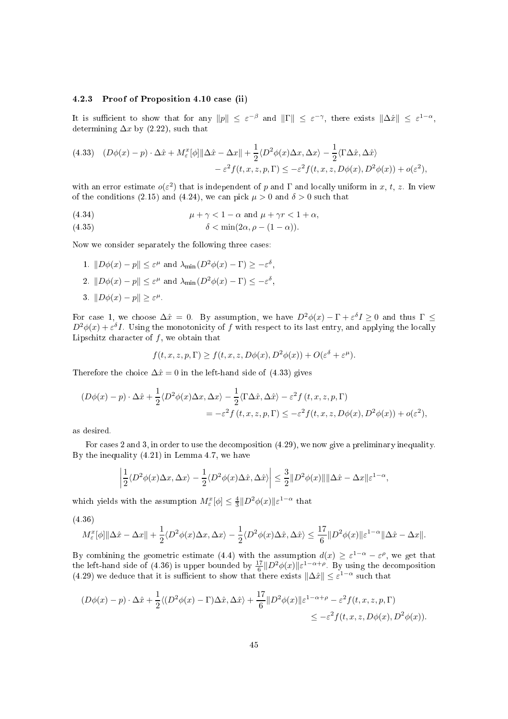# 4.2.3 Proof of Proposition 4.10 ase (ii)

It is sufficient to show that for any  $||p|| \leq \varepsilon^{-\beta}$  and  $||\Gamma|| \leq \varepsilon^{-\gamma}$ , there exists  $||\Delta \hat{x}|| \leq \varepsilon^{1-\alpha}$ , determining  $\Delta x$  by (2.22), such that

(4.33) 
$$
(D\phi(x) - p) \cdot \Delta \hat{x} + M_{\varepsilon}^{x} [\phi] \| \Delta \hat{x} - \Delta x \| + \frac{1}{2} \langle D^{2} \phi(x) \Delta x, \Delta x \rangle - \frac{1}{2} \langle \Gamma \Delta \hat{x}, \Delta \hat{x} \rangle - \varepsilon^{2} f(t, x, z, p, \Gamma) \le -\varepsilon^{2} f(t, x, z, D\phi(x), D^{2}\phi(x)) + o(\varepsilon^{2}),
$$

with an error estimate  $o(\varepsilon^2)$  that is independent of p and  $\Gamma$  and locally uniform in x, t, z. In view of the conditions (2.15) and (4.24), we can pick  $\mu > 0$  and  $\delta > 0$  such that

(4.34) 
$$
\mu + \gamma < 1 - \alpha \text{ and } \mu + \gamma r < 1 + \alpha,
$$

(4.35) 
$$
\delta < \min(2\alpha, \rho - (1 - \alpha)).
$$

Now we onsider separately the following three ases:

- 1.  $\|D\phi(x) p\| \le \varepsilon^{\mu}$  and  $\lambda_{\min}(D^2\phi(x) \Gamma) \ge -\varepsilon^{\delta}$ ,
- 2.  $||D\phi(x) p|| \leq \varepsilon^{\mu}$  and  $\lambda_{\min}(D^{2}\phi(x) \Gamma) \leq -\varepsilon^{\delta}$ ,
- 3.  $||D\phi(x) p|| \ge \varepsilon^{\mu}$ .

For case 1, we choose  $\Delta \hat{x} = 0$ . By assumption, we have  $D^2 \phi(x) - \Gamma + \varepsilon^{\delta} I \ge 0$  and thus  $\Gamma \le$  $D^2\phi(x)+\varepsilon^{\delta}I$ . Using the monotonicity of f with respect to its last entry, and applying the locally Lipschitz character of  $f$ , we obtain that

$$
f(t, x, z, p, \Gamma) \ge f(t, x, z, D\phi(x), D^2\phi(x)) + O(\varepsilon^{\delta} + \varepsilon^{\mu}).
$$

Therefore the choice  $\Delta \hat{x} = 0$  in the left-hand side of (4.33) gives

$$
(D\phi(x) - p) \cdot \Delta \hat{x} + \frac{1}{2} \langle D^2 \phi(x) \Delta x, \Delta x \rangle - \frac{1}{2} \langle \Gamma \Delta \hat{x}, \Delta \hat{x} \rangle - \varepsilon^2 f(t, x, z, p, \Gamma)
$$
  
=  $-\varepsilon^2 f(t, x, z, p, \Gamma) \le -\varepsilon^2 f(t, x, z, D\phi(x), D^2\phi(x)) + o(\varepsilon^2),$ 

as desired.

For cases 2 and 3, in order to use the decomposition (4.29), we now give a preliminary inequality. By the inequality (4.21) in Lemma 4.7, we have

$$
\left|\frac{1}{2}\langle D^2\phi(x)\Delta x,\Delta x\rangle-\frac{1}{2}\langle D^2\phi(x)\Delta \hat{x},\Delta \hat{x}\rangle\right|\leq \frac{3}{2}\|D^2\phi(x)\|\|\Delta \hat{x}-\Delta x\|\varepsilon^{1-\alpha},
$$

which yields with the assumption  $M_{\varepsilon}^{x}[\phi] \leq \frac{4}{3} \|D^2 \phi(x)\| \varepsilon^{1-\alpha}$  that

(4.36)

$$
M_{\varepsilon}^{x}[\phi] \| \Delta \hat{x} - \Delta x \| + \frac{1}{2} \langle D^{2} \phi(x) \Delta x, \Delta x \rangle - \frac{1}{2} \langle D^{2} \phi(x) \Delta \hat{x}, \Delta \hat{x} \rangle \le \frac{17}{6} \| D^{2} \phi(x) \| \varepsilon^{1-\alpha} \| \Delta \hat{x} - \Delta x \|.
$$

By combining the geometric estimate (4.4) with the assumption  $d(x) \geq \varepsilon^{1-\alpha} - \varepsilon^{\rho}$ , we get that the left-hand side of (4.36) is upper bounded by  $\frac{17}{6}||D^2\phi(x)||\varepsilon^{1-\alpha+\rho}$ . By using the decomposition (4.29) we deduce that it is sufficient to show that there exists  $\|\Delta \hat{x}\| \leq \varepsilon^{1-\alpha}$  such that

$$
(D\phi(x) - p) \cdot \Delta \hat{x} + \frac{1}{2} \langle (D^2 \phi(x) - \Gamma) \Delta \hat{x}, \Delta \hat{x} \rangle + \frac{17}{6} \| D^2 \phi(x) \| \varepsilon^{1 - \alpha + \rho} - \varepsilon^2 f(t, x, z, p, \Gamma) \le -\varepsilon^2 f(t, x, z, D\phi(x), D^2 \phi(x)).
$$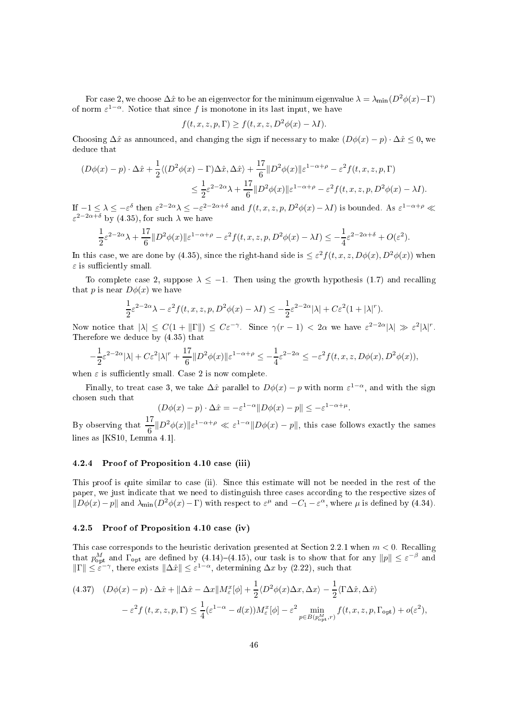For case 2, we choose  $\Delta \hat{x}$  to be an eigenvector for the minimum eigenvalue  $\lambda = \lambda_{\min}(D^2 \phi(x) - \Gamma)$ of norm  $\varepsilon^{1-\alpha}$ . Notice that since f is monotone in its last input, we have

$$
f(t, x, z, p, \Gamma) \ge f(t, x, z, D^2 \phi(x) - \lambda I).
$$

Choosing  $\Delta \hat{x}$  as announced, and changing the sign if necessary to make  $(D\phi(x) - p) \cdot \Delta \hat{x} \leq 0$ , we dedu
e that

$$
(D\phi(x) - p) \cdot \Delta \hat{x} + \frac{1}{2} \langle (D^2 \phi(x) - \Gamma) \Delta \hat{x}, \Delta \hat{x} \rangle + \frac{17}{6} \| D^2 \phi(x) \| \varepsilon^{1 - \alpha + \rho} - \varepsilon^2 f(t, x, z, p, \Gamma)
$$
  

$$
\leq \frac{1}{2} \varepsilon^{2 - 2\alpha} \lambda + \frac{17}{6} \| D^2 \phi(x) \| \varepsilon^{1 - \alpha + \rho} - \varepsilon^2 f(t, x, z, p, D^2 \phi(x) - \lambda I).
$$

If  $-1 \leq \lambda \leq -\varepsilon^{\delta}$  then  $\varepsilon^{2-2\alpha}\lambda \leq -\varepsilon^{2-2\alpha+\delta}$  and  $f(t, x, z, p, D^2\phi(x) - \lambda I)$  is bounded. As  $\varepsilon^{1-\alpha+\rho} \ll$  $\varepsilon^{2-2\alpha+\delta}$  by (4.35), for such  $\lambda$  we have

$$
\frac{1}{2}\varepsilon^{2-2\alpha}\lambda + \frac{17}{6}||D^2\phi(x)||\varepsilon^{1-\alpha+\rho} - \varepsilon^2 f(t, x, z, p, D^2\phi(x) - \lambda I) \le -\frac{1}{4}\varepsilon^{2-2\alpha+\delta} + O(\varepsilon^2).
$$

In this case, we are done by (4.35), since the right-hand side is  $\leq \varepsilon^2 f(t, x, z, D\phi(x), D^2\phi(x))$  when  $\varepsilon$  is sufficiently small.

To complete case 2, suppose  $\lambda \leq -1$ . Then using the growth hypothesis (1.7) and recalling that p is near  $D\phi(x)$  we have

$$
\frac{1}{2}\varepsilon^{2-2\alpha}\lambda - \varepsilon^2 f(t, x, z, p, D^2\phi(x) - \lambda I) \le -\frac{1}{2}\varepsilon^{2-2\alpha}|\lambda| + C\varepsilon^2 (1+|\lambda|^r).
$$

Now notice that  $|\lambda| \leq C(1 + ||\Gamma||) \leq C\varepsilon^{-\gamma}$ . Since  $\gamma(r-1) < 2\alpha$  we have  $\varepsilon^{2-2\alpha}|\lambda| \gg \varepsilon^2 |\lambda|^r$ . Therefore we dedu
e by (4.35) that

$$
-\frac{1}{2}\varepsilon^{2-2\alpha}|\lambda| + C\varepsilon^2|\lambda|^r + \frac{17}{6}\|D^2\phi(x)\|\varepsilon^{1-\alpha+\rho} \le -\frac{1}{4}\varepsilon^{2-2\alpha} \le -\varepsilon^2 f(t, x, z, D\phi(x), D^2\phi(x)),
$$

when  $\varepsilon$  is sufficiently small. Case 2 is now complete.

Finally, to treat case 3, we take  $\Delta \hat{x}$  parallel to  $D\phi(x) - p$  with norm  $\varepsilon^{1-\alpha}$ , and with the sign hosen su
h that

$$
(D\phi(x) - p) \cdot \Delta \hat{x} = -\varepsilon^{1-\alpha} \| D\phi(x) - p \| \le -\varepsilon^{1-\alpha+\mu}.
$$

By observing that  $\frac{17}{17}$  $\frac{1}{6} \Vert D^2 \phi(x) \Vert \varepsilon^{1-\alpha+\rho} \ll \varepsilon^{1-\alpha} \Vert D\phi(x) - p \Vert$ , this case follows exactly the sames lines as  $[KS10, Lemma 4.1].$ 

# 4.2.4 Proof of Proposition 4.10 ase (iii)

This proof is quite similar to case (ii). Since this estimate will not be needed in the rest of the paper, we just indicate that we need to distinguish three cases according to the respective sizes of  $||D\phi(x)-p||$  and  $\lambda_{\min}(D^2\phi(x)-\Gamma)$  with respect to  $\varepsilon^{\mu}$  and  $-C_1-\varepsilon^{\alpha}$ , where  $\mu$  is defined by (4.34).

### 4.2.5 Proof of Proposition 4.10 ase (iv)

This case corresponds to the heuristic derivation presented at Section 2.2.1 when  $m < 0$ . Recalling that  $p_{\text{opt}}^M$  and  $\Gamma_{\text{opt}}$  are defined by (4.14)–(4.15), our task is to show that for any  $||p|| \le \varepsilon^{-\beta}$  and  $||\Gamma|| \le \varepsilon^{-\gamma}$ , there exists  $||\Delta \hat{x}|| \le \varepsilon^{1-\alpha}$ , determining  $\Delta x$  by (2.22), such that

$$
(4.37) \quad (D\phi(x) - p) \cdot \Delta \hat{x} + ||\Delta \hat{x} - \Delta x||M_{\varepsilon}^{x}[\phi] + \frac{1}{2} \langle D^{2}\phi(x)\Delta x, \Delta x \rangle - \frac{1}{2} \langle \Gamma \Delta \hat{x}, \Delta \hat{x} \rangle
$$
  

$$
- \varepsilon^{2} f(t, x, z, p, \Gamma) \leq \frac{1}{4} (\varepsilon^{1-\alpha} - d(x)) M_{\varepsilon}^{x}[\phi] - \varepsilon^{2} \min_{p \in B(p_{\text{opt}}^{M}, r)} f(t, x, z, p, \Gamma_{\text{opt}}) + o(\varepsilon^{2}),
$$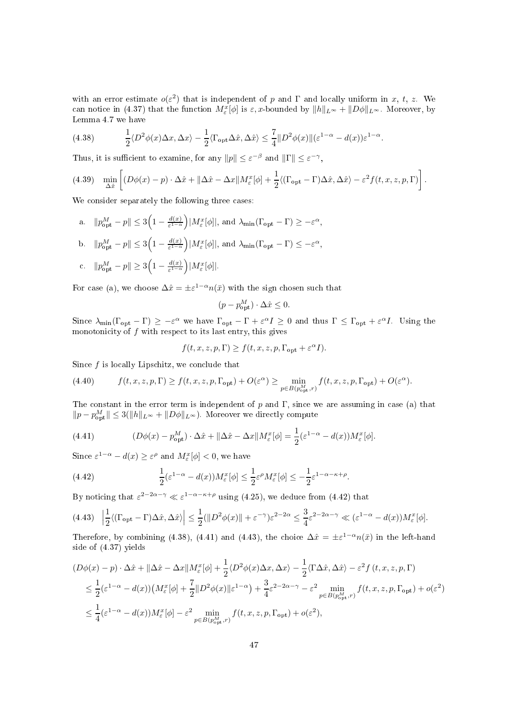with an error estimate  $o(\varepsilon^2)$  that is independent of p and  $\Gamma$  and locally uniform in x, t, z. We can notice in (4.37) that the function  $M_{\varepsilon}^x[\phi]$  is  $\varepsilon, x$ -bounded by  $||h||_{L^{\infty}} + ||D\phi||_{L^{\infty}}$ . Moreover, by Lemma 4.7 we have

(4.38) 
$$
\frac{1}{2}\langle D^2\phi(x)\Delta x,\Delta x\rangle - \frac{1}{2}\langle\Gamma_{\text{opt}}\Delta \hat{x},\Delta \hat{x}\rangle \leq \frac{7}{4}||D^2\phi(x)||(\varepsilon^{1-\alpha} - d(x))\varepsilon^{1-\alpha}.
$$

Thus, it is sufficient to examine, for any  $||p|| \le \varepsilon^{-\beta}$  and  $||\Gamma|| \le \varepsilon^{-\gamma}$ ,

(4.39) 
$$
\min_{\Delta \hat{x}} \left[ (D\phi(x) - p) \cdot \Delta \hat{x} + ||\Delta \hat{x} - \Delta x|| M_{\varepsilon}^{x}[\phi] + \frac{1}{2} \langle (\Gamma_{\text{opt}} - \Gamma) \Delta \hat{x}, \Delta \hat{x} \rangle - \varepsilon^{2} f(t, x, z, p, \Gamma) \right].
$$

We consider separately the following three cases:

- a.  $||p_{\text{opt}}^M p|| \leq 3 \left(1 \frac{d(x)}{\varepsilon^{1-\alpha}}\right)$  $\frac{d(x)}{\varepsilon^{1-\alpha}}\Big)|M_{\varepsilon}^x[\phi]|,$  and  $\lambda_{\min}(\Gamma_{\text{opt}} - \Gamma) \ge -\varepsilon^{\alpha},$ b.  $||p_{\text{opt}}^M - p|| \le 3 \left(1 - \frac{d(x)}{\varepsilon^{1-\alpha}}\right)$  $\frac{d(x)}{\varepsilon^{1-\alpha}}\Big)|M_{\varepsilon}^x[\phi]|,$  and  $\lambda_{\min}(\Gamma_{\text{opt}} - \Gamma) \leq -\varepsilon^{\alpha},$
- c.  $||p_{\text{opt}}^M p|| \ge 3\left(1 \frac{d(x)}{\varepsilon^{1-\alpha}}\right)$  $\frac{d(x)}{\varepsilon^{1-\alpha}}\Big) |M_{\varepsilon}^{x}[\phi]|.$

For case (a), we choose  $\Delta \hat{x} = \pm \varepsilon^{1-\alpha} n(\bar{x})$  with the sign chosen such that

$$
(p - p_{\text{opt}}^M) \cdot \Delta \hat{x} \le 0.
$$

Since  $\lambda_{\min}(\Gamma_{\text{opt}} - \Gamma) \geq -\varepsilon^{\alpha}$  we have  $\Gamma_{\text{opt}} - \Gamma + \varepsilon^{\alpha} I \geq 0$  and thus  $\Gamma \leq \Gamma_{\text{opt}} + \varepsilon^{\alpha} I$ . Using the monotonicity of  $f$  with respect to its last entry, this gives

$$
f(t,x,z,p,\Gamma)\geq f(t,x,z,p,\Gamma_{\mathrm{opt}}+\varepsilon^{\alpha}I).
$$

Since  $f$  is locally Lipschitz, we conclude that

(4.40) 
$$
f(t, x, z, p, \Gamma) \ge f(t, x, z, p, \Gamma_{\text{opt}}) + O(\varepsilon^{\alpha}) \ge \min_{p \in B(p_{\text{opt}}^M, r)} f(t, x, z, p, \Gamma_{\text{opt}}) + O(\varepsilon^{\alpha}).
$$

The constant in the error term is independent of p and  $\Gamma$ , since we are assuming in case (a) that  $||p - p_{\text{opt}}^M|| \leq 3(||h||_{L^{\infty}} + ||D\phi||_{L^{\infty}})$ . Moreover we directly compute

(4.41) 
$$
(D\phi(x) - p_{\text{opt}}^M) \cdot \Delta \hat{x} + ||\Delta \hat{x} - \Delta x||M_{\varepsilon}^x[\phi] = \frac{1}{2}(\varepsilon^{1-\alpha} - d(x))M_{\varepsilon}^x[\phi].
$$

Since  $\varepsilon^{1-\alpha} - d(x) \ge \varepsilon^{\rho}$  and  $M_{\varepsilon}^{x}[\phi] < 0$ , we have

(4.42) 
$$
\frac{1}{2}(\varepsilon^{1-\alpha} - d(x))M_{\varepsilon}^{x}[\phi] \le \frac{1}{2}\varepsilon^{\rho}M_{\varepsilon}^{x}[\phi] \le -\frac{1}{2}\varepsilon^{1-\alpha-\kappa+\rho}
$$

By noticing that  $\varepsilon^{2-2\alpha-\gamma} \ll \varepsilon^{1-\alpha-\kappa+\rho}$  using (4.25), we deduce from (4.42) that

$$
(4.43)\quad \left|\frac{1}{2}\langle (\Gamma_{\text{opt}} - \Gamma)\Delta\hat{x}, \Delta\hat{x}\rangle\right| \le \frac{1}{2}(\|D^2\phi(x)\| + \varepsilon^{-\gamma})\varepsilon^{2-2\alpha} \le \frac{3}{4}\varepsilon^{2-2\alpha-\gamma} \ll (\varepsilon^{1-\alpha} - d(x))M_{\varepsilon}^x[\phi].
$$

.

Therefore, by combining (4.38), (4.41) and (4.43), the choice  $\Delta \hat{x} = \pm \varepsilon^{1-\alpha} n(\bar{x})$  in the left-hand side of (4.37) yields

$$
(D\phi(x) - p) \cdot \Delta \hat{x} + ||\Delta \hat{x} - \Delta x||M_{\varepsilon}^{x}[\phi] + \frac{1}{2} \langle D^{2}\phi(x)\Delta x, \Delta x \rangle - \frac{1}{2} \langle \Gamma \Delta \hat{x}, \Delta \hat{x} \rangle - \varepsilon^{2} f(t, x, z, p, \Gamma)
$$
  
\n
$$
\leq \frac{1}{2} (\varepsilon^{1-\alpha} - d(x)) \left( M_{\varepsilon}^{x}[\phi] + \frac{7}{2} ||D^{2}\phi(x)||\varepsilon^{1-\alpha} \right) + \frac{3}{4} \varepsilon^{2-2\alpha-\gamma} - \varepsilon^{2} \min_{p \in B(p_{\text{opt}}^{M}, r)} f(t, x, z, p, \Gamma_{\text{opt}}) + o(\varepsilon^{2})
$$
  
\n
$$
\leq \frac{1}{4} (\varepsilon^{1-\alpha} - d(x)) M_{\varepsilon}^{x}[\phi] - \varepsilon^{2} \min_{p \in B(p_{\text{opt}}^{M}, r)} f(t, x, z, p, \Gamma_{\text{opt}}) + o(\varepsilon^{2}),
$$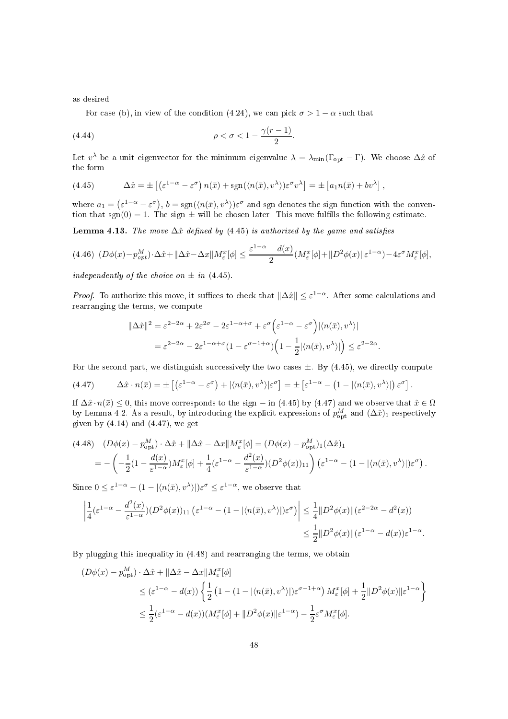as desired.

For case (b), in view of the condition (4.24), we can pick  $\sigma > 1 - \alpha$  such that

$$
\rho < \sigma < 1 - \frac{\gamma(r-1)}{2}.
$$

Let  $v^{\lambda}$  be a unit eigenvector for the minimum eigenvalue  $\lambda = \lambda_{\min}(\Gamma_{\text{opt}} - \Gamma)$ . We choose  $\Delta \hat{x}$  of the form

(4.45) 
$$
\Delta \hat{x} = \pm \left[ \left( \varepsilon^{1-\alpha} - \varepsilon^{\sigma} \right) n(\bar{x}) + \text{sgn}(\langle n(\bar{x}), v^{\lambda} \rangle) \varepsilon^{\sigma} v^{\lambda} \right] = \pm \left[ a_1 n(\bar{x}) + b v^{\lambda} \right],
$$

where  $a_1 = (\varepsilon^{1-\alpha} - \varepsilon^{\sigma})$ ,  $b = \text{sgn}(\langle n(\bar{x}), v^{\lambda} \rangle) \varepsilon^{\sigma}$  and sgn denotes the sign function with the convention that sgn(0) = 1. The sign  $\pm$  will be chosen later. This move fulfills the following estimate.

Lemma 4.13. The move  $\Delta \hat{x}$  defined by (4.45) is authorized by the game and satisfies

$$
(4.46)\ (D\phi(x) - p_{opt}^M) \cdot \Delta \hat{x} + ||\Delta \hat{x} - \Delta x||M_{\varepsilon}^x[\phi] \le \frac{\varepsilon^{1-\alpha} - d(x)}{2} (M_{\varepsilon}^x[\phi] + ||D^2\phi(x)||\varepsilon^{1-\alpha}) - 4\varepsilon^{\sigma} M_{\varepsilon}^x[\phi],
$$

independently of the choice on  $\pm$  in (4.45).

*Proof.* To authorize this move, it suffices to check that  $\|\Delta \hat{x}\| \leq \varepsilon^{1-\alpha}$ . After some calculations and rearranging the terms, we ompute

$$
\begin{split} \|\Delta \hat{x}\|^{2} &= \varepsilon^{2-2\alpha} + 2\varepsilon^{2\sigma} - 2\varepsilon^{1-\alpha+\sigma} + \varepsilon^{\sigma} \Big( \varepsilon^{1-\alpha} - \varepsilon^{\sigma} \Big) |\langle n(\bar{x}), v^{\lambda} \rangle| \\ &= \varepsilon^{2-2\alpha} - 2\varepsilon^{1-\alpha+\sigma} \big( 1 - \varepsilon^{\sigma-1+\alpha} \big) \Big( 1 - \frac{1}{2} |\langle n(\bar{x}), v^{\lambda} \rangle| \Big) \leq \varepsilon^{2-2\alpha} . \end{split}
$$

For the second part, we distinguish successively the two cases  $\pm$ . By (4.45), we directly compute

$$
(4.47) \qquad \Delta \hat{x} \cdot n(\bar{x}) = \pm \left[ \left( \varepsilon^{1-\alpha} - \varepsilon^{\sigma} \right) + \left| \langle n(\bar{x}), v^{\lambda} \rangle \right| \varepsilon^{\sigma} \right] = \pm \left[ \varepsilon^{1-\alpha} - \left( 1 - \left| \langle n(\bar{x}), v^{\lambda} \rangle \right| \right) \varepsilon^{\sigma} \right].
$$

If  $\Delta \hat{x} \cdot n(\bar{x}) \leq 0$ , this move corresponds to the sign – in (4.45) by (4.47) and we observe that  $\hat{x} \in \Omega$ by Lemma 4.2. As a result, by introducing the explicit expressions of  $p_{\text{opt}}^M$  and  $(\Delta \hat{x})_1$  respectively given by  $(4.14)$  and  $(4.47)$ , we get

$$
(4.48) \quad (D\phi(x) - p_{\text{opt}}^M) \cdot \Delta \hat{x} + ||\Delta \hat{x} - \Delta x||M_{\varepsilon}^x[\phi] = (D\phi(x) - p_{\text{opt}}^M)_{1}(\Delta \hat{x})_{1}
$$
  
= 
$$
- \left( -\frac{1}{2}(1 - \frac{d(x)}{\varepsilon^{1-\alpha}})M_{\varepsilon}^x[\phi] + \frac{1}{4}(\varepsilon^{1-\alpha} - \frac{d^2(x)}{\varepsilon^{1-\alpha}})(D^2\phi(x))_{11} \right) (\varepsilon^{1-\alpha} - (1 - |\langle n(\bar{x}), v^{\lambda} \rangle |)\varepsilon^{\sigma}).
$$

Since  $0 \leq \varepsilon^{1-\alpha} - (1 - |\langle n(\bar{x}), v^{\lambda} \rangle|) \varepsilon^{\sigma} \leq \varepsilon^{1-\alpha}$ , we observe that

$$
\left| \frac{1}{4} (\varepsilon^{1-\alpha} - \frac{d^2(x)}{\varepsilon^{1-\alpha}}) (D^2 \phi(x))_{11} (\varepsilon^{1-\alpha} - (1 - |\langle n(\bar{x}), v^{\lambda} \rangle|) \varepsilon^{\sigma}) \right| \leq \frac{1}{4} \| D^2 \phi(x) \| (\varepsilon^{2-2\alpha} - d^2(x))
$$
  

$$
\leq \frac{1}{2} \| D^2 \phi(x) \| (\varepsilon^{1-\alpha} - d(x)) \varepsilon^{1-\alpha}.
$$

By plugging this inequality in (4.48) and rearranging the terms, we obtain

$$
(D\phi(x) - p_{\text{opt}}^M) \cdot \Delta \hat{x} + ||\Delta \hat{x} - \Delta x||M_{\varepsilon}^x[\phi]
$$
  
\n
$$
\leq (\varepsilon^{1-\alpha} - d(x)) \left\{ \frac{1}{2} \left( 1 - (1 - |\langle n(\bar{x}), v^{\lambda} \rangle|) \varepsilon^{\sigma-1+\alpha} \right) M_{\varepsilon}^x[\phi] + \frac{1}{2} ||D^2 \phi(x)||\varepsilon^{1-\alpha} \right\}
$$
  
\n
$$
\leq \frac{1}{2} (\varepsilon^{1-\alpha} - d(x))(M_{\varepsilon}^x[\phi] + ||D^2 \phi(x)||\varepsilon^{1-\alpha}) - \frac{1}{2} \varepsilon^{\sigma} M_{\varepsilon}^x[\phi].
$$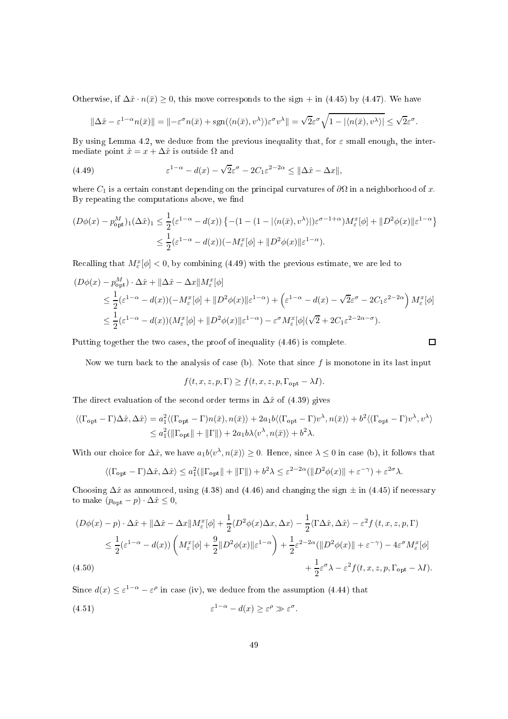Otherwise, if  $\Delta \hat{x} \cdot n(\bar{x}) \geq 0$ , this move corresponds to the sign + in (4.45) by (4.47). We have

$$
\|\Delta \hat{x} - \varepsilon^{1-\alpha} n(\bar{x})\| = \|-\varepsilon^{\sigma} n(\bar{x}) + \text{sgn}(\langle n(\bar{x}), v^{\lambda} \rangle) \varepsilon^{\sigma} v^{\lambda}\| = \sqrt{2}\varepsilon^{\sigma} \sqrt{1 - |\langle n(\bar{x}), v^{\lambda} \rangle|} \le \sqrt{2}\varepsilon^{\sigma}.
$$

By using Lemma 4.2, we deduce from the previous inequality that, for  $\varepsilon$  small enough, the intermediate point  $\hat{x} = x + \Delta \hat{x}$  is outside  $\Omega$  and

(4.49) 
$$
\varepsilon^{1-\alpha} - d(x) - \sqrt{2}\varepsilon^{\sigma} - 2C_1\varepsilon^{2-2\alpha} \leq \|\Delta \hat{x} - \Delta x\|,
$$

where  $C_1$  is a certain constant depending on the principal curvatures of  $\partial\Omega$  in a neighborhood of x. By repeating the computations above, we find

$$
(D\phi(x) - p_{\text{opt}}^M)_1(\Delta \hat{x})_1 \leq \frac{1}{2} (\varepsilon^{1-\alpha} - d(x)) \left\{ -(1 - (1 - |\langle n(\bar{x}), v^{\lambda} \rangle|) \varepsilon^{\sigma - 1 + \alpha}) M_{\varepsilon}^x [\phi] + \| D^2 \phi(x) \| \varepsilon^{1-\alpha} \right\}
$$
  

$$
\leq \frac{1}{2} (\varepsilon^{1-\alpha} - d(x)) (-M_{\varepsilon}^x [\phi] + \| D^2 \phi(x) \| \varepsilon^{1-\alpha}).
$$

Recalling that  $M_{\varepsilon}^x[\phi] < 0$ , by combining (4.49) with the previous estimate, we are led to

$$
(D\phi(x) - p_{\text{opt}}^M) \cdot \Delta \hat{x} + ||\Delta \hat{x} - \Delta x||M_{\varepsilon}^x[\phi]
$$
  
\n
$$
\leq \frac{1}{2}(\varepsilon^{1-\alpha} - d(x))(-M_{\varepsilon}^x[\phi] + ||D^2\phi(x)||\varepsilon^{1-\alpha}) + (\varepsilon^{1-\alpha} - d(x) - \sqrt{2}\varepsilon^{\sigma} - 2C_1\varepsilon^{2-2\alpha})M_{\varepsilon}^x[\phi]
$$
  
\n
$$
\leq \frac{1}{2}(\varepsilon^{1-\alpha} - d(x))(M_{\varepsilon}^x[\phi] + ||D^2\phi(x)||\varepsilon^{1-\alpha}) - \varepsilon^{\sigma}M_{\varepsilon}^x[\phi](\sqrt{2} + 2C_1\varepsilon^{2-2\alpha-\sigma}).
$$

Putting together the two cases, the proof of inequality  $(4.46)$  is complete.

Now we turn back to the analysis of case (b). Note that since  $f$  is monotone in its last input

$$
f(t, x, z, p, \Gamma) \ge f(t, x, z, p, \Gamma_{\text{opt}} - \lambda I).
$$

The direct evaluation of the second order terms in  $\Delta \hat{x}$  of (4.39) gives

$$
\langle (\Gamma_{\text{opt}} - \Gamma) \Delta \hat{x}, \Delta \hat{x} \rangle = a_1^2 \langle (\Gamma_{\text{opt}} - \Gamma) n(\bar{x}), n(\bar{x}) \rangle + 2a_1 b \langle (\Gamma_{\text{opt}} - \Gamma) v^\lambda, n(\bar{x}) \rangle + b^2 \langle (\Gamma_{\text{opt}} - \Gamma) v^\lambda, v^\lambda \rangle
$$
  

$$
\leq a_1^2 (\|\Gamma_{\text{opt}}\| + \|\Gamma\|) + 2a_1 b \lambda \langle v^\lambda, n(\bar{x}) \rangle + b^2 \lambda.
$$

With our choice for  $\Delta \hat{x}$ , we have  $a_1b\langle v^\lambda, n(\bar{x})\rangle \ge 0$ . Hence, since  $\lambda \le 0$  in case (b), it follows that

$$
\langle (\Gamma_{\text{opt}} - \Gamma) \Delta \hat{x}, \Delta \hat{x} \rangle \le a_1^2 (\|\Gamma_{\text{opt}}\| + \|\Gamma\|) + b^2 \lambda \le \varepsilon^{2-2\alpha} (\|D^2 \phi(x)\| + \varepsilon^{-\gamma}) + \varepsilon^{2\sigma} \lambda.
$$

Choosing  $\Delta \hat{x}$  as announced, using (4.38) and (4.46) and changing the sign  $\pm$  in (4.45) if necessary to make  $(p_{\text{opt}} - p) \cdot \Delta \hat{x} \leq 0$ ,

$$
(D\phi(x) - p) \cdot \Delta \hat{x} + ||\Delta \hat{x} - \Delta x||M_{\varepsilon}^{x}[\phi] + \frac{1}{2} \langle D^{2}\phi(x)\Delta x, \Delta x \rangle - \frac{1}{2} \langle \Gamma \Delta \hat{x}, \Delta \hat{x} \rangle - \varepsilon^{2} f(t, x, z, p, \Gamma)
$$
  
\$\leq \frac{1}{2} (\varepsilon^{1-\alpha} - d(x)) \left( M\_{\varepsilon}^{x}[\phi] + \frac{9}{2} ||D^{2}\phi(x)||\varepsilon^{1-\alpha} \right) + \frac{1}{2} \varepsilon^{2-2\alpha} (||D^{2}\phi(x)|| + \varepsilon^{-\gamma}) - 4\varepsilon^{\sigma} M\_{\varepsilon}^{x}[\phi] + (4.50) \right] \n  
\$\quad (4.50)\$

Since  $d(x) \leq \varepsilon^{1-\alpha} - \varepsilon^{\rho}$  in case (iv), we deduce from the assumption (4.44) that

(4.51) 
$$
\varepsilon^{1-\alpha} - d(x) \ge \varepsilon^{\rho} \gg \varepsilon^{\sigma}.
$$

$$
\qquad \qquad \Box
$$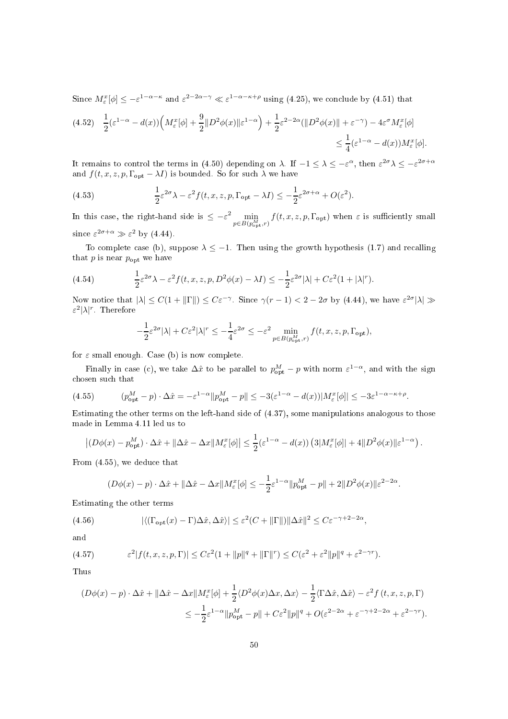Since  $M_{\varepsilon}^{x}[\phi] \leq -\varepsilon^{1-\alpha-\kappa}$  and  $\varepsilon^{2-2\alpha-\gamma} \ll \varepsilon^{1-\alpha-\kappa+\rho}$  using (4.25), we conclude by (4.51) that

$$
(4.52) \quad \frac{1}{2}(\varepsilon^{1-\alpha} - d(x)) \left( M_{\varepsilon}^{x}[\phi] + \frac{9}{2} \| D^{2}\phi(x) \| \varepsilon^{1-\alpha} \right) + \frac{1}{2} \varepsilon^{2-2\alpha} (\| D^{2}\phi(x) \| + \varepsilon^{-\gamma}) - 4\varepsilon^{\sigma} M_{\varepsilon}^{x}[\phi] \leq \frac{1}{4} (\varepsilon^{1-\alpha} - d(x)) M_{\varepsilon}^{x}[\phi].
$$

It remains to control the terms in (4.50) depending on  $\lambda$ . If  $-1 \leq \lambda \leq -\varepsilon^{\alpha}$ , then  $\varepsilon^{2\sigma} \lambda \leq -\varepsilon^{2\sigma+\alpha}$ and  $f(t, x, z, p, \Gamma_{opt} - \lambda I)$  is bounded. So for such  $\lambda$  we have

(4.53) 
$$
\frac{1}{2}\varepsilon^{2\sigma}\lambda - \varepsilon^2 f(t, x, z, p, \Gamma_{\text{opt}} - \lambda I) \leq -\frac{1}{2}\varepsilon^{2\sigma + \alpha} + O(\varepsilon^2).
$$

In this case, the right-hand side is  $\leq -\varepsilon^2 \min_{p \in B(p_{\text{out}}^M, r)} f(t, x, z, p, \Gamma_{\text{opt}})$  when  $\varepsilon$  is sufficiently small since  $\varepsilon^{2\sigma+\alpha} \gg \varepsilon^2$  by (4.44).

To complete case (b), suppose  $\lambda \leq -1$ . Then using the growth hypothesis (1.7) and recalling that  $p$  is near  $p_{\text{opt}}$  we have

(4.54) 
$$
\frac{1}{2}\varepsilon^{2\sigma}\lambda - \varepsilon^2 f(t, x, z, p, D^2\phi(x) - \lambda I) \leq -\frac{1}{2}\varepsilon^{2\sigma}|\lambda| + C\varepsilon^2 (1 + |\lambda|^r).
$$

Now notice that  $|\lambda| \leq C(1 + ||\Gamma||) \leq C\varepsilon^{-\gamma}$ . Since  $\gamma(r-1) < 2-2\sigma$  by (4.44), we have  $\varepsilon^{2\sigma}|\lambda| \gg$ ε<sup>2</sup>|λ|<sup>r</sup>. Therefore

$$
-\frac{1}{2}\varepsilon^{2\sigma}|\lambda| + C\varepsilon^2|\lambda|^r \le -\frac{1}{4}\varepsilon^{2\sigma} \le -\varepsilon^2 \min_{p \in B(p_{\text{opt}}^M, r)} f(t, x, z, p, \Gamma_{\text{opt}}),
$$

for  $\varepsilon$  small enough. Case (b) is now complete.

Finally in case (c), we take  $\Delta \hat{x}$  to be parallel to  $p_{\text{opt}}^M - p$  with norm  $\varepsilon^{1-\alpha}$ , and with the sign chosen such that

(4.55) (p M opt − p) · ∆ˆx = −ε 1−α kp M opt − pk ≤ −3(ε <sup>1</sup>−<sup>α</sup> <sup>−</sup> <sup>d</sup>(x))|M<sup>x</sup> ε [φ]| ≤ −3ε 1−α−κ+ρ .

Estimating the other terms on the left-hand side of (4.37), some manipulations analogous to those made in Lemma 4.11 led us to

$$
\left| (D\phi(x) - p_{\rm opt}^M) \cdot \Delta \hat{x} + \| \Delta \hat{x} - \Delta x \| M_{\varepsilon}^x[\phi] \right| \leq \frac{1}{2} (\varepsilon^{1-\alpha} - d(x)) \left( 3|M_{\varepsilon}^x[\phi]| + 4\| D^2 \phi(x) \| \varepsilon^{1-\alpha} \right).
$$

From (4.55), we dedu
e that

$$
(D\phi(x) - p) \cdot \Delta \hat{x} + ||\Delta \hat{x} - \Delta x||M_{\varepsilon}^{x}[\phi] \le -\frac{1}{2}\varepsilon^{1-\alpha}||p_{\text{opt}}^{M} - p|| + 2||D^{2}\phi(x)||\varepsilon^{2-2\alpha}.
$$

Estimating the other terms

(4.56) 
$$
|\langle (\Gamma_{\text{opt}}(x) - \Gamma) \Delta \hat{x}, \Delta \hat{x} \rangle| \leq \varepsilon^2 (C + ||\Gamma||) ||\Delta \hat{x}||^2 \leq C \varepsilon^{-\gamma + 2 - 2\alpha},
$$

and

(4.57) 
$$
\varepsilon^2 |f(t, x, z, p, \Gamma)| \leq C \varepsilon^2 (1 + ||p||^q + ||\Gamma||^r) \leq C (\varepsilon^2 + \varepsilon^2 ||p||^q + \varepsilon^{2 - \gamma r}).
$$

Thus

$$
(D\phi(x) - p) \cdot \Delta \hat{x} + ||\Delta \hat{x} - \Delta x||M_{\varepsilon}^{x}[\phi] + \frac{1}{2} \langle D^{2}\phi(x)\Delta x, \Delta x \rangle - \frac{1}{2} \langle \Gamma \Delta \hat{x}, \Delta \hat{x} \rangle - \varepsilon^{2} f(t, x, z, p, \Gamma)
$$
  

$$
\leq -\frac{1}{2} \varepsilon^{1-\alpha} ||p_{\text{opt}}^{M} - p|| + C \varepsilon^{2} ||p||^{q} + O(\varepsilon^{2-2\alpha} + \varepsilon^{-\gamma+2-2\alpha} + \varepsilon^{2-\gamma r}).
$$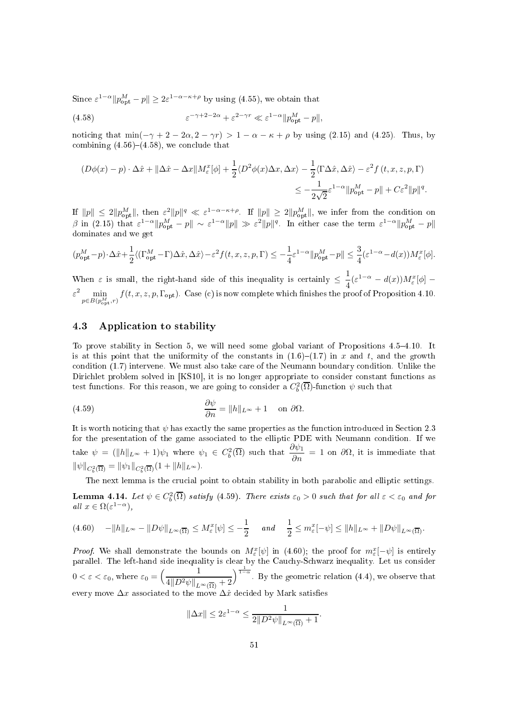Since  $\varepsilon^{1-\alpha} \| p_{\text{opt}}^M - p \| \geq 2\varepsilon^{1-\alpha-\kappa+\rho}$  by using (4.55), we obtain that

(4.58) 
$$
\varepsilon^{-\gamma+2-2\alpha} + \varepsilon^{2-\gamma r} \ll \varepsilon^{1-\alpha} ||p_{\text{opt}}^M - p||,
$$

noticing that  $\min(-\gamma + 2 - 2\alpha, 2 - \gamma r) > 1 - \alpha - \kappa + \rho$  by using (2.15) and (4.25). Thus, by combining  $(4.56)$ – $(4.58)$ , we conclude that

$$
(D\phi(x) - p) \cdot \Delta \hat{x} + ||\Delta \hat{x} - \Delta x||M_{\varepsilon}^{x}[\phi] + \frac{1}{2} \langle D^{2}\phi(x)\Delta x, \Delta x \rangle - \frac{1}{2} \langle \Gamma \Delta \hat{x}, \Delta \hat{x} \rangle - \varepsilon^{2} f(t, x, z, p, \Gamma)
$$
  

$$
\leq -\frac{1}{2\sqrt{2}} \varepsilon^{1-\alpha} ||p_{\text{opt}}^{M} - p|| + C\varepsilon^{2} ||p||^{q}.
$$

If  $||p|| \leq 2||p_{\text{opt}}^M||$ , then  $\varepsilon^2 ||p||^q \ll \varepsilon^{1-\alpha-\kappa+\rho}$ . If  $||p|| \geq 2||p_{\text{opt}}^M||$ , we infer from the condition on β in (2.15) that  $\varepsilon^{1-\alpha}$  ||p<sub>opt</sub> − p|| ~  $\varepsilon^{1-\alpha}$ ||p|| ≫  $\varepsilon^2$ ||p||<sup>q</sup>. In either case the term  $\varepsilon^{1-\alpha}$ ||p<sub>opt</sub> − p|| dominates and we get

$$
(p_{\rm opt}^M-p)\cdot\Delta\hat{x}+\frac{1}{2}\langle (\Gamma_{\rm opt}^M-\Gamma)\Delta\hat{x},\Delta\hat{x}\rangle-\varepsilon^2f(t,x,z,p,\Gamma)\leq -\frac{1}{4}\varepsilon^{1-\alpha}\|p_{\rm opt}^M-p\|\leq \frac{3}{4}(\varepsilon^{1-\alpha}-d(x))M_{\varepsilon}^x[\phi].
$$

When  $\varepsilon$  is small, the right-hand side of this inequality is certainly  $\leq \frac{1}{4}(\varepsilon^{1-\alpha} - d(x))M_{\varepsilon}^{x}[\phi]$  – 4  $\varepsilon^2 \min_{p \in B(p_{\text{out}}^M, r)} f(t, x, z, p, \Gamma_{\text{opt}})$ . Case (c) is now complete which finishes the proof of Proposition 4.10.

# 4.3 Appli
ation to stability

To prove stability in Section 5, we will need some global variant of Propositions 4.5–4.10. It is at this point that the uniformity of the constants in  $(1.6)-(1.7)$  in x and t, and the growth condition (1.7) intervene. We must also take care of the Neumann boundary condition. Unlike the Dirichlet problem solved in [KS10], it is no longer appropriate to consider constant functions as test functions. For this reason, we are going to consider a  $C_b^2(\overline{\Omega})$ -function  $\psi$  such that

(4.59) 
$$
\frac{\partial \psi}{\partial n} = ||h||_{L^{\infty}} + 1 \quad \text{on } \partial \Omega.
$$

It is worth noticing that  $\psi$  has exactly the same properties as the function introduced in Section 2.3 for the presentation of the game associated to the elliptic PDE with Neumann condition. If we take  $\psi = (\|h\|_{L^{\infty}} + 1)\psi_1$  where  $\psi_1 \in C_b^2(\overline{\Omega})$  such that  $\frac{\partial \psi_1}{\partial n} = 1$  on  $\partial \Omega$ , it is immediate that  $\|\psi\|_{C_b^2(\overline{\Omega})} = \|\psi_1\|_{C_b^2(\overline{\Omega})}(1 + \|h\|_{L^{\infty}}).$ 

The next lemma is the crucial point to obtain stability in both parabolic and elliptic settings.

**Lemma 4.14.** Let  $\psi \in C_b^2(\overline{\Omega})$  satisfy (4.59). There exists  $\varepsilon_0 > 0$  such that for all  $\varepsilon < \varepsilon_0$  and for all  $x \in \Omega(\varepsilon^{1-\alpha}),$ 

$$
(4.60) \quad -||h||_{L^{\infty}} - ||D\psi||_{L^{\infty}(\overline{\Omega})} \le M_{\varepsilon}^{x}[\psi] \le -\frac{1}{2} \quad \text{and} \quad \frac{1}{2} \le m_{\varepsilon}^{x}[-\psi] \le ||h||_{L^{\infty}} + ||D\psi||_{L^{\infty}(\overline{\Omega})}.
$$

*Proof.* We shall demonstrate the bounds on  $M_{\varepsilon}^{x}[\psi]$  in (4.60); the proof for  $m_{\varepsilon}^{x}[-\psi]$  is entirely parallel. The left-hand side inequality is clear by the Cauchy-Schwarz inequality. Let us consider  $0 < \varepsilon < \varepsilon_0$ , where  $\varepsilon_0 = \left(\frac{1}{4\ln 2\pi\lambda_0}\right)$  $4||D^2\psi||_{L^{\infty}(\overline{\Omega})}+2$  $\int_{0}^{\frac{1}{1-\alpha}}$ . By the geometric relation (4.4), we observe that every move  $\Delta x$  associated to the move  $\Delta \hat{x}$  decided by Mark satisfies

$$
\|\Delta x\| \le 2\varepsilon^{1-\alpha} \le \frac{1}{2\|D^2\psi\|_{L^\infty(\overline{\Omega})} + 1}.
$$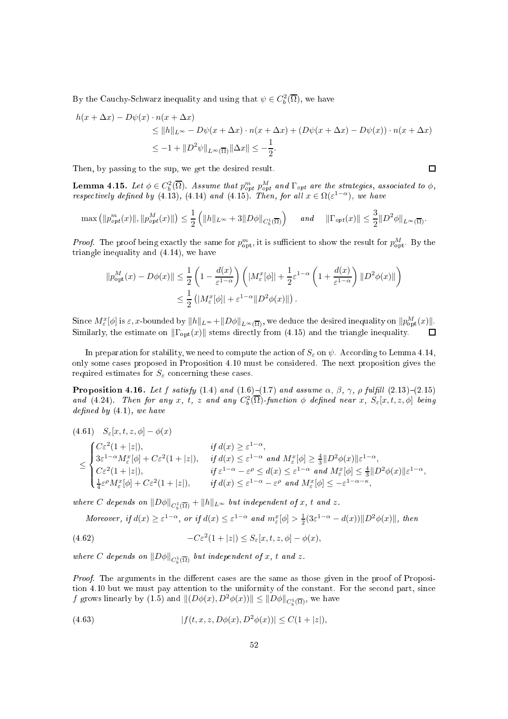By the Cauchy-Schwarz inequality and using that  $\psi \in C_b^2(\overline{\Omega})$ , we have

$$
h(x + \Delta x) - D\psi(x) \cdot n(x + \Delta x)
$$
  
\n
$$
\leq ||h||_{L^{\infty}} - D\psi(x + \Delta x) \cdot n(x + \Delta x) + (D\psi(x + \Delta x) - D\psi(x)) \cdot n(x + \Delta x)
$$
  
\n
$$
\leq -1 + ||D^2\psi||_{L^{\infty}(\overline{\Omega})} ||\Delta x|| \leq -\frac{1}{2}.
$$

Then, by passing to the sup, we get the desired result.

**Lemma 4.15.** Let  $\phi \in C_b^2(\overline{\Omega})$ . Assume that  $p_{opt}^m p_{opt}^M$  and  $\Gamma_{opt}$  are the strategies, associated to  $\phi$ , respectively defined by (4.13), (4.14) and (4.15). Then, for all  $x \in \Omega(\varepsilon^{1-\alpha})$ , we have

$$
\max\left(\|p_{opt}^m(x)\|, \|p_{opt}^M(x)\|\right) \le \frac{1}{2}\left(\|h\|_{L^\infty} + 3\|D\phi\|_{C_b^1(\overline{\Omega})}\right) \quad \text{and} \quad \|\Gamma_{opt}(x)\| \le \frac{3}{2}\|D^2\phi\|_{L^\infty(\overline{\Omega})}.
$$

*Proof.* The proof being exactly the same for  $p_{\text{ont}}^m$ , it is sufficient to show the result for  $p_{\text{ont}}^M$ . By the triangle inequality and (4.14), we have

$$
||p_{\text{opt}}^{M}(x) - D\phi(x)|| \leq \frac{1}{2} \left( 1 - \frac{d(x)}{\varepsilon^{1-\alpha}} \right) \left( |M_{\varepsilon}^{x}[\phi]| + \frac{1}{2}\varepsilon^{1-\alpha} \left( 1 + \frac{d(x)}{\varepsilon^{1-\alpha}} \right) ||D^{2}\phi(x)|| \right) \leq \frac{1}{2} \left( |M_{\varepsilon}^{x}[\phi]| + \varepsilon^{1-\alpha} ||D^{2}\phi(x)|| \right).
$$

 $\text{Since } M^x_\varepsilon[\phi] \text{ is } \varepsilon, x\text{-bounded by } \|h\|_{L^\infty} + \|D\phi\|_{L^\infty(\overline{\Omega})}, \text{ we deduce the desired inequality on } \|p^M_{\text{opt}}(x)\|.$ Similarly, the estimate on  $\|\Gamma_{\text{opt}}(x)\|$  stems directly from (4.15) and the triangle inequality.

In preparation for stability, we need to compute the action of  $S_\varepsilon$  on  $\psi$ . According to Lemma 4.14, only some ases proposed in Proposition 4.10 must be onsidered. The next proposition gives the required estimates for  $S_{\varepsilon}$  concerning these cases.

**Proposition 4.16.** Let f satisfy  $(1.4)$  and  $(1.6)-(1.7)$  and assume  $\alpha$ ,  $\beta$ ,  $\gamma$ ,  $\rho$  fulfill  $(2.13)-(2.15)$ and (4.24). Then for any x, t, z and any  $C_b^2(\overline{\Omega})$ -function  $\phi$  defined near x,  $S_{\varepsilon}[x,t,z,\phi]$  being defined by  $(4.1)$ , we have

$$
(4.61) \quad S_{\varepsilon}[x, t, z, \phi] - \phi(x)
$$
\n
$$
\leq \begin{cases}\nC\varepsilon^{2}(1+|z|), & \text{if } d(x) \geq \varepsilon^{1-\alpha}, \\
3\varepsilon^{1-\alpha}M_{\varepsilon}^{x}[\phi] + C\varepsilon^{2}(1+|z|), & \text{if } d(x) \leq \varepsilon^{1-\alpha} \text{ and } M_{\varepsilon}^{x}[\phi] \geq \frac{4}{3}||D^{2}\phi(x)||\varepsilon^{1-\alpha}, \\
C\varepsilon^{2}(1+|z|), & \text{if } \varepsilon^{1-\alpha} - \varepsilon^{\rho} \leq d(x) \leq \varepsilon^{1-\alpha} \text{ and } M_{\varepsilon}^{x}[\phi] \leq \frac{4}{3}||D^{2}\phi(x)||\varepsilon^{1-\alpha}, \\
\frac{1}{4}\varepsilon^{\rho}M_{\varepsilon}^{x}[\phi] + C\varepsilon^{2}(1+|z|), & \text{if } d(x) \leq \varepsilon^{1-\alpha} - \varepsilon^{\rho} \text{ and } M_{\varepsilon}^{x}[\phi] \leq -\varepsilon^{1-\alpha-\kappa},\n\end{cases}
$$

where C depends on  $||D\phi||_{C_b^1(\overline{\Omega})} + ||h||_{L^{\infty}}$  but independent of x, t and z.

Moreover, if 
$$
d(x) \ge \varepsilon^{1-\alpha}
$$
, or if  $d(x) \le \varepsilon^{1-\alpha}$  and  $m_{\varepsilon}^x[\phi] > \frac{1}{2}(3\varepsilon^{1-\alpha} - d(x))\|D^2\phi(x)\|$ , then

(4.62) 
$$
-C\varepsilon^2(1+|z|) \leq S_{\varepsilon}[x,t,z,\phi] - \phi(x),
$$

where C depends on  $\|D\phi\|_{C^1_b(\overline{\Omega})}$  but independent of x, t and z.

*Proof.* The arguments in the different cases are the same as those given in the proof of Proposition 4.10 but we must pay attention to the uniformity of the constant. For the second part, since f grows linearly by (1.5) and  $||(D\phi(x), D^2\phi(x))|| \leq ||D\phi||_{C_b^1(\overline{\Omega})}$ , we have

(4.63) 
$$
|f(t, x, z, D\phi(x), D^2\phi(x))| \le C(1+|z|),
$$

$$
\Box
$$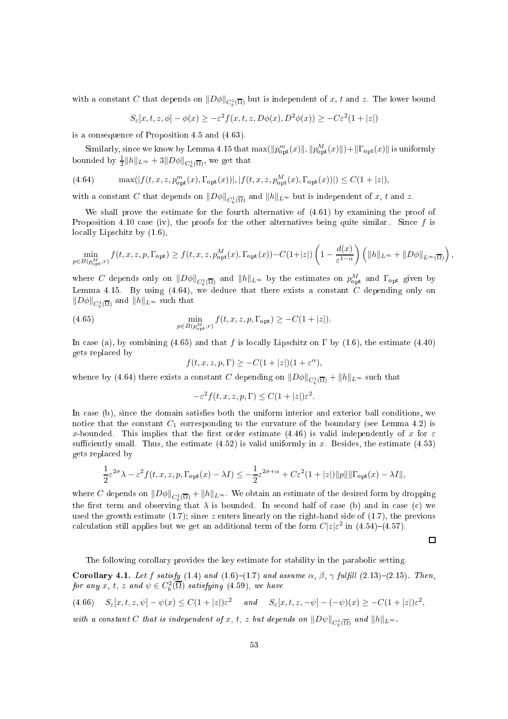with a constant C that depends on  $||D\phi||_{C_b^1(\overline{\Omega})}$  but is independent of x, t and z. The lower bound

$$
S_{\varepsilon}[x,t,z,\phi] - \phi(x) \ge -\varepsilon^2 f(x,t,z,D\phi(x),D^2\phi(x)) \ge -C\varepsilon^2(1+|z|)
$$

is a onsequen
e of Proposition 4.5 and (4.63).

Similarly, since we know by Lemma 4.15 that  $\max(\|p_{\text{opt}}^m(x)\|, \|p_{\text{opt}}^M(x)\|) + \|\Gamma_{\text{opt}}(x)\|$  is uniformly bounded by  $\frac{1}{2}||h||_{L^{\infty}} + 3||D\phi||_{C_b^1(\overline{\Omega})}$ , we get that

(4.64) 
$$
\max(|f(t, x, z, p_{\text{opt}}^m(x), \Gamma_{\text{opt}}(x))|, |f(t, x, z, p_{\text{opt}}^M(x), \Gamma_{\text{opt}}(x))|) \le C(1 + |z|),
$$

with a constant C that depends on  $||D\phi||_{C_b^1(\overline{\Omega})}$  and  $||h||_{L^{\infty}}$  but is independent of x, t and z.

We shall prove the estimate for the fourth alternative of (4.61) by examining the proof of Proposition 4.10 case (iv), the proofs for the other alternatives being quite similar.. Since  $f$  is locally Lipschitz by  $(1.6)$ ,

$$
\min_{p\in B(p_{\text{opt}}^M,\,r)}f(t,x,z,p,\Gamma_{\text{opt}})\geq f(t,x,z,p_{\text{opt}}^M(x),\Gamma_{\text{opt}}(x))-C(1+|z|)\left(1-\frac{d(x)}{\varepsilon^{1-\alpha}}\right)\left(\|h\|_{L^\infty}+\|D\phi\|_{L^\infty(\overline{\Omega})}\right),
$$

where C depends only on  $||D\phi||_{C_b^1(\overline{\Omega})}$  and  $||h||_{L^{\infty}}$  by the estimates on  $p_{\text{opt}}^M$  and  $\Gamma_{\text{opt}}$  given by Lemma 4.15. By using  $(4.64)$ , we deduce that there exists a constant C depending only on  $||D\phi||_{C_b^1(\overline{\Omega})}$  and  $||h||_{L^{\infty}}$  such that

(4.65) 
$$
\min_{p \in B(p_{\text{opt}}^M, r)} f(t, x, z, p, \Gamma_{\text{opt}}) \geq -C(1+|z|).
$$

In case (a), by combining (4.65) and that f is locally Lipschitz on  $\Gamma$  by (1.6), the estimate (4.40) gets repla
ed by

$$
f(t, x, z, p, \Gamma) \ge -C(1+|z|)(1+\varepsilon^{\alpha}),
$$

whence by (4.64) there exists a constant C depending on  $||D\phi||_{C_b^1(\overline{\Omega})} + ||h||_{L^{\infty}}$  such that

$$
-\varepsilon^2 f(t, x, z, p, \Gamma) \le C(1+|z|)\varepsilon^2.
$$

In case (b), since the domain satisfies both the uniform interior and exterior ball conditions, we notice that the constant  $C_1$  corresponding to the curvature of the boundary (see Lemma 4.2) is x-bounded. This implies that the first order estimate (4.46) is valid independently of x for  $\varepsilon$ sufficiently small. Thus, the estimate  $(4.52)$  is valid uniformly in x. Besides, the estimate  $(4.53)$ gets repla
ed by

$$
\frac{1}{2}\varepsilon^{2\sigma}\lambda-\varepsilon^2 f(t,x,z,p,\Gamma_{\mathrm{opt}}(x)-\lambda I)\leq -\frac{1}{2}\varepsilon^{2\sigma+\alpha}+C\varepsilon^2(1+|z|)\|p\|\|\Gamma_{\mathrm{opt}}(x)-\lambda I\|,
$$

where  $C$  depends on  $\|D\phi\|_{C^1_b(\overline\Omega)}+\|h\|_{L^\infty}.$  We obtain an estimate of the desired form by dropping the first term and observing that  $\lambda$  is bounded. In second half of case (b) and in case (c) we used the growth estimate  $(1.7)$ ; since z enters linearly on the right-hand side of  $(1.7)$ , the previous calculation still applies but we get an additional term of the form  $C|z|\varepsilon^2$  in (4.54)–(4.57).

 $\Box$ 

The following corollary provides the key estimate for stability in the parabolic setting.

Corollary 4.1. Let f satisfy (1.4) and (1.6)-(1.7) and assume  $\alpha$ ,  $\beta$ ,  $\gamma$  fulfill (2.13)-(2.15). Then, for any x, t, z and  $\psi \in C_b^2(\overline{\Omega})$  satisfying (4.59), we have

$$
(4.66) \quad S_{\varepsilon}[x,t,z,\psi] - \psi(x) \le C(1+|z|)\varepsilon^2 \quad \text{and} \quad S_{\varepsilon}[x,t,z,-\psi] - (-\psi)(x) \ge -C(1+|z|)\varepsilon^2,
$$

with a constant C that is independent of x, t, z but depends on  $\|D\psi\|_{C^1_b(\overline{\Omega})}$  and  $\|h\|_{L^{\infty}}$ .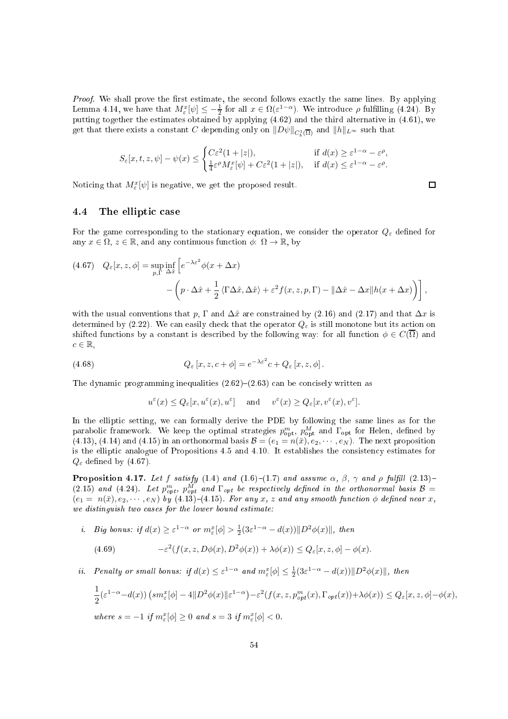Proof. We shall prove the first estimate, the second follows exactly the same lines. By applying Lemma 4.14, we have that  $M_{\varepsilon}^x[\psi] \leq -\frac{1}{2}$  for all  $x \in \Omega(\varepsilon^{1-\alpha})$ . We introduce  $\rho$  fulfilling (4.24). By putting together the estimates obtained by applying  $(4.62)$  and the third alternative in  $(4.61)$ , we get that there exists a constant  $C$  depending only on  $\|D\psi\|_{C^1_b(\overline{\Omega})}$  and  $\|h\|_{L^\infty}$  such that

$$
S_\varepsilon[x,t,z,\psi]-\psi(x)\leq \begin{cases} C\varepsilon^2(1+|z|),&\text{if }d(x)\geq \varepsilon^{1-\alpha}-\varepsilon^\rho,\\ \frac{1}{4}\varepsilon^\rho M_\varepsilon^x[\psi]+C\varepsilon^2(1+|z|),&\text{if }d(x)\leq \varepsilon^{1-\alpha}-\varepsilon^\rho.\end{cases}
$$

Noticing that  $M_{\varepsilon}^{x}[\psi]$  is negative, we get the proposed result.

# 4.4 The elliptic case

For the game corresponding to the stationary equation, we consider the operator  $Q_{\varepsilon}$  defined for any  $x \in \Omega$ ,  $z \in \mathbb{R}$ , and any continuous function  $\phi: \Omega \to \mathbb{R}$ , by

(4.67) 
$$
Q_{\varepsilon}[x, z, \phi] = \sup_{p, \Gamma} \inf_{\Delta \hat{x}} \left[ e^{-\lambda \varepsilon^2} \phi(x + \Delta x) - \left( p \cdot \Delta \hat{x} + \frac{1}{2} \langle \Gamma \Delta \hat{x}, \Delta \hat{x} \rangle + \varepsilon^2 f(x, z, p, \Gamma) - ||\Delta \hat{x} - \Delta x|| h(x + \Delta x) \right) \right],
$$

with the usual conventions that p,  $\Gamma$  and  $\Delta \hat{x}$  are constrained by (2.16) and (2.17) and that  $\Delta x$  is determined by (2.22). We can easily check that the operator  $Q_{\varepsilon}$  is still monotone but its action on shifted functions by a constant is described by the following way: for all function  $\phi \in C(\overline{\Omega})$  and  $c \in \mathbb{R}$ ,

(4.68) 
$$
Q_{\varepsilon}[x, z, c + \phi] = e^{-\lambda \varepsilon^{2}} c + Q_{\varepsilon}[x, z, \phi].
$$

The dynamic programming inequalities  $(2.62)$ – $(2.63)$  can be concisely written as

$$
u^\varepsilon(x)\leq Q_\varepsilon[x,u^\varepsilon(x),u^\varepsilon]\quad \text{ and }\quad v^\varepsilon(x)\geq Q_\varepsilon[x,v^\varepsilon(x),v^\varepsilon].
$$

In the elliptic setting, we can formally derive the PDE by following the same lines as for the parabolic framework. We keep the optimal strategies  $p_{\text{opt}}^m$ ,  $p_{\text{opt}}^M$  and  $\Gamma_{\text{opt}}$  for Helen, defined by (4.13), (4.14) and (4.15) in an orthonormal basis  $\mathcal{B} = (e_1 = n(\bar{x}), e_2, \dots, e_N)$ . The next proposition is the elliptic analogue of Propositions 4.5 and 4.10. It establishes the consistency estimates for  $Q_{\varepsilon}$  defined by (4.67).

**Proposition 4.17.** Let f satisfy (1.4) and (1.6)–(1.7) and assume  $\alpha$ ,  $\beta$ ,  $\gamma$  and  $\rho$  fulfill (2.13)– (2.15) and (4.24). Let  $p_{opt}^m$ ,  $p_{opt}^M$  and  $\Gamma_{opt}$  be respectively defined in the orthonormal basis  $B =$  $(e_1 = n(\bar{x}), e_2, \cdots, e_N)$  by  $(4.13)$ – $(4.15)$ . For any x, z and any smooth function  $\phi$  defined near x, we distinguish two cases for the lower bound estimate:

*i.* Big bonus: if  $d(x) \geq \varepsilon^{1-\alpha}$  or  $m_{\varepsilon}^x[\phi] > \frac{1}{2}(3\varepsilon^{1-\alpha} - d(x))||D^2\phi(x)||$ , then

(4.69) 
$$
-\varepsilon^2(f(x,z,D\phi(x),D^2\phi(x))+\lambda\phi(x))\leq Q_{\varepsilon}[x,z,\phi]-\phi(x).
$$

*ii.* Penalty or small bonus: if  $d(x) \leq \varepsilon^{1-\alpha}$  and  $m_{\varepsilon}^{x}[\phi] \leq \frac{1}{2}(3\varepsilon^{1-\alpha} - d(x))||D^2\phi(x)||$ , then

$$
\frac{1}{2}(\varepsilon^{1-\alpha} - d(x)) \left( sm_{\varepsilon}^x[\phi] - 4 \|D^2 \phi(x)\| \varepsilon^{1-\alpha} \right) - \varepsilon^2 (f(x, z, p_{opt}^m(x), \Gamma_{opt}(x)) + \lambda \phi(x)) \le Q_{\varepsilon}[x, z, \phi] - \phi(x),
$$
  
where  $s = -1$  if  $m_{\varepsilon}^x[\phi] \ge 0$  and  $s = 3$  if  $m_{\varepsilon}^x[\phi] < 0$ .

where  $s = -1$  if  $m_{\varepsilon}^x$  $\iota_{\varepsilon}$  [ $\varphi$ ]  $[\phi] \geq 0$  and  $s = 3$  if  $m_{\varepsilon}^x$ ε  $\Box$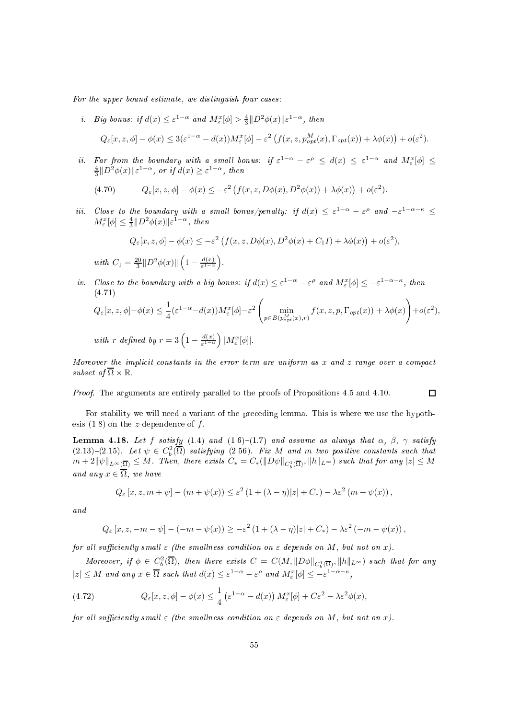For the upper bound estimate, we distinguish four cases:

*i.* Big bonus: if  $d(x) \leq \varepsilon^{1-\alpha}$  and  $M_{\varepsilon}^{x}[\phi] > \frac{4}{3}||D^2\phi(x)||\varepsilon^{1-\alpha}$ , then

$$
Q_{\varepsilon}[x,z,\phi] - \phi(x) \leq 3(\varepsilon^{1-\alpha} - d(x))M_{\varepsilon}^{x}[\phi] - \varepsilon^{2} \left( f(x,z,p_{opt}^{M}(x),\Gamma_{opt}(x)) + \lambda \phi(x) \right) + o(\varepsilon^{2}).
$$

ii. Far from the boundary with a small bonus: if  $\varepsilon^{1-\alpha} - \varepsilon^{\rho} \leq d(x) \leq \varepsilon^{1-\alpha}$  and  $M_{\varepsilon}^{x}[\phi] \leq$  $\frac{4}{3}||D^2\phi(x)||\varepsilon^{1-\alpha}$ , or if  $d(x) \geq \varepsilon^{1-\alpha}$ , then

(4.70) 
$$
Q_{\varepsilon}[x,z,\phi] - \phi(x) \leq -\varepsilon^2 \left( f(x,z,D\phi(x),D^2\phi(x)) + \lambda \phi(x) \right) + o(\varepsilon^2).
$$

iii. Close to the boundary with a small bonus/penalty: if  $d(x) \leq \varepsilon^{1-\alpha} - \varepsilon^{\rho}$  and  $-\varepsilon^{1-\alpha-\kappa} \leq$  $M_{\varepsilon}^{x}[\phi] \leq \frac{4}{3} \|D^{2}\phi(x)\|\varepsilon^{1-\alpha}, \text{ then}$ 

$$
Q_{\varepsilon}[x, z, \phi] - \phi(x) \le -\varepsilon^2 \left( f(x, z, D\phi(x), D^2\phi(x) + C_1 I) + \lambda \phi(x) \right) + o(\varepsilon^2),
$$

with  $C_1 = \frac{20}{3} ||D^2 \phi(x)|| \left(1 - \frac{d(x)}{\varepsilon^{1-\alpha}}\right)$  $rac{d(x)}{\varepsilon^{1-\alpha}}$ .

iv. Close to the boundary with a big bonus: if  $d(x) \leq \varepsilon^{1-\alpha} - \varepsilon^{\rho}$  and  $M_{\varepsilon}^{x}[\phi] \leq -\varepsilon^{1-\alpha-\kappa}$ , then (4.71)

$$
Q_{\varepsilon}[x, z, \phi] - \phi(x) \le \frac{1}{4} (\varepsilon^{1-\alpha} - d(x)) M_{\varepsilon}^{x}[\phi] - \varepsilon^{2} \left( \min_{p \in B(p_{opt}^{M}(x), r)} f(x, z, p, \Gamma_{opt}(x)) + \lambda \phi(x) \right) + o(\varepsilon^{2}),
$$
  
with r defined by  $r = 3 \left( 1 - \frac{d(x)}{\varepsilon^{1-\alpha}} \right) |M_{\varepsilon}^{x}[\phi]|.$ 

 $\Box$ 

Moreover the implicit constants in the error term are uniform as x and z range over a compact subset of  $\overline{\Omega} \times \mathbb{R}$ .

Proof. The arguments are entirely parallel to the proofs of Propositions 4.5 and 4.10.

For stability we will need a variant of the preceding lemma. This is where we use the hypothesis  $(1.8)$  on the z-dependence of f.

Lemma 4.18. Let f satisfy (1.4) and (1.6)-(1.7) and assume as always that  $\alpha$ ,  $\beta$ ,  $\gamma$  satisfy  $(2.13)-(2.15)$ . Let  $\psi \in C_b^2(\overline{\Omega})$  satisfying  $(2.56)$ . Fix M and m two positive constants such that  $m+2\|\psi\|_{L^{\infty}(\overline{\Omega})}\leq M$ . Then, there exists  $C_{*}=C_{*}(\|D\psi\|_{C^{1}_{b}(\overline{\Omega})},\|h\|_{L^{\infty}})$  such that for any  $|z|\leq M$ and any  $x \in \overline{\Omega}$ , we have

$$
Q_{\varepsilon}[x, z, m + \psi] - (m + \psi(x)) \leq \varepsilon^2 (1 + (\lambda - \eta)|z| + C_*) - \lambda \varepsilon^2 (m + \psi(x)),
$$

and

$$
Q_{\varepsilon}[x, z, -m - \psi] - (-m - \psi(x)) \geq -\varepsilon^2 \left(1 + (\lambda - \eta)|z| + C_*\right) - \lambda \varepsilon^2 \left(-m - \psi(x)\right),
$$

for all sufficiently small  $\varepsilon$  (the smallness condition on  $\varepsilon$  depends on M, but not on x).

Moreover, if  $\phi \in C_b^2(\overline{\Omega})$ , then there exists  $C = C(M, ||D\phi||_{C_b^1(\overline{\Omega})}, ||h||_{L^{\infty}})$  such that for any  $|z| \leq M$  and any  $x \in \overline{\Omega}$  such that  $d(x) \leq \varepsilon^{1-\alpha} - \varepsilon^{\rho}$  and  $M_{\varepsilon}^{x}[\phi] \leq -\varepsilon^{1-\alpha-\kappa}$ ,

(4.72) 
$$
Q_{\varepsilon}[x,z,\phi] - \phi(x) \leq \frac{1}{4} \left( \varepsilon^{1-\alpha} - d(x) \right) M_{\varepsilon}^{x}[\phi] + C\varepsilon^{2} - \lambda \varepsilon^{2} \phi(x),
$$

for all sufficiently small  $\varepsilon$  (the smallness condition on  $\varepsilon$  depends on M, but not on x).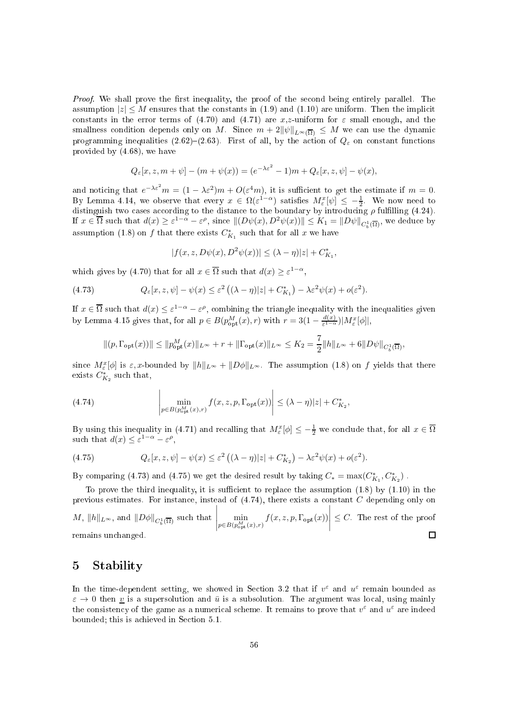Proof. We shall prove the first inequality, the proof of the second being entirely parallel. The assumption  $|z| \leq M$  ensures that the constants in (1.9) and (1.10) are uniform. Then the implicit constants in the error terms of (4.70) and (4.71) are x,z-uniform for  $\varepsilon$  small enough, and the smallness condition depends only on M. Since  $m + 2\|\psi\|_{L^{\infty}(\overline{\Omega})} \leq M$  we can use the dynamic programming inequalities (2.62)–(2.63). First of all, by the action of  $Q_{\varepsilon}$  on constant functions provided by (4.68), we have

$$
Q_{\varepsilon}[x, z, m + \psi] - (m + \psi(x)) = (e^{-\lambda \varepsilon^2} - 1)m + Q_{\varepsilon}[x, z, \psi] - \psi(x),
$$

and noticing that  $e^{-\lambda \varepsilon^2} m = (1 - \lambda \varepsilon^2) m + O(\varepsilon^4 m)$ , it is sufficient to get the estimate if  $m = 0$ . By Lemma 4.14, we observe that every  $x \in \Omega(\varepsilon^{1-\alpha})$  satisfies  $M_{\varepsilon}^x[\psi] \leq -\frac{1}{2}$ . We now need to distinguish two cases according to the distance to the boundary by introducing  $\rho$  fulfilling (4.24). If  $x \in \overline{\Omega}$  such that  $d(x) \ge \varepsilon^{1-\alpha} - \varepsilon^{\rho}$ , since  $\| (D\psi(x), D^2\psi(x)) \| \le K_1 = \| D\psi \|_{C_b^1(\overline{\Omega})}$ , we deduce by assumption (1.8) on  $f$  that there exists  $C_{K_1}^*$  such that for all  $x$  we have

$$
|f(x, z, D\psi(x), D^{2}\psi(x))| \le (\lambda - \eta)|z| + C_{K_1}^*,
$$

which gives by (4.70) that for all  $x \in \overline{\Omega}$  such that  $d(x) \geq \varepsilon^{1-\alpha}$ ,

(4.73) 
$$
Q_{\varepsilon}[x,z,\psi]-\psi(x)\leq \varepsilon^2\left((\lambda-\eta)|z|+C_{K_1}^*\right)-\lambda \varepsilon^2\psi(x)+o(\varepsilon^2).
$$

If  $x \in \overline{\Omega}$  such that  $d(x) \leq \varepsilon^{1-\alpha} - \varepsilon^{\rho}$ , combining the triangle inequality with the inequalities given by Lemma 4.15 gives that, for all  $p \in B(p_{\text{opt}}^M(x), r)$  with  $r = 3(1 - \frac{d(x)}{\varepsilon^{1-\alpha}})$  $\frac{d(x)}{\varepsilon^{1-\alpha}}$ ) $|M_{\varepsilon}^x[\phi]|,$ 

$$
\|(p,\Gamma_{\mathrm{opt}}(x))\| \le \|p_{\mathrm{opt}}^M(x)\|_{L^\infty} + r + \|\Gamma_{\mathrm{opt}}(x)\|_{L^\infty} \le K_2 = \frac{7}{2} \|h\|_{L^\infty} + 6\|D\psi\|_{C_b^1(\overline{\Omega})},
$$

since  $M_{\varepsilon}^{x}[\phi]$  is  $\varepsilon, x$ -bounded by  $||h||_{L^{\infty}} + ||D\phi||_{L^{\infty}}$ . The assumption (1.8) on f yields that there exists  $C_{K_2}^*$  such that,

(4.74) 
$$
\lim_{p \in B(p_{\text{opt}}^M(x), r)} f(x, z, p, \Gamma_{\text{opt}}(x)) \leq (\lambda - \eta)|z| + C_{K_2}^*,
$$

By using this inequality in (4.71) and recalling that  $M_{\varepsilon}^x[\phi] \leq -\frac{1}{2}$  we conclude that, for all  $x \in \overline{\Omega}$ such that  $d(x) \leq \varepsilon^{1-\alpha} - \varepsilon^{\rho}$ ,

(4.75) 
$$
Q_{\varepsilon}[x, z, \psi] - \psi(x) \leq \varepsilon^2 \left( (\lambda - \eta) |z| + C_{K_2}^* \right) - \lambda \varepsilon^2 \psi(x) + o(\varepsilon^2).
$$

By comparing (4.73) and (4.75) we get the desired result by taking  $C_* = \max(C_{K_1}^*, C_{K_2}^*)$ .

To prove the third inequality, it is sufficient to replace the assumption  $(1.8)$  by  $(1.10)$  in the previous estimates. For instance, instead of  $(4.74)$ , there exists a constant C depending only on

 $\begin{array}{c} \begin{array}{c} \begin{array}{c} \begin{array}{c} \end{array}\\ \begin{array}{c} \end{array} \end{array} \end{array} \end{array}$  $\begin{array}{c} \begin{array}{c} \begin{array}{c} \begin{array}{c} \end{array}\\ \begin{array}{c} \end{array}\\ \begin{array}{c} \end{array}\\ \begin{array}{c} \end{array}\\ \begin{array}{c} \end{array}\\ \begin{array}{c} \end{array}\\ \begin{array}{c} \end{array}\\ \begin{array}{c} \end{array}\\ \begin{array}{c} \end{array}\\ \begin{array}{c} \end{array}\\ \begin{array}{c} \end{array}\\ \begin{array}{c} \end{array}\\ \begin{array}{c} \end{array}\\ \begin{array}{c} \end{array}\\ \begin{array}{c} \end{array}\\ \begin{array}{c} \end{array}\\ \begin{array}{c}$  $M, \, \|h\|_{L^{\infty}}, \text{ and } \, \|D\phi\|_{C_b^1(\overline{\Omega})} \text{ such that }$  $\min_{p\in B(p^M_{\rm opt}(x),r)} f(x,z,p,\Gamma_{\rm opt}(x))$  $\leq C$ . The rest of the proof remains un
hanged.  $\Box$ 

#### 5Stability

In the time-dependent setting, we showed in Section 3.2 that if  $v^{\varepsilon}$  and  $u^{\varepsilon}$  remain bounded as  $\varepsilon \to 0$  then v is a supersolution and  $\bar{u}$  is a subsolution. The argument was local, using mainly the consistency of the game as a numerical scheme. It remains to prove that  $v^{\varepsilon}$  and  $u^{\varepsilon}$  are indeed bounded; this is a
hieved in Se
tion 5.1.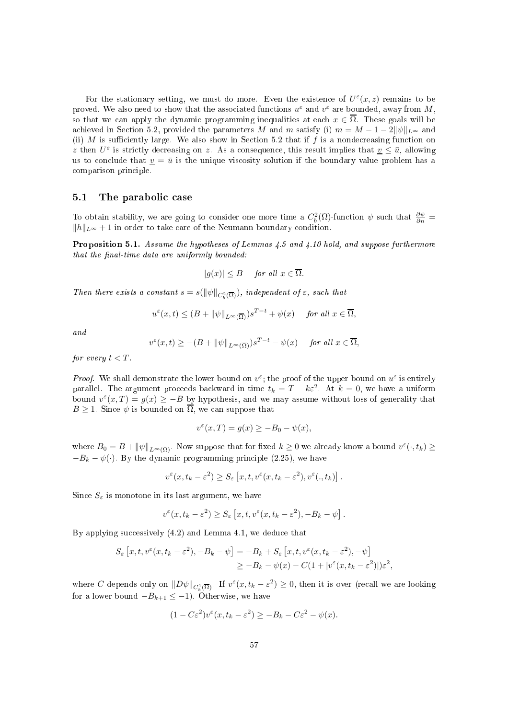For the stationary setting, we must do more. Even the existence of  $U^{\varepsilon}(x, z)$  remains to be proved. We also need to show that the associated functions  $u^{\varepsilon}$  and  $v^{\varepsilon}$  are bounded, away from M, so that we can apply the dynamic programming inequalities at each  $x \in \overline{\Omega}$ . These goals will be achieved in Section 5.2, provided the parameters M and m satisfy (i)  $m = M - 1 - 2||\psi||_{L^{\infty}}$  and (ii) M is sufficiently large. We also show in Section 5.2 that if f is a nondecreasing function on z then  $U^{\varepsilon}$  is strictly decreasing on z. As a consequence, this result implies that  $\underline{v} \leq \overline{u}$ , allowing us to conclude that  $\underline{v} = \overline{u}$  is the unique viscosity solution if the boundary value problem has a omparison prin
iple.

### 5.1 The parabolic case

To obtain stability, we are going to consider one more time a  $C_b^2(\overline{\Omega})$ -function  $\psi$  such that  $\frac{\partial \psi}{\partial n}$  $||h||_{L∞} + 1$  in order to take care of the Neumann boundary condition.

Proposition 5.1. Assume the hypotheses of Lemmas 4.5 and 4.10 hold, and suppose furthermore that the final-time data are uniformly bounded:

$$
|g(x)| \le B \quad \text{for all } x \in \overline{\Omega}.
$$

Then there exists a constant  $s = s(||\psi||_{C_b^2(\overline{\Omega})})$ , independent of  $\varepsilon$ , such that

$$
u^{\varepsilon}(x,t) \le (B + \|\psi\|_{L^{\infty}(\overline{\Omega})})s^{T-t} + \psi(x) \quad \text{ for all } x \in \overline{\Omega},
$$

and

$$
v^{\varepsilon}(x,t) \geq -(B + \|\psi\|_{L^{\infty}(\overline{\Omega})})s^{T-t} - \psi(x) \quad \text{ for all } x \in \overline{\Omega},
$$

for every  $t < T$ .

*Proof.* We shall demonstrate the lower bound on  $v^{\varepsilon}$ ; the proof of the upper bound on  $u^{\varepsilon}$  is entirely parallel. The argument proceeds backward in time  $t_k = T - k\varepsilon^2$ . At  $k = 0$ , we have a uniform bound  $v^{\varepsilon}(x,T) = g(x) \ge -B$  by hypothesis, and we may assume without loss of generality that  $B \geq 1$ . Since  $\psi$  is bounded on  $\overline{\Omega}$ , we can suppose that

$$
v^{\varepsilon}(x,T) = g(x) \ge -B_0 - \psi(x),
$$

where  $B_0 = B + ||\psi||_{L^{\infty}(\overline{\Omega})}$ . Now suppose that for fixed  $k \geq 0$  we already know a bound  $v^{\varepsilon}(\cdot, t_k) \geq$  $-B_k - \psi(.)$ . By the dynamic programming principle (2.25), we have

$$
v^{\varepsilon}(x, t_k - \varepsilon^2) \ge S_{\varepsilon}\left[x, t, v^{\varepsilon}(x, t_k - \varepsilon^2), v^{\varepsilon}(. , t_k)\right].
$$

Since  $S_{\varepsilon}$  is monotone in its last argument, we have

$$
v^{\varepsilon}(x, t_k - \varepsilon^2) \ge S_{\varepsilon} [x, t, v^{\varepsilon}(x, t_k - \varepsilon^2), -B_k - \psi].
$$

By applying successively  $(4.2)$  and Lemma 4.1, we deduce that

$$
S_{\varepsilon}\left[x,t,v^{\varepsilon}(x,t_{k}-\varepsilon^{2}),-B_{k}-\psi\right]= -B_{k}+S_{\varepsilon}\left[x,t,v^{\varepsilon}(x,t_{k}-\varepsilon^{2}),-\psi\right]
$$
  

$$
\geq -B_{k}-\psi(x)-C(1+|v^{\varepsilon}(x,t_{k}-\varepsilon^{2})|)\varepsilon^{2},
$$

where C depends only on  $||D\psi||_{C_b^1(\overline{\Omega})}$ . If  $v^{\varepsilon}(x, t_k - \varepsilon^2) \geq 0$ , then it is over (recall we are looking for a lower bound  $-B_{k+1} \leq -1$ ). Otherwise, we have

$$
(1 - C\varepsilon^2)v^{\varepsilon}(x, t_k - \varepsilon^2) \ge -B_k - C\varepsilon^2 - \psi(x).
$$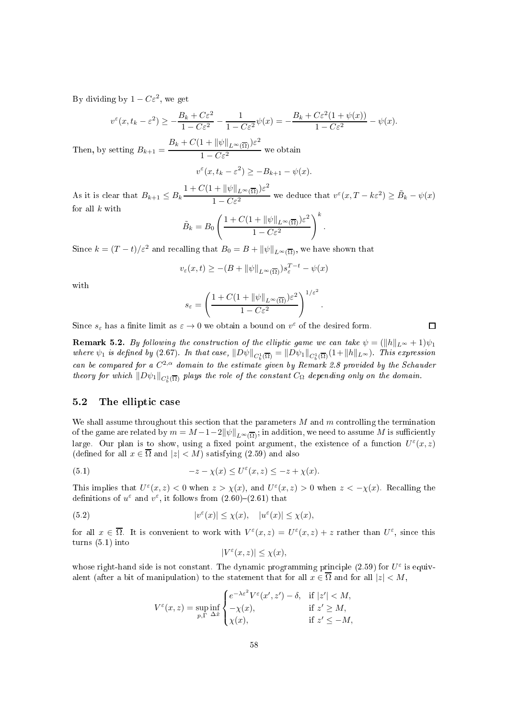By dividing by  $1 - C\varepsilon^2$ , we get

$$
v^{\varepsilon}(x, t_k - \varepsilon^2) \ge -\frac{B_k + C\varepsilon^2}{1 - C\varepsilon^2} - \frac{1}{1 - C\varepsilon^2} \psi(x) = -\frac{B_k + C\varepsilon^2 (1 + \psi(x))}{1 - C\varepsilon^2} - \psi(x).
$$

Then, by setting  $B_{k+1} = \frac{B_k + C(1 + ||\psi||_{L^{\infty}(\overline{\Omega})})\varepsilon^2}{1 - C_0^2}$  $1 - C\epsilon^2$  we obtain

$$
v^{\varepsilon}(x, t_k - \varepsilon^2) \ge -B_{k+1} - \psi(x).
$$

As it is clear that  $B_{k+1} \leq B_k$  $1 + C(1 + \|\psi\|_{L^{\infty}(\overline{\Omega})})\varepsilon^2$  $\frac{1}{1 - C\varepsilon^2}$  we deduce that  $v^{\varepsilon}(x, T - k\varepsilon^2) \ge \tilde{B}_k - \psi(x)$ for all  $k$  with

$$
\tilde{B}_k = B_0 \left( \frac{1 + C(1 + \|\psi\|_{L^\infty(\overline{\Omega})})\varepsilon^2}{1 - C\varepsilon^2} \right)^k.
$$

Since  $k = (T-t)/\varepsilon^2$  and recalling that  $B_0 = B + ||\psi||_{L^\infty(\overline{\Omega})}$ , we have shown that

$$
v_{\varepsilon}(x,t) \geq -(B + \|\psi\|_{L^{\infty}(\overline{\Omega})})s_{\varepsilon}^{T-t} - \psi(x)
$$

with

$$
s_{\varepsilon} = \left(\frac{1 + C(1 + \|\psi\|_{L^{\infty}(\overline{\Omega})})\varepsilon^2}{1 - C\varepsilon^2}\right)^{1/\varepsilon^2}.
$$

Since  $s_{\varepsilon}$  has a finite limit as  $\varepsilon \to 0$  we obtain a bound on  $v^{\varepsilon}$  of the desired form.

 $\Box$ 

**Remark 5.2.** By following the construction of the elliptic game we can take  $\psi = (\|h\|_{L^{\infty}} + 1)\psi_1$ where  $\psi_1$  is defined by (2.67). In that case,  $\|D\psi\|_{C_b^1(\overline{\Omega})}=\|D\psi_1\|_{C_b^1(\overline{\Omega})}(1+\|h\|_{L^\infty})$ . This expression can be compared for a  $C^{2,\alpha}$  domain to the estimate given by Remark 2.8 provided by the Schauder<br>theory for which  $\|D\psi_1\|_{C_b^1(\overline{\Omega})}$  plays the role of the constant  $C_{\Omega}$  depending only on the domain.

# 5.2 The elliptic case

We shall assume throughout this section that the parameters  $M$  and  $m$  controlling the termination of the game are related by  $m = M - 1 - 2\|\psi\|_{L^\infty(\overline{\Omega})}$ ; in addition, we need to assume M is sufficiently large. Our plan is to show, using a fixed point argument, the existence of a function  $U^{\varepsilon}(x, z)$ (defined for all  $x \in \overline{\Omega}$  and  $|z| < M$ ) satisfying (2.59) and also

(5.1) 
$$
-z - \chi(x) \le U^{\varepsilon}(x, z) \le -z + \chi(x).
$$

This implies that  $U^{\varepsilon}(x, z) < 0$  when  $z > \chi(x)$ , and  $U^{\varepsilon}(x, z) > 0$  when  $z < -\chi(x)$ . Recalling the definitions of  $u^{\varepsilon}$  and  $v^{\varepsilon}$ , it follows from  $(2.60)-(2.61)$  that

(5.2) 
$$
|v^{\varepsilon}(x)| \leq \chi(x), \quad |u^{\varepsilon}(x)| \leq \chi(x),
$$

for all  $x \in \overline{\Omega}$ . It is convenient to work with  $V^{\varepsilon}(x, z) = U^{\varepsilon}(x, z) + z$  rather than  $U^{\varepsilon}$ , since this turns (5.1) into

$$
|V^{\varepsilon}(x,z)| \le \chi(x),
$$

whose right-hand side is not constant. The dynamic programming principle (2.59) for  $U^{\varepsilon}$  is equivalent (after a bit of manipulation) to the statement that for all  $x \in \overline{\Omega}$  and for all  $|z| < M$ ,

$$
V^{\varepsilon}(x, z) = \sup_{p, \Gamma} \inf_{\Delta \hat{x}} \begin{cases} e^{-\lambda \varepsilon^{2}} V^{\varepsilon}(x', z') - \delta, & \text{if } |z'| < M, \\ -\chi(x), & \text{if } z' \ge M, \\ \chi(x), & \text{if } z' \le -M, \end{cases}
$$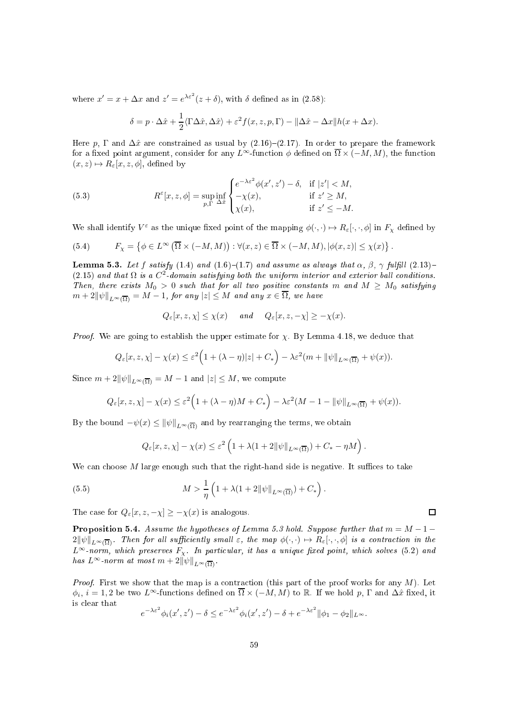where  $x' = x + \Delta x$  and  $z' = e^{\lambda \varepsilon^2} (z + \delta)$ , with  $\delta$  defined as in (2.58):

$$
\delta = p \cdot \Delta \hat{x} + \frac{1}{2} \langle \Gamma \Delta \hat{x}, \Delta \hat{x} \rangle + \varepsilon^2 f(x, z, p, \Gamma) - ||\Delta \hat{x} - \Delta x|| h(x + \Delta x).
$$

Here p,  $\Gamma$  and  $\Delta \hat{x}$  are constrained as usual by (2.16)–(2.17). In order to prepare the framework for a fixed point argument, consider for any L∞-function  $\phi$  defined on  $\overline{\Omega} \times (-M, M)$ , the function  $(x, z) \mapsto R_{\varepsilon}[x, z, \phi]$ , defined by

(5.3) 
$$
R^{\varepsilon}[x, z, \phi] = \sup_{p, \Gamma} \inf_{\Delta \hat{x}} \begin{cases} e^{-\lambda \varepsilon^{2}} \phi(x', z') - \delta, & \text{if } |z'| < M, \\ -\chi(x), & \text{if } z' \ge M, \\ \chi(x), & \text{if } z' \le -M. \end{cases}
$$

We shall identify  $V^{\varepsilon}$  as the unique fixed point of the mapping  $\phi(\cdot,\cdot) \mapsto R_{\varepsilon}[\cdot,\cdot,\phi]$  in  $F_{\chi}$  defined by

(5.4) 
$$
F_{\chi} = \left\{ \phi \in L^{\infty} \left( \overline{\Omega} \times (-M, M) \right) : \forall (x, z) \in \overline{\Omega} \times (-M, M), |\phi(x, z)| \leq \chi(x) \right\}.
$$

**Lemma 5.3.** Let f satisfy (1.4) and (1.6)–(1.7) and assume as always that  $\alpha$ ,  $\beta$ ,  $\gamma$  fulfill (2.13)– (2.15) and that  $\Omega$  is a  $C^2$ -domain satisfying both the uniform interior and exterior ball conditions. Then, there exists  $M_0 > 0$  such that for all two positive constants m and  $M \geq M_0$  satisfying  $m + 2\|\psi\|_{L^{\infty}(\overline{\Omega})} = M - 1$ , for any  $|z| \leq M$  and any  $x \in \overline{\Omega}$ , we have

$$
Q_{\varepsilon}[x, z, \chi] \leq \chi(x) \quad \text{and} \quad Q_{\varepsilon}[x, z, -\chi] \geq -\chi(x).
$$

*Proof.* We are going to establish the upper estimate for  $\chi$ . By Lemma 4.18, we deduce that

$$
Q_{\varepsilon}[x,z,\chi]-\chi(x)\leq \varepsilon^2\Big(1+(\lambda-\eta)|z|+C_*\Big)-\lambda \varepsilon^2(m+\|\psi\|_{L^\infty(\overline{\Omega})}+\psi(x)).
$$

Since  $m + 2\|\psi\|_{L^{\infty}(\overline{\Omega})} = M - 1$  and  $|z| \leq M$ , we compute

$$
Q_{\varepsilon}[x,z,\chi]-\chi(x)\leq \varepsilon^2\Big(1+(\lambda-\eta)M+C_*\Big)-\lambda \varepsilon^2(M-1-\|\psi\|_{L^\infty(\overline{\Omega})}+\psi(x)).
$$

By the bound  $-\psi(x) \leq ||\psi||_{L^{\infty}(\overline{\Omega})}$  and by rearranging the terms, we obtain

$$
Q_{\varepsilon}[x,z,\chi]-\chi(x)\leq \varepsilon^2\left(1+\lambda(1+2\|\psi\|_{L^\infty(\overline{\Omega})})+C_*-\eta M\right).
$$

We can choose  $M$  large enough such that the right-hand side is negative. It suffices to take

(5.5) 
$$
M > \frac{1}{\eta} \left( 1 + \lambda (1 + 2 \|\psi\|_{L^{\infty}(\overline{\Omega})}) + C_* \right).
$$

The case for  $Q_{\varepsilon}[x, z, -\chi] > -\chi(x)$  is analogous.

**Proposition 5.4.** Assume the hypotheses of Lemma 5.3 hold. Suppose further that  $m = M - 1 - 1$  $2\|\psi\|_{L^{\infty}(\overline{\Omega})}$ . Then for all sufficiently small  $\varepsilon$ , the map  $\phi(\cdot,\cdot) \mapsto R_{\varepsilon}[\cdot,\cdot,\phi]$  is a contraction in the  $L^{\infty}$ -norm, which preserves  $F_{\chi}$ . In particular, it has a unique fixed point, which solves (5.2) and has  $L^{\infty}$ -norm at most  $m + 2\|\psi\|_{L^{\infty}(\overline{\Omega})}$ .

*Proof.* First we show that the map is a contraction (this part of the proof works for any  $M$ ). Let  $\phi_i, i = 1, 2$  be two  $L^{\infty}$ -functions defined on  $\overline{\Omega} \times (-M, M)$  to  $\mathbb{R}$ . If we hold  $p$ ,  $\Gamma$  and  $\Delta \hat{x}$  fixed, it is lear that

$$
e^{-\lambda \varepsilon^2} \phi_i(x', z') - \delta \le e^{-\lambda \varepsilon^2} \phi_i(x', z') - \delta + e^{-\lambda \varepsilon^2} \|\phi_1 - \phi_2\|_{L^\infty}.
$$

 $\Box$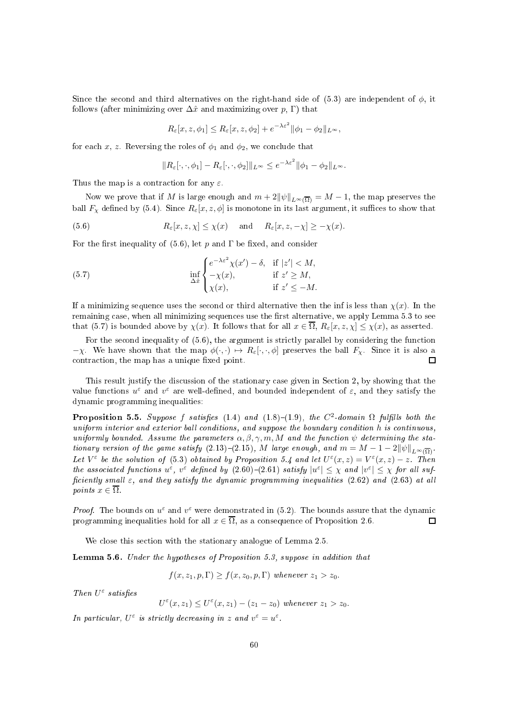Since the second and third alternatives on the right-hand side of (5.3) are independent of  $\phi$ , it follows (after minimizing over  $\Delta\hat{x}$  and maximizing over p, Γ) that

$$
R_{\varepsilon}[x, z, \phi_1] \le R_{\varepsilon}[x, z, \phi_2] + e^{-\lambda \varepsilon^2} \|\phi_1 - \phi_2\|_{L^{\infty}},
$$

for each x, z. Reversing the roles of  $\phi_1$  and  $\phi_2$ , we conclude that

$$
||R_{\varepsilon}[\cdot,\cdot,\phi_1] - R_{\varepsilon}[\cdot,\cdot,\phi_2]||_{L^{\infty}} \leq e^{-\lambda \varepsilon^2} ||\phi_1 - \phi_2||_{L^{\infty}}.
$$

Thus the map is a contraction for any  $\varepsilon$ .

Now we prove that if M is large enough and  $m + 2\|\psi\|_{L^{\infty}(\overline{\Omega})} = M - 1$ , the map preserves the ball  $F_\chi$  defined by (5.4). Since  $R_\varepsilon[x,z,\phi]$  is monotone in its last argument, it suffices to show that

(5.6) 
$$
R_{\varepsilon}[x, z, \chi] \leq \chi(x)
$$
 and  $R_{\varepsilon}[x, z, -\chi] \geq -\chi(x)$ .

For the first inequality of  $(5.6)$ , let p and  $\Gamma$  be fixed, and consider

(5.7) 
$$
\inf_{\Delta \hat{x}} \begin{cases} e^{-\lambda \varepsilon^2} \chi(x') - \delta, & \text{if } |z'| < M, \\ -\chi(x), & \text{if } z' \ge M, \\ \chi(x), & \text{if } z' \le -M. \end{cases}
$$

If a minimizing sequence uses the second or third alternative then the inf is less than  $\chi(x)$ . In the remaining case, when all minimizing sequences use the first alternative, we apply Lemma 5.3 to see that (5.7) is bounded above by  $\chi(x)$ . It follows that for all  $x \in \overline{\Omega}$ ,  $R_{\varepsilon}[x, z, \chi] \leq \chi(x)$ , as asserted.

For the second inequality of (5.6), the argument is strictly parallel by considering the function  $-\chi$ . We have shown that the map  $\phi(\cdot, \cdot) \mapsto R_{\varepsilon}[\cdot, \cdot, \phi]$  preserves the ball  $F_{\chi}$ . Since it is also a contraction, the map has a unique fixed point. contraction, the map has a unique fixed point.

This result justify the discussion of the stationary case given in Section 2, by showing that the value functions  $u^{\varepsilon}$  and  $v^{\varepsilon}$  are well-defined, and bounded independent of  $\varepsilon$ , and they satisfy the dynami programming inequalities:

**Proposition 5.5.** Suppose f satisfies (1.4) and (1.8)–(1.9), the  $C^2$ -domain  $\Omega$  fulfills both the uniform interior and exterior ball conditions, and suppose the boundary condition h is continuous, uniformly bounded. Assume the parameters  $\alpha, \beta, \gamma, m, M$  and the function  $\psi$  determining the stationary version of the game satisfy (2.13)–(2.15), M large enough, and  $m = M - 1 - 2\|\psi\|_{L^{\infty}(\overline{\Omega})}$ . Let  $V^{\varepsilon}$  be the solution of (5.3) obtained by Proposition 5.4 and let  $U^{\varepsilon}(x, z) = V^{\varepsilon}(x, z) - z$ . Then the associated functions  $u^{\varepsilon}$ ,  $v^{\varepsilon}$  defined by  $(2.60)-(2.61)$  satisfy  $|u^{\varepsilon}| \leq \chi$  and  $|v^{\varepsilon}| \leq \chi$  for all sufficiently small  $\varepsilon$ , and they satisfy the dynamic programming inequalities (2.62) and (2.63) at all points  $x \in \overline{\Omega}$ .

*Proof.* The bounds on  $u^{\varepsilon}$  and  $v^{\varepsilon}$  were demonstrated in (5.2). The bounds assure that the dynamic programming inequalities hold for all  $x \in \overline{\Omega}$ , as a consequence of Proposition 2.6.  $\Box$ 

We close this section with the stationary analogue of Lemma 2.5.

Lemma 5.6. Under the hypotheses of Proposition 5.3, suppose in addition that

 $f(x, z_1, p, \Gamma) \ge f(x, z_0, p, \Gamma)$  whenever  $z_1 > z_0$ .

Then  $U^{\varepsilon}$  satisfies

 $U^{\varepsilon}(x, z_1) \leq U^{\varepsilon}(x, z_1) - (z_1 - z_0)$  whenever  $z_1 > z_0$ .

In particular,  $U^{\varepsilon}$  is strictly decreasing in z and  $v^{\varepsilon} = u^{\varepsilon}$ .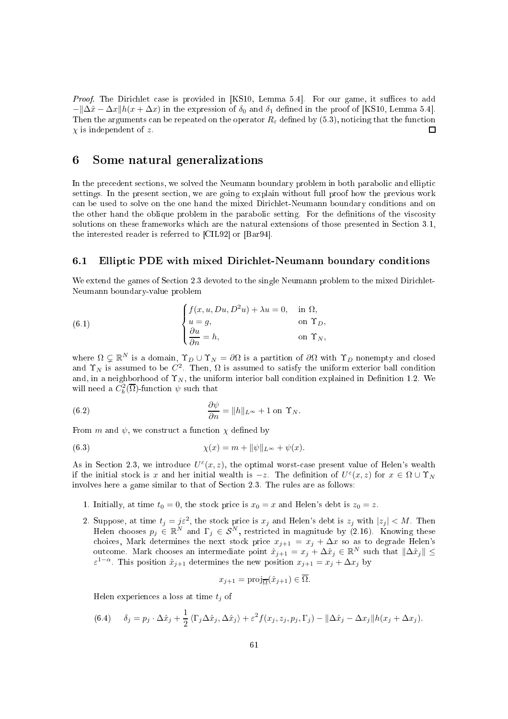Proof. The Dirichlet case is provided in [KS10, Lemma 5.4]. For our game, it suffices to add  $-\frac{\lambda x}{\lambda x}$  +  $\frac{\lambda x}{\lambda x}$  in the expression of  $\delta_0$  and  $\delta_1$  defined in the proof of [KS10, Lemma 5.4]. Then the arguments can be repeated on the operator  $R_{\varepsilon}$  defined by (5.3), noticing that the function  $\chi$  is independent of z.  $\Box$ 

# Some natural generalizations

In the precedent sections, we solved the Neumann boundary problem in both parabolic and elliptic settings. In the present section, we are going to explain without full proof how the previous work an be used to solve on the one hand the mixed Diri
hlet-Neumann boundary onditions and on the other hand the oblique problem in the parabolic setting. For the definitions of the viscosity solutions on these frameworks which are the natural extensions of those presented in Section 3.1, the interested reader is referred to  $\text{[CIL92]}$  or  $\text{[Bar94]}.$ 

#### 6.1 Elliptic PDE with mixed Dirichlet-Neumann boundary conditions

We extend the games of Section 2.3 devoted to the single Neumann problem to the mixed Dirichlet-Neumann boundary-value problem

(6.1) 
$$
\begin{cases} f(x, u, Du, D^2u) + \lambda u = 0, & \text{in } \Omega, \\ u = g, & \text{on } \Upsilon_D, \\ \frac{\partial u}{\partial n} = h, & \text{on } \Upsilon_N, \end{cases}
$$

where  $\Omega \subsetneq \mathbb{R}^N$  is a domain,  $\Upsilon_D \cup \Upsilon_N = \partial \Omega$  is a partition of  $\partial \Omega$  with  $\Upsilon_D$  nonempty and closed and  $\Upsilon_N$  is assumed to be  $C^2$ . Then,  $\Omega$  is assumed to satisfy the uniform exterior ball condition and, in a neighborhood of  $\Upsilon_N$ , the uniform interior ball condition explained in Definition 1.2. We will need a  $C_b^2(\overline{\Omega})$ -function  $\psi$  such that

(6.2) 
$$
\frac{\partial \psi}{\partial n} = ||h||_{L^{\infty}} + 1 \text{ on } \Upsilon_N.
$$

From m and  $\psi$ , we construct a function  $\chi$  defined by

(6.3) 
$$
\chi(x) = m + ||\psi||_{L^{\infty}} + \psi(x).
$$

As in Section 2.3, we introduce  $U^{\varepsilon}(x, z)$ , the optimal worst-case present value of Helen's wealth if the initial stock is x and her initial wealth is  $-z$ . The definition of  $U^{\varepsilon}(x, z)$  for  $x \in \Omega \cup \Upsilon_N$ involves here a game similar to that of Section 2.3. The rules are as follows:

- 1. Initially, at time  $t_0 = 0$ , the stock price is  $x_0 = x$  and Helen's debt is  $z_0 = z$ .
- 2. Suppose, at time  $t_j = j\varepsilon^2$ , the stock price is  $x_j$  and Helen's debt is  $z_j$  with  $|z_j| < M$ . Then Helen chooses  $p_j \in \mathbb{R}^N$  and  $\Gamma_j \in \mathcal{S}^N$ , restricted in magnitude by (2.16). Knowing these choices, Mark determines the next stock price  $x_{j+1} = x_j + \Delta x$  so as to degrade Helen's outcome. Mark chooses an intermediate point  $\hat{x}_{j+1} = x_j + \Delta \hat{x}_j \in \mathbb{R}^N$  such that  $\|\Delta \hat{x}_j\| \le$  $\varepsilon^{1-\alpha}$ . This position  $\hat{x}_{j+1}$  determines the new position  $x_{j+1} = x_j + \Delta x_j$  by

$$
x_{j+1} = \text{proj}_{\overline{\Omega}}(\hat{x}_{j+1}) \in \Omega.
$$

Helen experiences a loss at time  $t_i$  of

(6.4) 
$$
\delta_j = p_j \cdot \Delta \hat{x}_j + \frac{1}{2} \langle \Gamma_j \Delta \hat{x}_j, \Delta \hat{x}_j \rangle + \varepsilon^2 f(x_j, z_j, p_j, \Gamma_j) - ||\Delta \hat{x}_j - \Delta x_j|| h(x_j + \Delta x_j).
$$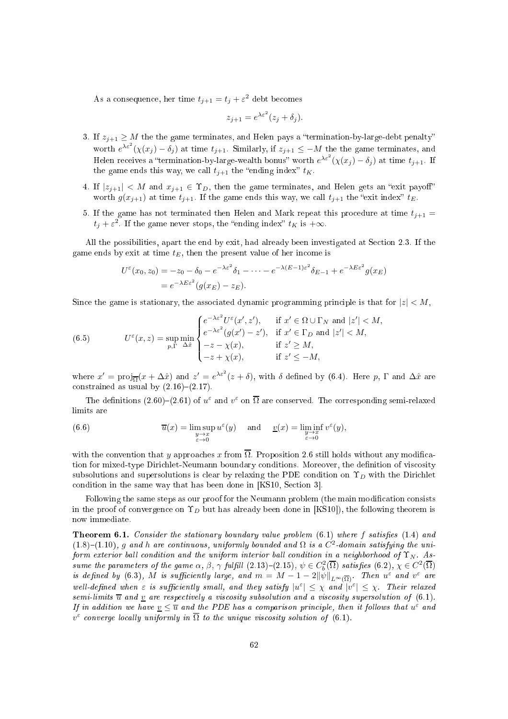As a consequence, her time  $t_{j+1} = t_j + \varepsilon^2$  debt becomes

$$
z_{j+1} = e^{\lambda \varepsilon^2} (z_j + \delta_j).
$$

- 3. If  $z_{j+1} \geq M$  the the game terminates, and Helen pays a "termination-by-large-debt penalty" worth  $e^{\lambda \varepsilon^2} (\chi(x_j) - \delta_j)$  at time  $t_{j+1}$ . Similarly, if  $z_{j+1} \leq -M$  the the game terminates, and Helen receives a "termination-by-large-wealth bonus" worth  $e^{\lambda \varepsilon^2} (\chi(x_j) - \delta_j)$  at time  $t_{j+1}$ . If the game ends this way, we call  $t_{j+1}$  the "ending index"  $t_K$ .
- 4. If  $|z_{j+1}| < M$  and  $x_{j+1} \in \Upsilon_D$ , then the game terminates, and Helen gets an "exit payoff" worth  $g(x_{j+1})$  at time  $t_{j+1}$ . If the game ends this way, we call  $t_{j+1}$  the "exit index"  $t_E$ .
- 5. If the game has not terminated then Helen and Mark repeat this procedure at time  $t_{j+1} =$  $t_j + \varepsilon^2$ . If the game never stops, the "ending index"  $t_K$  is  $+\infty$ .

All the possibilities, apart the end by exit, had already been investigated at Section 2.3. If the game ends by exit at time  $t_E$ , then the present value of her income is

$$
U^{\varepsilon}(x_0, z_0) = -z_0 - \delta_0 - e^{-\lambda \varepsilon^2} \delta_1 - \dots - e^{-\lambda (E-1)\varepsilon^2} \delta_{E-1} + e^{-\lambda E \varepsilon^2} g(x_E)
$$
  
= 
$$
e^{-\lambda E \varepsilon^2} (g(x_E) - z_E).
$$

Since the game is stationary, the associated dynamic programming principle is that for  $|z| < M$ ,

(6.5) 
$$
U^{\varepsilon}(x, z) = \sup_{p, \Gamma} \min_{\Delta \hat{x}} \begin{cases} e^{-\lambda \varepsilon^{2}} U^{\varepsilon}(x', z'), & \text{if } x' \in \Omega \cup \Gamma_{N} \text{ and } |z'| < M, \\ e^{-\lambda \varepsilon^{2}} (g(x') - z'), & \text{if } x' \in \Gamma_{D} \text{ and } |z'| < M, \\ -z - \chi(x), & \text{if } z' \ge M, \\ -z + \chi(x), & \text{if } z' \le -M, \end{cases}
$$

where  $x' = \text{proj}_{\overline{\Omega}}(x + \Delta \hat{x})$  and  $z' = e^{\lambda \varepsilon^2}(z + \delta)$ , with  $\delta$  defined by (6.4). Here p,  $\Gamma$  and  $\Delta \hat{x}$  are constrained as usual by  $(2.16)-(2.17)$ .

The definitions (2.60)–(2.61) of  $u^{\varepsilon}$  and  $v^{\varepsilon}$  on  $\overline{\Omega}$  are conserved. The corresponding semi-relaxed limits are

(6.6) 
$$
\overline{u}(x) = \limsup_{\substack{y \to x \\ \varepsilon \to 0}} u^{\varepsilon}(y) \quad \text{and} \quad \underline{v}(x) = \liminf_{\substack{y \to x \\ \varepsilon \to 0}} v^{\varepsilon}(y),
$$

with the convention that y approaches x from  $\overline{\Omega}$ . Proposition 2.6 still holds without any modification for mixed-type Dirichlet-Neumann boundary conditions. Moreover, the definition of viscosity subsolutions and supersolutions is clear by relaxing the PDE condition on  $\Upsilon_D$  with the Dirichlet condition in the same way that has been done in  $[KS10, Section 3].$ 

Following the same steps as our proof for the Neumann problem (the main modification consists in the proof of convergence on  $\Upsilon_D$  but has already been done in [KS10]), the following theorem is now immediate.

**Theorem 6.1.** Consider the stationary boundary value problem  $(6.1)$  where f satisfies  $(1.4)$  and  $(1.8)$ - $(1.10)$ , g and h are continuous, uniformly bounded and  $\Omega$  is a  $C^2$ -domain satisfying the uniform exterior ball condition and the uniform interior ball condition in a neighborhood of  $\Upsilon_N$ . Assume the parameters of the game  $\alpha$ ,  $\beta$ ,  $\gamma$  fulfill (2.13)–(2.15),  $\psi \in C_b^2(\overline{\Omega})$  satisfies (6.2),  $\chi \in C^2(\overline{\Omega})$ is defined by (6.3), M is sufficiently large, and  $m = M - 1 - 2\|\psi\|_{L^{\infty}(\overline{\Omega})}$ . Then  $u^{\varepsilon}$  and  $v^{\varepsilon}$  are well-defined when  $\varepsilon$  is sufficiently small, and they satisfy  $|u^{\varepsilon}| \leq \chi$  and  $|v^{\varepsilon}| \leq \chi$ . Their relaxed semi-limits  $\overline{u}$  and  $\underline{v}$  are respectively a viscosity subsolution and a viscosity supersolution of (6.1). If in addition we have  $\underline{v} \leq \overline{u}$  and the PDE has a comparison principle, then it follows that  $u^{\varepsilon}$  and  $v^{\varepsilon}$  converge locally uniformly in  $\overline{\Omega}$  to the unique viscosity solution of (6.1).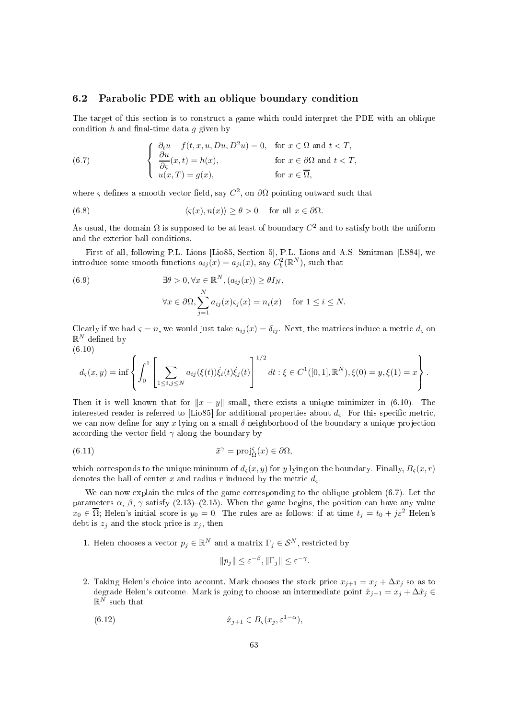# 6.2 Parabolic PDE with an oblique boundary condition

The target of this section is to construct a game which could interpret the PDE with an oblique condition h and final-time data  $q$  given by

(6.7) 
$$
\begin{cases} \n\frac{\partial_t u - f(t, x, u, Du, D^2 u)}{\partial \zeta}(x, t) = h(x), & \text{for } x \in \Omega \text{ and } t < T, \\ \n\frac{\partial u}{\partial \zeta}(x, t) = h(x), & \text{for } x \in \partial \Omega \text{ and } t < T, \\ \n u(x, T) = g(x), & \text{for } x \in \overline{\Omega}, \n\end{cases}
$$

where  $\varsigma$  defines a smooth vector field, say  $C^2$ , on  $\partial\Omega$  pointing outward such that

(6.8) 
$$
\langle \varsigma(x), n(x) \rangle \ge \theta > 0
$$
 for all  $x \in \partial \Omega$ .

As usual, the domain  $\Omega$  is supposed to be at least of boundary  $C^2$  and to satisfy both the uniform and the exterior ball onditions.

First of all, following P.L. Lions [Lio85, Section 5], P.L. Lions and A.S. Sznitman [LS84], we introduce some smooth functions  $a_{ij}(x) = a_{ji}(x)$ , say  $C_b^2(\mathbb{R}^N)$ , such that

(6.9) 
$$
\exists \theta > 0, \forall x \in \mathbb{R}^{N}, (a_{ij}(x)) \geq \theta I_{N},
$$

$$
\forall x \in \partial \Omega, \sum_{j=1}^{N} a_{ij}(x) \varsigma_{j}(x) = n_{i}(x) \quad \text{for } 1 \leq i \leq N.
$$

Clearly if we had  $\zeta = n$ , we would just take  $a_{ij}(x) = \delta_{ij}$ . Next, the matrices induce a metric  $d_{\zeta}$  on  $\mathbb{R}^N$  defined by

$$
(6.10)
$$

$$
d_{\varsigma}(x,y) = \inf \left\{ \int_0^1 \left[ \sum_{1 \le i,j \le N} a_{ij}(\xi(t)) \dot{\xi}_i(t) \dot{\xi}_j(t) \right]^{1/2} dt : \xi \in C^1([0,1], \mathbb{R}^N), \xi(0) = y, \xi(1) = x \right\}.
$$

Then it is well known that for  $||x - y||$  small, there exists a unique minimizer in (6.10). The interested reader is referred to [Lio85] for additional properties about  $d_{\varsigma}$ . For this specific metric, we can now define for any  $x$  lying on a small  $\delta$ -neighborhood of the boundary a unique projection according the vector field  $\gamma$  along the boundary by

(6.11) 
$$
\bar{x}^{\gamma} = \text{proj}_{\bar{\Omega}}(x) \in \partial \Omega,
$$

which corresponds to the unique minimum of  $d_{\varsigma}(x, y)$  for y lying on the boundary. Finally,  $B_{\varsigma}(x, r)$ denotes the ball of center x and radius r induced by the metric  $d_{\varsigma}$ .

We can now explain the rules of the game corresponding to the oblique problem  $(6.7)$ . Let the parameters  $\alpha$ ,  $\beta$ ,  $\gamma$  satisfy (2.13)–(2.15). When the game begins, the position can have any value  $x_0 \in \overline{\Omega}$ ; Helen's initial score is  $y_0 = 0$ . The rules are as follows: if at time  $t_j = t_0 + j\varepsilon^2$  Helen's debt is  $z_j$  and the stock price is  $x_j$ , then

1. Helen chooses a vector  $p_j \in \mathbb{R}^N$  and a matrix  $\Gamma_j \in \mathcal{S}^N$ , restricted by

$$
||p_j|| \le \varepsilon^{-\beta}, ||\Gamma_j|| \le \varepsilon^{-\gamma}.
$$

2. Taking Helen's choice into account, Mark chooses the stock price  $x_{j+1} = x_j + \Delta x_j$  so as to degrade Helen's outcome. Mark is going to choose an intermediate point  $\hat{x}_{j+1} = x_j + \Delta \hat{x}_j$  $\mathbb{R}^N$  such that

(6.12) 
$$
\hat{x}_{j+1} \in B_{\varsigma}(x_j, \varepsilon^{1-\alpha}),
$$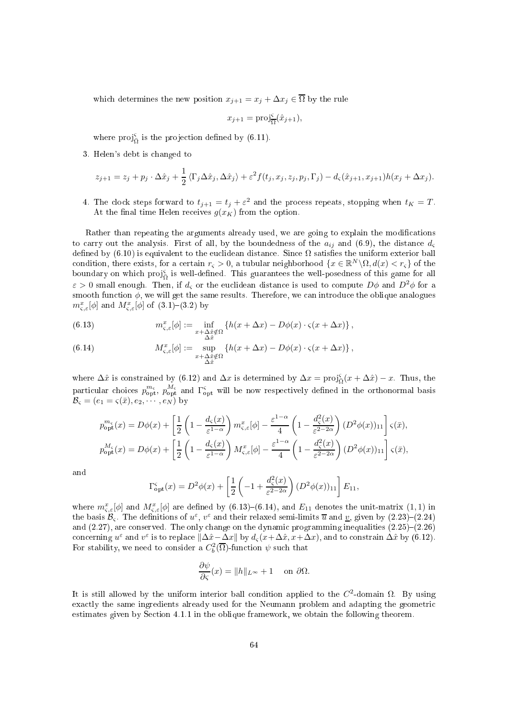which determines the new position  $x_{j+1} = x_j + \Delta x_j \in \overline{\Omega}$  by the rule

$$
x_{j+1} = \text{proj}_{\overline{\Omega}}^{\varsigma}(\hat{x}_{j+1}),
$$

where  $proj_{\Omega}^{\varsigma}$  is the projection defined by (6.11).

3. Helen's debt is hanged to

$$
z_{j+1} = z_j + p_j \cdot \Delta \hat{x}_j + \frac{1}{2} \langle \Gamma_j \Delta \hat{x}_j, \Delta \hat{x}_j \rangle + \varepsilon^2 f(t_j, x_j, z_j, p_j, \Gamma_j) - d_{\varsigma}(\hat{x}_{j+1}, x_{j+1}) h(x_j + \Delta x_j).
$$

4. The clock steps forward to  $t_{j+1} = t_j + \varepsilon^2$  and the process repeats, stopping when  $t_K = T$ . At the final time Helen receives  $g(x_K)$  from the option.

Rather than repeating the arguments already used, we are going to explain the modifications to carry out the analysis. First of all, by the boundedness of the  $a_{ij}$  and (6.9), the distance  $d_{\varsigma}$ defined by  $(6.10)$  is equivalent to the euclidean distance. Since  $\Omega$  satisfies the uniform exterior ball condition, there exists, for a certain  $r_s > 0$ , a tubular neighborhood  $\{x \in \mathbb{R}^N \setminus \Omega, d(x) < r_s\}$  of the boundary on which  $proj_{\Omega}^{\varsigma}$  is well-defined. This guarantees the well-posedness of this game for all  $\varepsilon > 0$  small enough. Then, if  $d_{\varsigma}$  or the euclidean distance is used to compute  $D\phi$  and  $D^2\phi$  for a smooth function  $\phi$ , we will get the same results. Therefore, we can introduce the oblique analogues  $m_{\varsigma,\varepsilon}^x[\phi]$  and  $M_{\varsigma,\varepsilon}^x[\phi]$  of  $(3.1)-(3.2)$  by

(6.13) 
$$
m_{\varsigma,\varepsilon}^x[\phi] := \inf_{\substack{x+\Delta\hat{x}\notin\Omega\\ \Delta\hat{x}}} \left\{ h(x+\Delta x) - D\phi(x) \cdot \varsigma(x+\Delta x) \right\},
$$

(6.14) 
$$
M_{\varsigma,\varepsilon}^x[\phi] := \sup_{\substack{x+\Delta\hat{x}\notin\Omega\\ \Delta\hat{x}}} \{h(x+\Delta x) - D\phi(x) \cdot \varsigma(x+\Delta x)\},
$$

where  $\Delta \hat{x}$  is constrained by (6.12) and  $\Delta x$  is determined by  $\Delta x = \text{proj}_{\bar{\Omega}}(x + \Delta \hat{x}) - x$ . Thus, the  $\bar{\Omega}$ particular choices  $p_{\text{opt}}^{m_{\varsigma}}$ ,  $p_{\text{opt}}^{M_{\varsigma}}$  and  $\Gamma_{\text{opt}}^{\varsigma}$  will be now respectively defined in the orthonormal basis  $\mathcal{B}_{\varsigma} = (e_1 = \varsigma(\bar{x}), e_2, \cdots, e_N)$  by

$$
p_{\rm opt}^{m_{\varsigma}}(x) = D\phi(x) + \left[\frac{1}{2}\left(1 - \frac{d_{\varsigma}(x)}{\varepsilon^{1-\alpha}}\right)m_{\varsigma,\varepsilon}^x[\phi] - \frac{\varepsilon^{1-\alpha}}{4}\left(1 - \frac{d_{\varsigma}^2(x)}{\varepsilon^{2-2\alpha}}\right)(D^2\phi(x))_{11}\right]\varsigma(\bar{x}),
$$
  

$$
p_{\rm opt}^{M_{\varsigma}}(x) = D\phi(x) + \left[\frac{1}{2}\left(1 - \frac{d_{\varsigma}(x)}{\varepsilon^{1-\alpha}}\right)M_{\varsigma,\varepsilon}^x[\phi] - \frac{\varepsilon^{1-\alpha}}{4}\left(1 - \frac{d_{\varsigma}^2(x)}{\varepsilon^{2-2\alpha}}\right)(D^2\phi(x))_{11}\right]\varsigma(\bar{x}),
$$

and

$$
\Gamma_{\rm opt}^{\rm s}(x) = D^2 \phi(x) + \left[ \frac{1}{2} \left( -1 + \frac{d_{\rm s}^2(x)}{\varepsilon^{2-2\alpha}} \right) (D^2 \phi(x))_{11} \right] E_{11},
$$

where  $m_{\varsigma,\varepsilon}^x[\phi]$  and  $M_{\varsigma,\varepsilon}^x[\phi]$  are defined by (6.13)–(6.14), and  $E_{11}$  denotes the unit-matrix (1, 1) in the basis  $\mathcal{B}_{\varsigma}$ . The definitions of  $u^{\varepsilon}$ ,  $v^{\varepsilon}$  and their relaxed semi-limits  $\overline{u}$  and  $\underline{v}$ , given by  $(2.23)-(2.24)$ and  $(2.27)$ , are conserved. The only change on the dynamic programming inequalities  $(2.25)-(2.26)$ concerning  $u^{\varepsilon}$  and  $v^{\varepsilon}$  is to replace  $\|\Delta \hat{x} - \Delta x\|$  by  $d_{\varsigma}(x+\Delta \hat{x}, x+\Delta x)$ , and to constrain  $\Delta \hat{x}$  by (6.12). For stability, we need to consider a  $C_b^2(\overline{\Omega})$ -function  $\psi$  such that

$$
\frac{\partial \psi}{\partial \varsigma}(x) = ||h||_{L^{\infty}} + 1 \quad \text{on } \partial \Omega.
$$

It is still allowed by the uniform interior ball condition applied to the  $C^2$ -domain  $\Omega$ . By using exa
tly the same ingredients already used for the Neumann problem and adapting the geometri estimates given by Se
tion 4.1.1 in the oblique framework, we obtain the following theorem.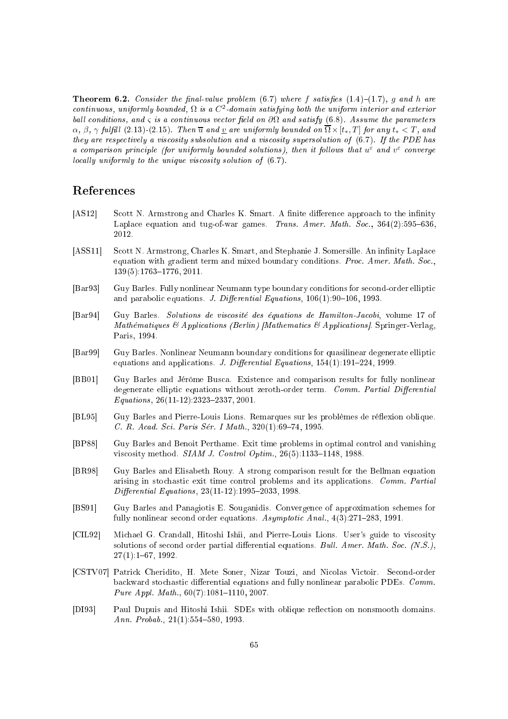**Theorem 6.2.** Consider the final-value problem  $(6.7)$  where f satisfies  $(1.4)-(1.7)$ , g and h are continuous, uniformly bounded,  $\Omega$  is a  $C^2$ -domain satisfying both the uniform interior and exterior ball conditions, and  $\varsigma$  is a continuous vector field on  $\partial\Omega$  and satisfy (6.8). Assume the parameters  $\alpha$ ,  $\beta$ ,  $\gamma$  fulfill (2.13)-(2.15). Then  $\overline{u}$  and  $\underline{v}$  are uniformly bounded on  $\overline{\Omega}\times[t_*,T]$  for any  $t_*< T$ , and they are respectively a viscosity subsolution and a viscosity supersolution of  $(6.7)$ . If the PDE has a comparison principle (for uniformly bounded solutions), then it follows that  $u^{\varepsilon}$  and  $v^{\varepsilon}$  converge locally uniformly to the unique viscosity solution of  $(6.7)$ .

# Referen
es

- [AS12] Scott N. Armstrong and Charles K. Smart. A finite difference approach to the infinity Laplace equation and tug-of-war games. Trans. Amer. Math. Soc., 364(2):595–636, 2012.
- [ASS11] Scott N. Armstrong, Charles K. Smart, and Stephanie J. Somersille. An infinity Laplace equation with gradient term and mixed boundary conditions. Proc. Amer. Math. Soc., 139(5):1763-1776, 2011.
- [Bar93] Guy Barles. Fully nonlinear Neumann type boundary conditions for second-order elliptic and parabolic equations. *J. Differential Equations*,  $106(1)$ :90-106, 1993.
- [Bar94] Guy Barles. Solutions de viscosité des équations de Hamilton-Jacobi, volume 17 of Mathématiques & Applications (Berlin) [Mathematics & Applications]. Springer-Verlag, Paris, 1994.
- [Bar99] Guy Barles. Nonlinear Neumann boundary conditions for quasilinear degenerate elliptic equations and applications. J. Differential Equations,  $154(1):191-224$ , 1999.
- [BB01] Guy Barles and Jérôme Busca. Existence and comparison results for fully nonlinear degenerate elliptic equations without zeroth-order term. Comm. Partial Differential Equations,  $26(11-12):2323-2337, 2001$ .
- [BL95] Guy Barles and Pierre-Louis Lions. Remarques sur les problèmes de réflexion oblique. C. R. Acad. Sci. Paris Sér. I Math., 320(1):69-74, 1995.
- [BP88] Guy Barles and Benoit Perthame. Exit time problems in optimal control and vanishing viscosity method.  $SIAM$  J. Control Optim., 26(5):1133-1148, 1988.
- [BR98] Guy Barles and Elisabeth Rouy. A strong comparison result for the Bellman equation arising in stochastic exit time control problems and its applications. Comm. Partial  $Differential$  Equations,  $23(11-12):1995-2033, 1998.$
- [BS91] Guy Barles and Panagiotis E. Souganidis. Convergence of approximation schemes for fully nonlinear second order equations.  $Asymptotic$  Anal.,  $4(3):271-283$ , 1991.
- [CIL92] Michael G. Crandall, Hitoshi Ishii, and Pierre-Louis Lions. User's guide to viscosity solutions of second order partial differential equations. Bull. Amer. Math. Soc.  $(N.S.),$ 27(1):167, 1992.
- [CSTV07] Patrick Cheridito, H. Mete Soner, Nizar Touzi, and Nicolas Victoir. Second-order backward stochastic differential equations and fully nonlinear parabolic PDEs. Comm. Pure Appl. Math.,  $60(7):1081-1110$ , 2007.
- [DI93] Paul Dupuis and Hitoshi Ishii. SDEs with oblique reflection on nonsmooth domains. Ann. Probab.,  $21(1):554-580, 1993$ .